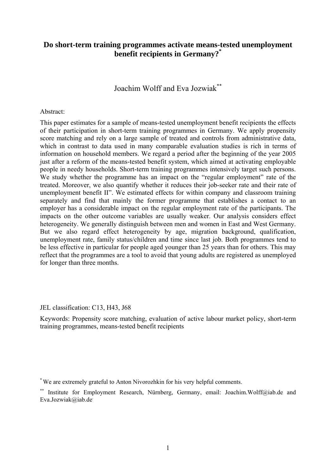# **Do short-term training programmes activate means-tested unemployment benefit recipients in Germany?\***

Joachim Wolff and Eva Jozwiak\*\*

#### Abstract:

This paper estimates for a sample of means-tested unemployment benefit recipients the effects of their participation in short-term training programmes in Germany. We apply propensity score matching and rely on a large sample of treated and controls from administrative data, which in contrast to data used in many comparable evaluation studies is rich in terms of information on household members. We regard a period after the beginning of the year 2005 just after a reform of the means-tested benefit system, which aimed at activating employable people in needy households. Short-term training programmes intensively target such persons. We study whether the programme has an impact on the "regular employment" rate of the treated. Moreover, we also quantify whether it reduces their job-seeker rate and their rate of unemployment benefit II". We estimated effects for within company and classroom training separately and find that mainly the former programme that establishes a contact to an employer has a considerable impact on the regular employment rate of the participants. The impacts on the other outcome variables are usually weaker. Our analysis considers effect heterogeneity. We generally distinguish between men and women in East and West Germany. But we also regard effect heterogeneity by age, migration background, qualification, unemployment rate, family status/children and time since last job. Both programmes tend to be less effective in particular for people aged younger than 25 years than for others. This may reflect that the programmes are a tool to avoid that young adults are registered as unemployed for longer than three months.

JEL classification: C13, H43, J68

Keywords: Propensity score matching, evaluation of active labour market policy, short-term training programmes, means-tested benefit recipients

<sup>\*</sup> We are extremely grateful to Anton Nivorozhkin for his very helpful comments.

<sup>\*\*</sup> Institute for Employment Research, Nürnberg, Germany, email: Joachim.Wolff@iab.de and Eva.Jozwiak@iab.de.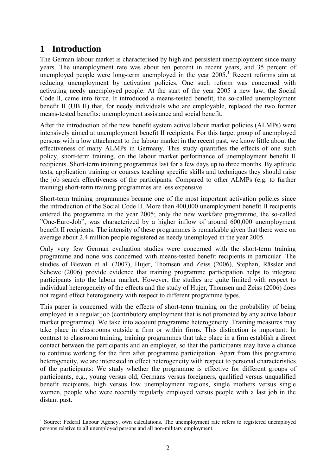# **1 Introduction**

<u>.</u>

The German labour market is characterised by high and persistent unemployment since many years. The unemployment rate was about ten percent in recent years, and 35 percent of unemployed people were long-term unemployed in the year  $2005$ .<sup>[1](#page-1-0)</sup> Recent reforms aim at reducing unemployment by activation policies. One such reform was concerned with activating needy unemployed people: At the start of the year 2005 a new law, the Social Code II, came into force. It introduced a means-tested benefit, the so-called unemployment benefit II (UB II) that, for needy individuals who are employable, replaced the two former means-tested benefits: unemployment assistance and social benefit.

After the introduction of the new benefit system active labour market policies (ALMPs) were intensively aimed at unemployment benefit II recipients. For this target group of unemployed persons with a low attachment to the labour market in the recent past, we know little about the effectiveness of many ALMPs in Germany. This study quantifies the effects of one such policy, short-term training, on the labour market performance of unemployment benefit II recipients. Short-term training programmes last for a few days up to three months. By aptitude tests, application training or courses teaching specific skills and techniques they should raise the job search effectiveness of the participants. Compared to other ALMPs (e.g. to further training) short-term training programmes are less expensive.

Short-term training programmes became one of the most important activation policies since the introduction of the Social Code II. More than 400,000 unemployment benefit II recipients entered the programme in the year 2005; only the new workfare programme, the so-called "One-Euro-Job", was characterized by a higher inflow of around 600,000 unemployment benefit II recipients. The intensity of these programmes is remarkable given that there were on average about 2.4 million people registered as needy unemployed in the year 2005.

Only very few German evaluation studies were concerned with the short-term training programme and none was concerned with means-tested benefit recipients in particular. The studies of Biewen et al. (2007), Hujer, Thomsen and Zeiss (2006), Stephan, Rässler and Schewe (2006) provide evidence that training programme participation helps to integrate participants into the labour market. However, the studies are quite limited with respect to individual heterogeneity of the effects and the study of Hujer, Thomsen and Zeiss (2006) does not regard effect heterogeneity with respect to different programme types.

This paper is concerned with the effects of short-term training on the probability of being employed in a regular job (contributory employment that is not promoted by any active labour market programme). We take into account programme heterogeneity. Training measures may take place in classrooms outside a firm or within firms. This distinction is important: In contrast to classroom training, training programmes that take place in a firm establish a direct contact between the participants and an employer, so that the participants may have a chance to continue working for the firm after programme participation. Apart from this programme heterogeneity, we are interested in effect heterogeneity with respect to personal characteristics of the participants: We study whether the programme is effective for different groups of participants, e.g., young versus old, Germans versus foreigners, qualified versus unqualified benefit recipients, high versus low unemployment regions, single mothers versus single women, people who were recently regularly employed versus people with a last job in the distant past.

<span id="page-1-0"></span><sup>&</sup>lt;sup>1</sup> Source: Federal Labour Agency, own calculations. The unemployment rate refers to registered unemployed persons relative to all unemployed persons and all non-military employment.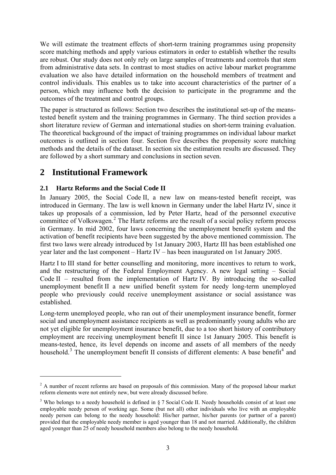We will estimate the treatment effects of short-term training programmes using propensity score matching methods and apply various estimators in order to establish whether the results are robust. Our study does not only rely on large samples of treatments and controls that stem from administrative data sets. In contrast to most studies on active labour market programme evaluation we also have detailed information on the household members of treatment and control individuals. This enables us to take into account characteristics of the partner of a person, which may influence both the decision to participate in the programme and the outcomes of the treatment and control groups.

The paper is structured as follows: Section two describes the institutional set-up of the meanstested benefit system and the training programmes in Germany. The third section provides a short literature review of German and international studies on short-term training evaluation. The theoretical background of the impact of training programmes on individual labour market outcomes is outlined in section four. Section five describes the propensity score matching methods and the details of the dataset. In section six the estimation results are discussed. They are followed by a short summary and conclusions in section seven.

# **2 Institutional Framework**

1

# **2.1 Hartz Reforms and the Social Code II**

In January 2005, the Social Code II, a new law on means-tested benefit receipt, was introduced in Germany. The law is well known in Germany under the label Hartz IV, since it takes up proposals of a commission, led by Peter Hartz, head of the personnel executive committee of Volkswagen.<sup>[2](#page-2-0)</sup> The Hartz reforms are the result of a social policy reform process in Germany. In mid 2002, four laws concerning the unemployment benefit system and the activation of benefit recipients have been suggested by the above mentioned commission. The first two laws were already introduced by 1st January 2003, Hartz III has been established one year later and the last component – Hartz IV – has been inaugurated on 1st January 2005.

Hartz I to III stand for better counselling and monitoring, more incentives to return to work, and the restructuring of the Federal Employment Agency. A new legal setting – Social Code II – resulted from the implementation of Hartz IV. By introducing the so-called unemployment benefit II a new unified benefit system for needy long-term unemployed people who previously could receive unemployment assistance or social assistance was established.

<span id="page-2-2"></span>Long-term unemployed people, who ran out of their unemployment insurance benefit, former social and unemployment assistance recipients as well as predominantly young adults who are not yet eligible for unemployment insurance benefit, due to a too short history of contributory employment are receiving unemployment benefit II since 1st January 2005. This benefit is means-tested, hence, its level depends on income and assets of all members of the needy household.<sup>[3](#page-2-1)</sup> The unemployment benefit II consists of different elements: A base benefit<sup>[4](#page-2-2)</sup> and

<span id="page-2-0"></span> $2<sup>2</sup>$  A number of recent reforms are based on proposals of this commission. Many of the proposed labour market reform elements were not entirely new, but were already discussed before.

<span id="page-2-1"></span><sup>&</sup>lt;sup>3</sup> Who belongs to a needy household is defined in § 7 Social Code II. Needy households consist of at least one employable needy person of working age. Some (but not all) other individuals who live with an employable needy person can belong to the needy household: His/her partner, his/her parents (or partner of a parent) provided that the employable needy member is aged younger than 18 and not married. Additionally, the children aged younger than 25 of needy household members also belong to the needy household.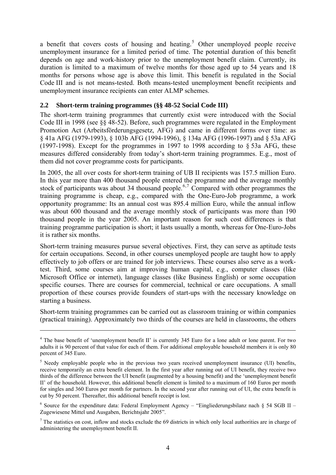<span id="page-3-0"></span>a benefit that covers costs of housing and heating.<sup>[5](#page-3-0)</sup> Other unemployed people receive unemployment insurance for a limited period of time. The potential duration of this benefit depends on age and work-history prior to the unemployment benefit claim. Currently, its duration is limited to a maximum of twelve months for those aged up to 54 years and 18 months for persons whose age is above this limit. This benefit is regulated in the Social Code III and is not means-tested. Both means-tested unemployment benefit recipients and unemployment insurance recipients can enter ALMP schemes.

# **2.2 Short-term training programmes (§§ 48-52 Social Code III)**

The short-term training programmes that currently exist were introduced with the Social Code III in 1998 (see §§ 48-52). Before, such programmes were regulated in the Employment Promotion Act (Arbeitsförderungsgesetz, AFG) and came in different forms over time: as § 41a AFG (1979-1993), § 103b AFG (1994-1996), § 134a AFG (1996-1997) and § 53a AFG (1997-1998). Except for the programmes in 1997 to 1998 according to § 53a AFG, these measures differed considerably from today's short-term training programmes. E.g., most of them did not cover programme costs for participants.

In 2005, the all over costs for short-term training of UB II recipients was 157.5 million Euro. In this year more than 400 thousand people entered the programme and the average monthly stock of participants was about 34 thousand people.<sup>[6](#page-3-0),[7](#page-3-0)</sup> Compared with other programmes the training programme is cheap, e.g., compared with the One-Euro-Job programme, a work opportunity programme: Its an annual cost was 895.4 million Euro, while the annual inflow was about 600 thousand and the average monthly stock of participants was more than 190 thousand people in the year 2005. An important reason for such cost differences is that training programme participation is short; it lasts usually a month, whereas for One-Euro-Jobs it is rather six months.

Short-term training measures pursue several objectives. First, they can serve as aptitude tests for certain occupations. Second, in other courses unemployed people are taught how to apply effectively to job offers or are trained for job interviews. These courses also serve as a worktest. Third, some courses aim at improving human capital, e.g., computer classes (like Microsoft Office or internet), language classes (like Business English) or some occupation specific courses. There are courses for commercial, technical or care occupations. A small proportion of these courses provide founders of start-ups with the necessary knowledge on starting a business.

Short-term training programmes can be carried out as classroom training or within companies (practical training). Approximately two thirds of the courses are held in classrooms, the others

1

<sup>&</sup>lt;sup>4</sup> The base benefit of 'unemployment benefit II' is currently 345 Euro for a lone adult or lone parent. For two adults it is 90 percent of that value for each of them. For additional employable household members it is only 80 percent of 345 Euro.

<sup>&</sup>lt;sup>5</sup> Needy employable people who in the previous two years received unemployment insurance (UI) benefits, receive temporarily an extra benefit element. In the first year after running out of UI benefit, they receive two thirds of the difference between the UI benefit (augmented by a housing benefit) and the 'unemployment benefit II' of the household. However, this additional benefit element is limited to a maximum of 160 Euros per month for singles and 360 Euros per month for partners. In the second year after running out of UI, the extra benefit is cut by 50 percent. Thereafter, this additional benefit receipt is lost.

<sup>&</sup>lt;sup>6</sup> Source for the expenditure data: Federal Employment Agency – "Eingliederungsbilanz nach § 54 SGB II – Zugewiesene Mittel und Ausgaben, Berichtsjahr 2005".

 $<sup>7</sup>$  The statistics on cost, inflow and stocks exclude the 69 districts in which only local authorities are in charge of</sup> administering the unemployment benefit II.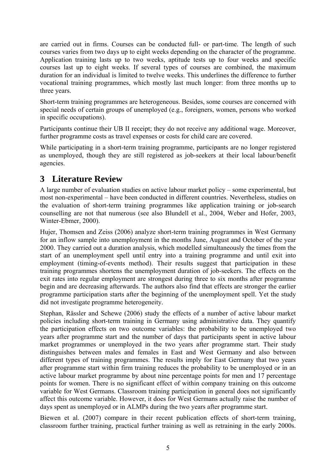are carried out in firms. Courses can be conducted full- or part-time. The length of such courses varies from two days up to eight weeks depending on the character of the programme. Application training lasts up to two weeks, aptitude tests up to four weeks and specific courses last up to eight weeks. If several types of courses are combined, the maximum duration for an individual is limited to twelve weeks. This underlines the difference to further vocational training programmes, which mostly last much longer: from three months up to three years.

Short-term training programmes are heterogeneous. Besides, some courses are concerned with special needs of certain groups of unemployed (e.g., foreigners, women, persons who worked in specific occupations).

Participants continue their UB II receipt; they do not receive any additional wage. Moreover, further programme costs as travel expenses or costs for child care are covered.

While participating in a short-term training programme, participants are no longer registered as unemployed, though they are still registered as job-seekers at their local labour/benefit agencies.

# **3 Literature Review**

A large number of evaluation studies on active labour market policy – some experimental, but most non-experimental – have been conducted in different countries. Nevertheless, studies on the evaluation of short-term training programmes like application training or job-search counselling are not that numerous (see also Blundell et al., 2004, Weber and Hofer, 2003, Winter-Ebmer, 2000).

Hujer, Thomsen and Zeiss (2006) analyze short-term training programmes in West Germany for an inflow sample into unemployment in the months June, August and October of the year 2000. They carried out a duration analysis, which modelled simultaneously the times from the start of an unemployment spell until entry into a training programme and until exit into employment (timing-of-events method). Their results suggest that participation in these training programmes shortens the unemployment duration of job-seekers. The effects on the exit rates into regular employment are strongest during three to six months after programme begin and are decreasing afterwards. The authors also find that effects are stronger the earlier programme participation starts after the beginning of the unemployment spell. Yet the study did not investigate programme heterogeneity.

Stephan, Rässler and Schewe (2006) study the effects of a number of active labour market policies including short-term training in Germany using administrative data. They quantify the participation effects on two outcome variables: the probability to be unemployed two years after programme start and the number of days that participants spent in active labour market programmes or unemployed in the two years after programme start. Their study distinguishes between males and females in East and West Germany and also between different types of training programmes. The results imply for East Germany that two years after programme start within firm training reduces the probability to be unemployed or in an active labour market programme by about nine percentage points for men and 17 percentage points for women. There is no significant effect of within company training on this outcome variable for West Germans. Classroom training participation in general does not significantly affect this outcome variable. However, it does for West Germans actually raise the number of days spent as unemployed or in ALMPs during the two years after programme start.

Biewen et al. (2007) compare in their recent publication effects of short-term training, classroom further training, practical further training as well as retraining in the early 2000s.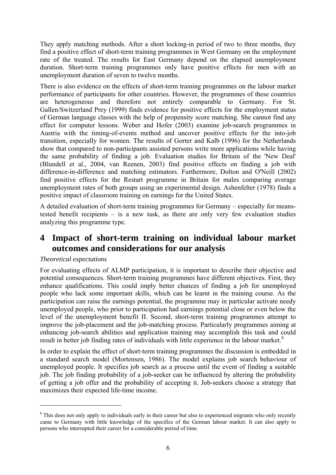<span id="page-5-0"></span>They apply matching methods. After a short locking-in period of two to three months, they find a positive effect of short-term training programmes in West Germany on the employment rate of the treated. The results for East Germany depend on the elapsed unemployment duration. Short-term training programmes only have positive effects for men with an unemployment duration of seven to twelve months.

There is also evidence on the effects of short-term training programmes on the labour market performance of participants for other countries. However, the programmes of these countries are heterogeneous and therefore not entirely comparable to Germany. For St. Gallen/Switzerland Prey (1999) finds evidence for positive effects for the employment status of German language classes with the help of propensity score matching. She cannot find any effect for computer lessons. Weber and Hofer (2003) examine job-search programmes in Austria with the timing-of-events method and uncover positive effects for the into-job transition, especially for women. The results of Gorter and Kalb (1996) for the Netherlands show that compared to non-participants assisted persons write more applications while having the same probability of finding a job. Evaluation studies for Britain of the 'New Deal' (Blundell et al., 2004, van Reenen, 2003) find positive effects on finding a job with difference-in-difference and matching estimators. Furthermore, Dolton and O'Neill (2002) find positive effects for the Restart programme in Britain for males comparing average unemployment rates of both groups using an experimental design. Ashenfelter (1978) finds a positive impact of classroom training on earnings for the United States.

A detailed evaluation of short-term training programmes for Germany – especially for meanstested benefit recipients – is a new task, as there are only very few evaluation studies analyzing this programme type.

# **4 Impact of short-term training on individual labour market outcomes and considerations for our analysis**

# *Theoretical expectations*

1

For evaluating effects of ALMP participation, it is important to describe their objective and potential consequences. Short-term training programmes have different objectives. First, they enhance qualifications. This could imply better chances of finding a job for unemployed people who lack some important skills, which can be learnt in the training course. As the participation can raise the earnings potential, the programme may in particular activate needy unemployed people, who prior to participation had earnings potential close or even below the level of the unemployment benefit II. Second, short-term training programmes attempt to improve the job-placement and the job-matching process. Particularly programmes aiming at enhancing job-search abilities and application training may accomplish this task and could result in better job finding rates of individuals with little experience in the labour market.<sup>[8](#page-5-0)</sup>

In order to explain the effect of short-term training programmes the discussion is embedded in a standard search model (Mortensen, 1986). The model explains job search behaviour of unemployed people. It specifies job search as a process until the event of finding a suitable job. The job finding probability of a job-seeker can be influenced by altering the probability of getting a job offer and the probability of accepting it. Job-seekers choose a strategy that maximizes their expected life-time income.

<sup>&</sup>lt;sup>8</sup> This does not only apply to individuals early in their career but also to experienced migrants who only recently came to Germany with little knowledge of the specifics of the German labour market. It can also apply to persons who interrupted their career for a considerable period of time.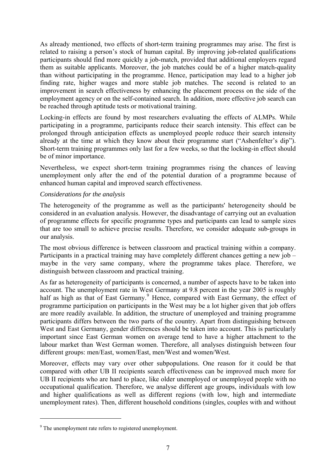<span id="page-6-0"></span>As already mentioned, two effects of short-term training programmes may arise. The first is related to raising a person's stock of human capital. By improving job-related qualifications participants should find more quickly a job-match, provided that additional employers regard them as suitable applicants. Moreover, the job matches could be of a higher match-quality than without participating in the programme. Hence, participation may lead to a higher job finding rate, higher wages and more stable job matches. The second is related to an improvement in search effectiveness by enhancing the placement process on the side of the employment agency or on the self-contained search. In addition, more effective job search can be reached through aptitude tests or motivational training.

Locking-in effects are found by most researchers evaluating the effects of ALMPs. While participating in a programme, participants reduce their search intensity. This effect can be prolonged through anticipation effects as unemployed people reduce their search intensity already at the time at which they know about their programme start ("Ashenfelter's dip"). Short-term training programmes only last for a few weeks, so that the locking-in effect should be of minor importance.

Nevertheless, we expect short-term training programmes rising the chances of leaving unemployment only after the end of the potential duration of a programme because of enhanced human capital and improved search effectiveness.

## *Considerations for the analysis*

The heterogeneity of the programme as well as the participants' heterogeneity should be considered in an evaluation analysis. However, the disadvantage of carrying out an evaluation of programme effects for specific programme types and participants can lead to sample sizes that are too small to achieve precise results. Therefore, we consider adequate sub-groups in our analysis.

The most obvious difference is between classroom and practical training within a company. Participants in a practical training may have completely different chances getting a new job – maybe in the very same company, where the programme takes place. Therefore, we distinguish between classroom and practical training.

As far as heterogeneity of participants is concerned, a number of aspects have to be taken into account. The unemployment rate in West Germany at 9.8 percent in the year 2005 is roughly half as high as that of East Germany.<sup>[9](#page-6-0)</sup> Hence, compared with East Germany, the effect of programme participation on participants in the West may be a lot higher given that job offers are more readily available. In addition, the structure of unemployed and training programme participants differs between the two parts of the country. Apart from distinguishing between West and East Germany, gender differences should be taken into account. This is particularly important since East German women on average tend to have a higher attachment to the labour market than West German women. Therefore, all analyses distinguish between four different groups: men/East, women/East, men/West and women/West.

Moreover, effects may vary over other subpopulations. One reason for it could be that compared with other UB II recipients search effectiveness can be improved much more for UB II recipients who are hard to place, like older unemployed or unemployed people with no occupational qualification. Therefore, we analyse different age groups, individuals with low and higher qualifications as well as different regions (with low, high and intermediate unemployment rates). Then, different household conditions (singles, couples with and without

1

<sup>&</sup>lt;sup>9</sup> The unemployment rate refers to registered unemployment.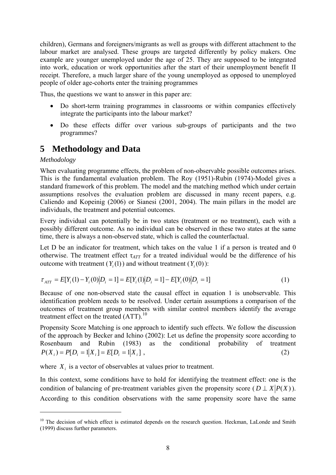<span id="page-7-0"></span>children), Germans and foreigners/migrants as well as groups with different attachment to the labour market are analysed. These groups are targeted differently by policy makers. One example are younger unemployed under the age of 25. They are supposed to be integrated into work, education or work opportunities after the start of their unemployment benefit II receipt. Therefore, a much larger share of the young unemployed as opposed to unemployed people of older age-cohorts enter the training programmes

Thus, the questions we want to answer in this paper are:

- Do short-term training programmes in classrooms or within companies effectively integrate the participants into the labour market?
- Do these effects differ over various sub-groups of participants and the two programmes?

# **5 Methodology and Data**

# *Methodology*

<u>.</u>

When evaluating programme effects, the problem of non-observable possible outcomes arises. This is the fundamental evaluation problem. The Roy (1951)-Rubin (1974)-Model gives a standard framework of this problem. The model and the matching method which under certain assumptions resolves the evaluation problem are discussed in many recent papers, e.g. Caliendo and Kopeinig (2006) or Sianesi (2001, 2004). The main pillars in the model are individuals, the treatment and potential outcomes.

Every individual can potentially be in two states (treatment or no treatment), each with a possibly different outcome. As no individual can be observed in these two states at the same time, there is always a non-observed state, which is called the counterfactual.

Let D be an indicator for treatment, which takes on the value 1 if a person is treated and 0 otherwise. The treatment effect  $\tau_{ATT}$  for a treated individual would be the difference of his outcome with treatment  $(Y_i(1))$  and without treatment  $(Y_i(0))$ :

$$
\tau_{ATT} = E[Y_i(1) - Y_i(0)|D_i = 1] = E[Y_i(1)|D_i = 1] - E[Y_i(0)|D_i = 1]
$$
\n(1)

Because of one non-observed state the causal effect in equation 1 is unobservable. This identification problem needs to be resolved. Under certain assumptions a comparison of the outcomes of treatment group members with similar control members identify the average treatment effect on the treated  $(ATT)$ .<sup>[10](#page-7-0)</sup>

Propensity Score Matching is one approach to identify such effects. We follow the discussion of the approach by Becker and Ichino (2002): Let us define the propensity score according to Rosenbaum and Rubin (1983) as the conditional probability of treatment  $P(X_i) = P[D_i = 1 | X_i] = E[D_i = 1 | X_i],$  (2)

where  $X_i$  is a vector of observables at values prior to treatment.

In this context, some conditions have to hold for identifying the treatment effect: one is the condition of balancing of pre-treatment variables given the propensity score  $(D \perp X | P(X))$ . According to this condition observations with the same propensity score have the same

<sup>&</sup>lt;sup>10</sup> The decision of which effect is estimated depends on the research question. Heckman, LaLonde and Smith (1999) discuss further parameters.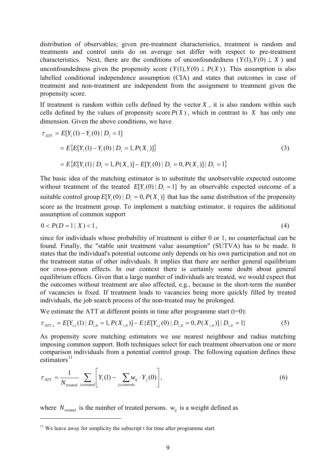<span id="page-8-0"></span>distribution of observables; given pre-treatment characteristics, treatment is random and treatments and control units do on average not differ with respect to pre-treatment characteristics. Next, there are the conditions of unconfoundedness  $(Y(1), Y(0) \perp X)$  and unconfoundedness given the propensity score  $(Y(1), Y(0) \perp P(X))$ . This assumption is also labelled conditional independence assumption (CIA) and states that outcomes in case of treatment and non-treatment are independent from the assignment to treatment given the propensity score.

If treatment is random within cells defined by the vector  $X$ , it is also random within such cells defined by the values of propensity score  $P(X)$ , which in contrast to X has only one dimension. Given the above conditions, we have

$$
\tau_{ATT} = E[Y_i(1) - Y_i(0) | D_i = 1]
$$
  
=  $E\{E[Y_i(1) - Y_i(0) | D_i = 1, P(X_i)]\}$   
=  $E\{E[Y_i(1) | D_i = 1, P(X_i)] - E[Y_i(0) | D_i = 0, P(X_i)] | D_i = 1\}$  (3)

The basic idea of the matching estimator is to substitute the unobservable expected outcome without treatment of the treated  $E[Y_i(0) | D_i = 1]$  by an observable expected outcome of a suitable control group  $E[Y_i(0) | D_i = 0, P(X_i)]$  that has the same distribution of the propensity score as the treatment group. To implement a matching estimator, it requires the additional assumption of common support

$$
0 < P(D = 1 \mid X) < 1,\tag{4}
$$

since for individuals whose probability of treatment is either 0 or 1, no counterfactual can be found. Finally, the "stable unit treatment value assumption" (SUTVA) has to be made. It states that the individual's potential outcome only depends on his own participation and not on the treatment status of other individuals. It implies that there are neither general equilibrium nor cross-person effects. In our context there is certainly some doubt about general equilibrium effects. Given that a large number of individuals are treated, we would expect that the outcomes without treatment are also affected, e.g., because in the short-term the number of vacancies is fixed. If treatment leads to vacancies being more quickly filled by treated individuals, the job search process of the non-treated may be prolonged.

We estimate the ATT at different points in time after programme start  $(t=0)$ :

$$
\tau_{ATT,t} = E[Y_{i,t}(1) | D_{i,0} = 1, P(X_{i,0})] - E\{E[Y_{i,t}(0) | D_{i,0} = 0, P(X_{i,0})] | D_{i,0} = 1\}
$$
\n
$$
(5)
$$

As propensity score matching estimators we use nearest neighbour and radius matching imposing common support. Both techniques select for each treatment observation one or more comparison individuals from a potential control group. The following equation defines these estimators $^{11}$  $^{11}$  $^{11}$ 

$$
\tau_{ATT} = \frac{1}{N_{treated}} \sum_{i \in treated} \left[ Y_i(1) - \sum_{j \in controls} w_{ij} \cdot Y_j(0) \right], \tag{6}
$$

where  $N_{treated}$  is the number of treated persons.  $W_{ii}$  is a weight defined as

1

 $11$  We leave away for simplicity the subscript t for time after programme start.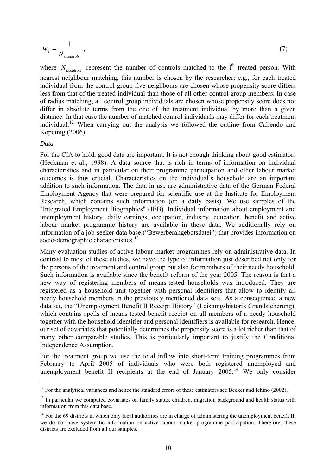<span id="page-9-0"></span>
$$
w_{ij} = \frac{1}{N_{i, controls}} \tag{7}
$$

where  $N_{i, controls}$  represent the number of controls matched to the i<sup>th</sup> treated person. With nearest neighbour matching, this number is chosen by the researcher: e.g., for each treated individual from the control group five neighbours are chosen whose propensity score differs less from that of the treated individual than those of all other control group members. In case of radius matching, all control group individuals are chosen whose propensity score does not differ in absolute terms from the one of the treatment individual by more than a given distance. In that case the number of matched control individuals may differ for each treatment individual.<sup>[12](#page-9-0)</sup> When carrying out the analysis we followed the outline from Caliendo and Kopeinig (2006).

#### *Data*

1

For the CIA to hold, good data are important. It is not enough thinking about good estimators (Heckman et al., 1998). A data source that is rich in terms of information on individual characteristics and in particular on their programme participation and other labour market outcomes is thus crucial. Characteristics on the individual's household are an important addition to such information. The data in use are administrative data of the German Federal Employment Agency that were prepared for scientific use at the Institute for Employment Research, which contains such information (on a daily basis). We use samples of the "Integrated Employment Biographies" (IEB). Individual information about employment and unemployment history, daily earnings, occupation, industry, education, benefit and active labour market programme history are available in these data. We additionally rely on information of a job-seeker data base ("Bewerberangebotsdatei") that provides information on socio-demographic characteristics.<sup>[13](#page-9-0)</sup>

Many evaluation studies of active labour market programmes rely on administrative data. In contrast to most of these studies, we have the type of information just described not only for the persons of the treatment and control group but also for members of their needy household. Such information is available since the benefit reform of the year 2005. The reason is that a new way of registering members of means-tested households was introduced. They are registered as a household unit together with personal identifiers that allow to identify all needy household members in the previously mentioned data sets. As a consequence, a new data set, the "Unemployment Benefit II Receipt History" (Leistungshistorik Grundsicherung), which contains spells of means-tested benefit receipt on all members of a needy household together with the household identifier and personal identifiers is available for research. Hence, our set of covariates that potentially determines the propensity score is a lot richer than that of many other comparable studies. This is particularly important to justify the Conditional Independence Assumption.

For the treatment group we use the total inflow into short-term training programmes from February to April 2005 of individuals who were both registered unemployed and unemployment benefit II recipients at the end of January  $2005$ .<sup>[14](#page-9-0)</sup> We only consider

 $12$  For the analytical variances and hence the standard errors of these estimators see Becker and Ichino (2002).

<sup>&</sup>lt;sup>13</sup> In particular we computed covariates on family status, children, migration background and health status with information from this data base.

 $14$  For the 69 districts in which only local authorities are in charge of administering the unemployment benefit II, we do not have systematic information on active labour market programme participation. Therefore, these districts are excluded from all our samples.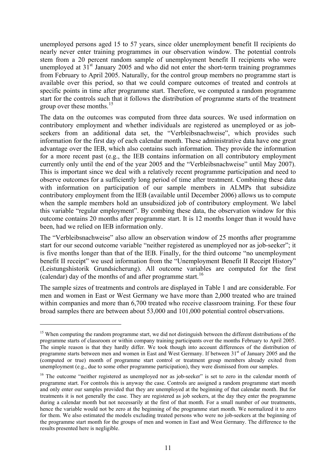<span id="page-10-0"></span>unemployed persons aged 15 to 57 years, since older unemployment benefit II recipients do nearly never enter training programmes in our observation window. The potential controls stem from a 20 percent random sample of unemployment benefit II recipients who were unemployed at  $31<sup>st</sup>$  January 2005 and who did not enter the short-term training programmes from February to April 2005. Naturally, for the control group members no programme start is available over this period, so that we could compare outcomes of treated and controls at specific points in time after programme start. Therefore, we computed a random programme start for the controls such that it follows the distribution of programme starts of the treatment group over these months. $15$ 

The data on the outcomes was computed from three data sources. We used information on contributory employment and whether individuals are registered as unemployed or as jobseekers from an additional data set, the "Verbleibsnachweise", which provides such information for the first day of each calendar month. These administrative data have one great advantage over the IEB, which also contains such information. They provide the information for a more recent past (e.g., the IEB contains information on all contributory employment currently only until the end of the year 2005 and the "Verbleibsnachweise" until May 2007). This is important since we deal with a relatively recent programme participation and need to observe outcomes for a sufficiently long period of time after treatment. Combining these data with information on participation of our sample members in ALMPs that subsidize contributory employment from the IEB (available until December 2006) allows us to compute when the sample members hold an unsubsidized job of contributory employment. We label this variable "regular employment". By combing these data, the observation window for this outcome contains 20 months after programme start. It is 12 months longer than it would have been, had we relied on IEB information only.

The "Verbleibsnachweise" also allow an observation window of 25 months after programme start for our second outcome variable "neither registered as unemployed nor as job-seeker"; it is five months longer than that of the IEB. Finally, for the third outcome "no unemployment benefit II receipt" we used information from the "Unemployment Benefit II Receipt History" (Leistungshistorik Grundsicherung). All outcome variables are computed for the first (calendar) day of the months of and after programme start.<sup>[16](#page-10-0)</sup>

The sample sizes of treatments and controls are displayed in [Table 1](#page-25-0) and are considerable. For men and women in East or West Germany we have more than 2,000 treated who are trained within companies and more than 6,700 treated who receive classroom training. For these four broad samples there are between about 53,000 and 101,000 potential control observations.

1

<sup>&</sup>lt;sup>15</sup> When computing the random programme start, we did not distinguish between the different distributions of the programme starts of classroom or within company training participants over the months February to April 2005. The simple reason is that they hardly differ. We took though into account differences of the distribution of programme starts between men and women in East and West Germany. If between 31<sup>st</sup> of January 2005 and the (computed or true) month of programme start control or treatment group members already exited from unemployment (e.g., due to some other programme participation), they were dismissed from our samples.

<sup>&</sup>lt;sup>16</sup> The outcome "neither registered as unemployed nor as job-seeker" is set to zero in the calendar month of programme start. For controls this is anyway the case. Controls are assigned a random programme start month and only enter our samples provided that they are unemployed at the beginning of that calendar month. But for treatments it is not generally the case. They are registered as job seekers, at the day they enter the programme during a calendar month but not necessarily at the first of that month. For a small number of our treatments, hence the variable would not be zero at the beginning of the programme start month. We normalized it to zero for them. We also estimated the models excluding treated persons who were no job-seekers at the beginning of the programme start month for the groups of men and women in East and West Germany. The difference to the results presented here is negligible.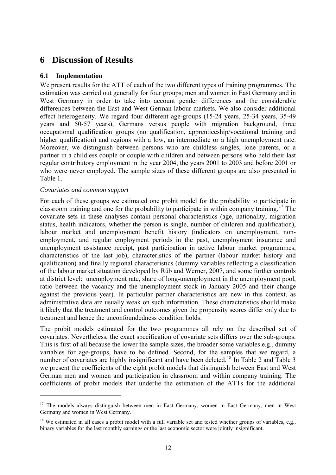# <span id="page-11-0"></span>**6 Discussion of Results**

# **6.1 Implementation**

We present results for the ATT of each of the two different types of training programmes. The estimation was carried out generally for four groups; men and women in East Germany and in West Germany in order to take into account gender differences and the considerable differences between the East and West German labour markets. We also consider additional effect heterogeneity. We regard four different age-groups (15-24 years, 25-34 years, 35-49 years and 50-57 years), Germans versus people with migration background, three occupational qualification groups (no qualification, apprenticeship/vocational training and higher qualification) and regions with a low, an intermediate or a high unemployment rate. Moreover, we distinguish between persons who are childless singles, lone parents, or a partner in a childless couple or couple with children and between persons who held their last regular contributory employment in the year 2004, the years 2001 to 2003 and before 2001 or who were never employed. The sample sizes of these different groups are also presented in [Table 1](#page-25-0).

## *Covariates and common support*

1

For each of these groups we estimated one probit model for the probability to participate in classroom training and one for the probability to participate in within company training.<sup>[17](#page-11-0)</sup> The covariate sets in these analyses contain personal characteristics (age, nationality, migration status, health indicators, whether the person is single, number of children and qualification), labour market and unemployment benefit history (indicators on unemployment, nonemployment, and regular employment periods in the past, unemployment insurance and unemployment assistance receipt, past participation in active labour market programmes, characteristics of the last job), characteristics of the partner (labour market history and qualification) and finally regional characteristics (dummy variables reflecting a classification of the labour market situation developed by Rüb and Werner, 2007, and some further controls at district level: unemployment rate, share of long-unemployment in the unemployment pool, ratio between the vacancy and the unemployment stock in January 2005 and their change against the previous year). In particular partner characteristics are new in this context, as administrative data are usually weak on such information. These characteristics should make it likely that the treatment and control outcomes given the propensity scores differ only due to treatment and hence the unconfoundedness condition holds.

The probit models estimated for the two programmes all rely on the described set of covariates. Nevertheless, the exact specification of covariate sets differs over the sub-groups. This is first of all because the lower the sample sizes, the broader some variables e.g., dummy variables for age-groups, have to be defined. Second, for the samples that we regard, a number of covariates are highly insignificant and have been deleted.<sup>[18](#page-11-0)</sup> In [Table 2](#page-26-0) and [Table 3](#page-29-0) we present the coefficients of the eight probit models that distinguish between East and West German men and women and participation in classroom and within company training. The coefficients of probit models that underlie the estimation of the ATTs for the additional

<sup>&</sup>lt;sup>17</sup> The models always distinguish between men in East Germany, women in East Germany, men in West Germany and women in West Germany.

<sup>&</sup>lt;sup>18</sup> We estimated in all cases a probit model with a full variable set and tested whether groups of variables, e.g., binary variables for the last monthly earnings or the last economic sector were jointly insignificant.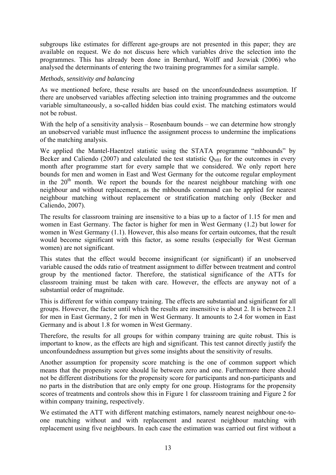subgroups like estimates for different age-groups are not presented in this paper; they are available on request. We do not discuss here which variables drive the selection into the programmes. This has already been done in Bernhard, Wolff and Jozwiak (2006) who analysed the determinants of entering the two training programmes for a similar sample.

#### *Methods, sensitivity and balancing*

As we mentioned before, these results are based on the unconfoundedness assumption. If there are unobserved variables affecting selection into training programmes and the outcome variable simultaneously, a so-called hidden bias could exist. The matching estimators would not be robust.

With the help of a sensitivity analysis – Rosenbaum bounds – we can determine how strongly an unobserved variable must influence the assignment process to undermine the implications of the matching analysis.

We applied the Mantel-Haentzel statistic using the STATA programme "mhbounds" by Becker and Caliendo (2007) and calculated the test statistic  $Q_{MH}$  for the outcomes in every month after programme start for every sample that we considered. We only report here bounds for men and women in East and West Germany for the outcome regular employment in the  $20<sup>th</sup>$  month. We report the bounds for the nearest neighbour matching with one neighbour and without replacement, as the mhbounds command can be applied for nearest neighbour matching without replacement or stratification matching only (Becker and Caliendo, 2007).

The results for classroom training are insensitive to a bias up to a factor of 1.15 for men and women in East Germany. The factor is higher for men in West Germany (1.2) but lower for women in West Germany (1.1). However, this also means for certain outcomes, that the result would become significant with this factor, as some results (especially for West German women) are not significant.

This states that the effect would become insignificant (or significant) if an unobserved variable caused the odds ratio of treatment assignment to differ between treatment and control group by the mentioned factor. Therefore, the statistical significance of the ATTs for classroom training must be taken with care. However, the effects are anyway not of a substantial order of magnitude.

This is different for within company training. The effects are substantial and significant for all groups. However, the factor until which the results are insensitive is about 2. It is between 2.1 for men in East Germany, 2 for men in West Germany. It amounts to 2.4 for women in East Germany and is about 1.8 for women in West Germany.

Therefore, the results for all groups for within company training are quite robust. This is important to know, as the effects are high and significant. This test cannot directly justify the unconfoundedness assumption but gives some insights about the sensitivity of results.

Another assumption for propensity score matching is the one of common support which means that the propensity score should lie between zero and one. Furthermore there should not be different distributions for the propensity score for participants and non-participants and no parts in the distribution that are only empty for one group. Histograms for the propensity scores of treatments and controls show this in [Figure 1](#page-49-0) for classroom training and [Figure 2](#page-49-1) for within company training, respectively.

We estimated the ATT with different matching estimators, namely nearest neighbour one-toone matching without and with replacement and nearest neighbour matching with replacement using five neighbours. In each case the estimation was carried out first without a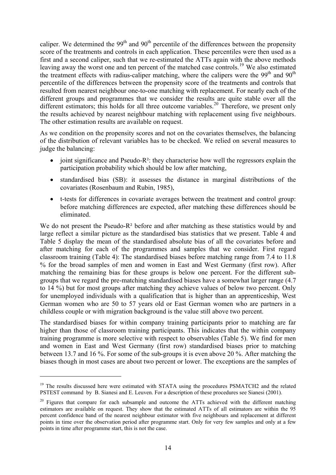<span id="page-13-0"></span>caliper. We determined the  $99<sup>th</sup>$  and  $90<sup>th</sup>$  percentile of the differences between the propensity score of the treatments and controls in each application. These percentiles were then used as a first and a second caliper, such that we re-estimated the ATTs again with the above methods leaving away the worst one and ten percent of the matched case controls.<sup>[19](#page-13-0)</sup> We also estimated the treatment effects with radius-caliper matching, where the calipers were the  $99<sup>th</sup>$  and  $90<sup>th</sup>$ percentile of the differences between the propensity score of the treatments and controls that resulted from nearest neighbour one-to-one matching with replacement. For nearly each of the different groups and programmes that we consider the results are quite stable over all the different estimators; this holds for all three outcome variables.<sup>[20](#page-13-0)</sup> Therefore, we present only the results achieved by nearest neighbour matching with replacement using five neighbours. The other estimation results are available on request.

As we condition on the propensity scores and not on the covariates themselves, the balancing of the distribution of relevant variables has to be checked. We relied on several measures to judge the balancing:

- joint significance and Pseudo-R<sup>2</sup>: they characterise how well the regressors explain the participation probability which should be low after matching,
- standardised bias (SB): it assesses the distance in marginal distributions of the covariates (Rosenbaum and Rubin, 1985),
- t-tests for differences in covariate averages between the treatment and control group: before matching differences are expected, after matching these differences should be eliminated.

We do not present the Pseudo-R<sup>2</sup> before and after matching as these statistics would by and large reflect a similar picture as the standardised bias statistics that we present. [Table 4](#page-32-0) and [Table 5](#page-33-0) display the mean of the standardised absolute bias of all the covariates before and after matching for each of the programmes and samples that we consider. First regard classroom training ([Table 4\)](#page-32-0): The standardised biases before matching range from 7.4 to 11.8 % for the broad samples of men and women in East and West Germany (first row). After matching the remaining bias for these groups is below one percent. For the different subgroups that we regard the pre-matching standardised biases have a somewhat larger range (4.7 to 14 %) but for most groups after matching they achieve values of below two percent. Only for unemployed individuals with a qualification that is higher than an apprenticeship, West German women who are 50 to 57 years old or East German women who are partners in a childless couple or with migration background is the value still above two percent.

The standardised biases for within company training participants prior to matching are far higher than those of classroom training participants. This indicates that the within company training programme is more selective with respect to observables ([Table 5\)](#page-33-0). We find for men and women in East and West Germany (first row) standardised biases prior to matching between 13.7 and 16 %. For some of the sub-groups it is even above 20 %. After matching the biases though in most cases are about two percent or lower. The exceptions are the samples of

1

<sup>&</sup>lt;sup>19</sup> The results discussed here were estimated with STATA using the procedures PSMATCH2 and the related PSTEST command by B. Sianesi and E. Leuven. For a description of these procedures see Sianesi (2001).

 $20$  Figures that compare for each subsample and outcome the ATTs achieved with the different matching estimators are available on request. They show that the estimated ATTs of all estimators are within the 95 percent confidence band of the nearest neighbour estimator with five neighbours and replacement at different points in time over the observation period after programme start. Only for very few samples and only at a few points in time after programme start, this is not the case.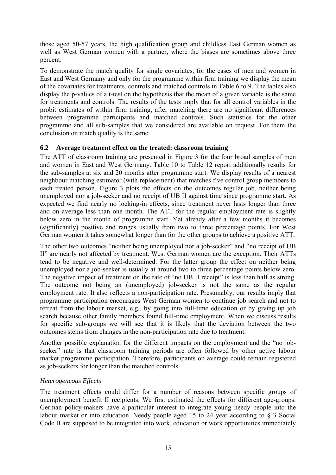those aged 50-57 years, the high qualification group and childless East German women as well as West German women with a partner, where the biases are sometimes above three percent.

To demonstrate the match quality for single covariates, for the cases of men and women in East and West Germany and only for the programme within firm training we display the mean of the covariates for treatments, controls and matched controls in [Table 6](#page-34-0) to 9. The tables also display the p-values of a t-test on the hypothesis that the mean of a given variable is the same for treatments and controls. The results of the tests imply that for all control variables in the probit estimates of within firm training, after matching there are no significant differences between programme participants and matched controls. Such statistics for the other programme and all sub-samples that we considered are available on request. For them the conclusion on match quality is the same.

# **6.2 Average treatment effect on the treated: classroom training**

The ATT of classroom training are presented in [Figure 3](#page-50-0) for the four broad samples of men and women in East and West Germany. [Table 10](#page-42-0) to [Table 12](#page-44-0) report additionally results for the sub-samples at six and 20 months after programme start. We display results of a nearest neighbour matching estimator (with replacement) that matches five control group members to each treated person. [Figure 3](#page-50-0) plots the effects on the outcomes regular job, neither being unemployed nor a job-seeker and no receipt of UB II against time since programme start. As expected we find nearly no locking-in effects, since treatment never lasts longer than three and on average less than one month. The ATT for the regular employment rate is slightly below zero in the month of programme start. Yet already after a few months it becomes (significantly) positive and ranges usually from two to three percentage points. For West German women it takes somewhat longer than for the other groups to achieve a positive ATT.

The other two outcomes "neither being unemployed nor a job-seeker" and "no receipt of UB II" are nearly not affected by treatment. West German women are the exception. Their ATTs tend to be negative and well-determined. For the latter group the effect on neither being unemployed nor a job-seeker is usually at around two to three percentage points below zero. The negative impact of treatment on the rate of "no UB II receipt" is less than half as strong. The outcome not being an (unemployed) job-seeker is not the same as the regular employment rate. It also reflects a non-participation rate. Presumably, our results imply that programme participation encourages West German women to continue job search and not to retreat from the labour market, e.g., by going into full-time education or by giving up job search because other family members found full-time employment. When we discuss results for specific sub-groups we will see that it is likely that the deviation between the two outcomes stems from changes in the non-participation rate due to treatment.

Another possible explanation for the different impacts on the employment and the "no jobseeker" rate is that classroom training periods are often followed by other active labour market programme participation. Therefore, participants on average could remain registered as job-seekers for longer than the matched controls.

# *Heterogeneous Effects*

The treatment effects could differ for a number of reasons between specific groups of unemployment benefit II recipients. We first estimated the effects for different age-groups. German policy-makers have a particular interest to integrate young needy people into the labour market or into education. Needy people aged 15 to 24 year according to § 3 Social Code II are supposed to be integrated into work, education or work opportunities immediately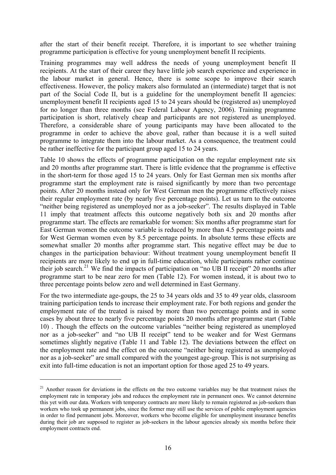<span id="page-15-0"></span>after the start of their benefit receipt. Therefore, it is important to see whether training programme participation is effective for young unemployment benefit II recipients.

Training programmes may well address the needs of young unemployment benefit II recipients. At the start of their career they have little job search experience and experience in the labour market in general. Hence, there is some scope to improve their search effectiveness. However, the policy makers also formulated an (intermediate) target that is not part of the Social Code II, but is a guideline for the unemployment benefit II agencies: unemployment benefit II recipients aged 15 to 24 years should be (registered as) unemployed for no longer than three months (see Federal Labour Agency, 2006). Training programme participation is short, relatively cheap and participants are not registered as unemployed. Therefore, a considerable share of young participants may have been allocated to the programme in order to achieve the above goal, rather than because it is a well suited programme to integrate them into the labour market. As a consequence, the treatment could be rather ineffective for the participant group aged 15 to 24 years.

[Table 10](#page-42-0) shows the effects of programme participation on the regular employment rate six and 20 months after programme start. There is little evidence that the programme is effective in the short-term for those aged 15 to 24 years. Only for East German men six months after programme start the employment rate is raised significantly by more than two percentage points. After 20 months instead only for West German men the programme effectively raises their regular employment rate (by nearly five percentage points). Let us turn to the outcome "neither being registered as unemployed nor as a job-seeker". The results displayed in [Table](#page-43-0)  [11](#page-43-0) imply that treatment affects this outcome negatively both six and 20 months after programme start. The effects are remarkable for women: Six months after programme start for East German women the outcome variable is reduced by more than 4.5 percentage points and for West German women even by 8.5 percentage points. In absolute terms these effects are somewhat smaller 20 months after programme start. This negative effect may be due to changes in the participation behaviour: Without treatment young unemployment benefit II recipients are more likely to end up in full-time education, while participants rather continue their job search.<sup>[21](#page-15-0)</sup> We find the impacts of participation on "no UB II receipt" 20 months after programme start to be near zero for men ([Table 12](#page-44-0)). For women instead, it is about two to three percentage points below zero and well determined in East Germany.

For the two intermediate age-goups, the 25 to 34 years olds and 35 to 49 year olds, classroom training participation tends to increase their employment rate. For both regions and gender the employment rate of the treated is raised by more than two percentage points and in some cases by about three to nearly five percentage points 20 months after programme start [\(Table](#page-42-0)  [10\)](#page-42-0) . Though the effects on the outcome variables "neither being registered as unemployed nor as a job-seeker" and "no UB II receipt" tend to be weaker and for West Germans sometimes slightly negative [\(Table 11](#page-43-0) and [Table 12](#page-44-0)). The deviations between the effect on the employment rate and the effect on the outcome "neither being registered as unemployed nor as a job-seeker" are small compared with the youngest age-group. This is not surprising as exit into full-time education is not an important option for those aged 25 to 49 years.

1

<sup>&</sup>lt;sup>21</sup> Another reason for deviations in the effects on the two outcome variables may be that treatment raises the employment rate in temporary jobs and reduces the employment rate in permanent ones. We cannot determine this yet with our data. Workers with temporary contracts are more likely to remain registered as job-seekers than workers who took up permanent jobs, since the former may still use the services of public employment agencies in order to find permanent jobs. Moreover, workers who become eligible for unemployment insurance benefits during their job are supposed to register as job-seekers in the labour agencies already six months before their employment contracts end.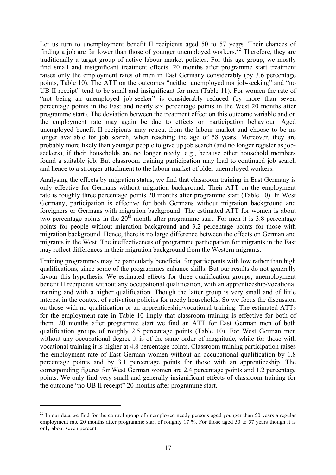<span id="page-16-0"></span>Let us turn to unemployment benefit II recipients aged 50 to 57 years. Their chances of finding a job are far lower than those of younger unemployed workers.<sup>[22](#page-16-0)</sup> Therefore, they are traditionally a target group of active labour market policies. For this age-group, we mostly find small and insignificant treatment effects. 20 months after programme start treatment raises only the employment rates of men in East Germany considerably (by 3.6 percentage points, [Table 10](#page-42-0)). The ATT on the outcomes "neither unemployed nor job-seeking" and "no UB II receipt" tend to be small and insignificant for men ([Table 11](#page-43-0)). For women the rate of "not being an unemployed job-seeker" is considerably reduced (by more than seven percentage points in the East and nearly six percentage points in the West 20 months after programme start). The deviation between the treatment effect on this outcome variable and on the employment rate may again be due to effects on participation behaviour. Aged unemployed benefit II recipients may retreat from the labour market and choose to be no longer available for job search, when reaching the age of 58 years. Moreover, they are probably more likely than younger people to give up job search (and no longer register as jobseekers), if their households are no longer needy, e.g., because other household members found a suitable job. But classroom training participation may lead to continued job search and hence to a stronger attachment to the labour market of older unemployed workers.

Analysing the effects by migration status, we find that classroom training in East Germany is only effective for Germans without migration background. Their ATT on the employment rate is roughly three percentage points 20 months after programme start ([Table 10](#page-42-0)). In West Germany, participation is effective for both Germans without migration background and foreigners or Germans with migration background: The estimated ATT for women is about two percentage points in the  $20<sup>th</sup>$  month after programme start. For men it is 3.8 percentage points for people without migration background and 3.2 percentage points for those with migration background. Hence, there is no large difference between the effects on German and migrants in the West. The ineffectiveness of programme participation for migrants in the East may reflect differences in their migration background from the Western migrants.

Training programmes may be particularly beneficial for participants with low rather than high qualifications, since some of the programmes enhance skills. But our results do not generally favour this hypothesis. We estimated effects for three qualification groups, unemployment benefit II recipients without any occupational qualification, with an apprenticeship/vocational training and with a higher qualification. Though the latter group is very small and of little interest in the context of activation policies for needy households. So we focus the discussion on those with no qualification or an apprenticeship/vocational training. The estimated ATTs for the employment rate in [Table 10](#page-42-0) imply that classroom training is effective for both of them. 20 months after programme start we find an ATT for East German men of both qualification groups of roughly 2.5 percentage points [\(Table 10\)](#page-42-0). For West German men without any occupational degree it is of the same order of magnitude, while for those with vocational training it is higher at 4.8 percentage points. Classroom training participation raises the employment rate of East German women without an occupational qualification by 1.8 percentage points and by 3.1 percentage points for those with an apprenticeship. The corresponding figures for West German women are 2.4 percentage points and 1.2 percentage points. We only find very small and generally insignificant effects of classroom training for the outcome "no UB II receipt" 20 months after programme start.

1

<sup>&</sup>lt;sup>22</sup> In our data we find for the control group of unemployed needy persons aged younger than 50 years a regular employment rate 20 months after programme start of roughly 17 %. For those aged 50 to 57 years though it is only about seven percent.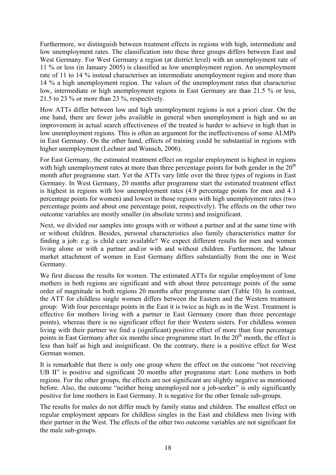Furthermore, we distinguish between treatment effects in regions with high, intermediate and low unemployment rates. The classification into these three groups differs between East and West Germany. For West Germany a region (at district level) with an unemployment rate of 11 % or less (in January 2005) is classified as low unemployment region. An unemployment rate of 11 to 14 % instead characterises an intermediate unemployment region and more than 14 % a high unemployment region. The values of the unemployment rates that characterise low, intermediate or high unemployment regions in East Germany are than 21.5 % or less, 21.5 to 23 % or more than 23 %, respectively.

How ATTs differ between low and high unemployment regions is not a priori clear. On the one hand, there are fewer jobs available in general when unemployment is high and so an improvement in actual search effectiveness of the treated is harder to achieve in high than in low unemployment regions. This is often an argument for the ineffectiveness of some ALMPs in East Germany. On the other hand, effects of training could be substantial in regions with higher unemployment (Lechner and Wunsch, 2006).

For East Germany, the estimated treatment effect on regular employment is highest in regions with high unemployment rates at more than three percentage points for both gender in the  $20<sup>th</sup>$ month after programme start. Yet the ATTs vary little over the three types of regions in East Germany. In West Germany, 20 months after programme start the estimated treatment effect is highest in regions with low unemployment rates (4.9 percentage points for men and 4.1 percentage points for women) and lowest in those regions with high unemployment rates (two percentage points and about one percentage point, respectively). The effects on the other two outcome variables are mostly smaller (in absolute terms) and insignificant.

Next, we divided our samples into groups with or without a partner and at the same time with or without children. Besides, personal characteristics also family characteristics matter for finding a job: e.g. is child care available? We expect different results for men and women living alone or with a partner and/or with and without children. Furthermore, the labour market attachment of women in East Germany differs substantially from the one in West Germany.

We first discuss the results for women. The estimated ATTs for regular employment of lone mothers in both regions are significant and with about three percentage points of the same order of magnitude in both regions 20 months after programme start [\(Table 10\)](#page-42-0). In contrast, the ATT for childless single women differs between the Eastern and the Western treatment group: With four percentage points in the East it is twice as high as in the West. Treatment is effective for mothers living with a partner in East Germany (more than three percentage points), whereas there is no significant effect for their Western sisters. For childless women living with their partner we find a (significant) positive effect of more than four percentage points in East Germany after six months since programme start. In the 20<sup>th</sup> month, the effect is less than half as high and insignificant. On the contrary, there is a positive effect for West German women.

It is remarkable that there is only one group where the effect on the outcome "not receiving UB II" is positive and significant 20 months after programme start: Lone mothers in both regions. For the other groups, the effects are not significant are slightly negative as mentioned before. Also, the outcome "neither being unemployed nor a job-seeker" is only significantly positive for lone mothers in East Germany. It is negative for the other female sub-groups.

The results for males do not differ much by family status and children. The smallest effect on regular employment appears for childless singles in the East and childless men living with their partner in the West. The effects of the other two outcome variables are not significant for the male sub-groups.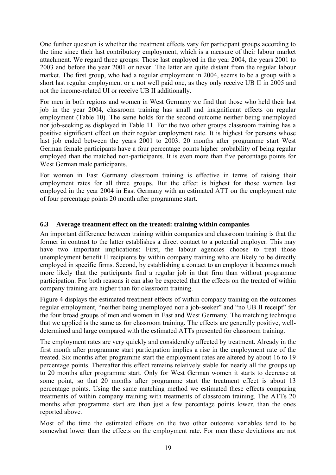One further question is whether the treatment effects vary for participant groups according to the time since their last contributory employment, which is a measure of their labour market attachment. We regard three groups: Those last employed in the year 2004, the years 2001 to 2003 and before the year 2001 or never. The latter are quite distant from the regular labour market. The first group, who had a regular employment in 2004, seems to be a group with a short last regular employment or a not well paid one, as they only receive UB II in 2005 and not the income-related UI or receive UB II additionally.

For men in both regions and women in West Germany we find that those who held their last job in the year 2004, classroom training has small and insignificant effects on regular employment [\(Table 10\)](#page-42-0). The same holds for the second outcome neither being unemployed nor job-seeking as displayed in [Table 11.](#page-43-0) For the two other groups classroom training has a positive significant effect on their regular employment rate. It is highest for persons whose last job ended between the years 2001 to 2003. 20 months after programme start West German female participants have a four percentage points higher probability of being regular employed than the matched non-participants. It is even more than five percentage points for West German male participants.

For women in East Germany classroom training is effective in terms of raising their employment rates for all three groups. But the effect is highest for those women last employed in the year 2004 in East Germany with an estimated ATT on the employment rate of four percentage points 20 month after programme start.

# **6.3 Average treatment effect on the treated: training within companies**

An important difference between training within companies and classroom training is that the former in contrast to the latter establishes a direct contact to a potential employer. This may have two important implications: First, the labour agencies choose to treat those unemployment benefit II recipients by within company training who are likely to be directly employed in specific firms. Second, by establishing a contact to an employer it becomes much more likely that the participants find a regular job in that firm than without programme participation. For both reasons it can also be expected that the effects on the treated of within company training are higher than for classroom training.

[Figure 4](#page-50-1) displays the estimated treatment effects of within company training on the outcomes regular employment, "neither being unemployed nor a job-seeker" and "no UB II receipt" for the four broad groups of men and women in East and West Germany. The matching technique that we applied is the same as for classroom training. The effects are generally positive, welldetermined and large compared with the estimated ATTs presented for classroom training.

The employment rates are very quickly and considerably affected by treatment. Already in the first month after programme start participation implies a rise in the employment rate of the treated. Six months after programme start the employment rates are altered by about 16 to 19 percentage points. Thereafter this effect remains relatively stable for nearly all the groups up to 20 months after programme start. Only for West German women it starts to decrease at some point, so that 20 months after programme start the treatment effect is about 13 percentage points. Using the same matching method we estimated these effects comparing treatments of within company training with treatments of classroom training. The ATTs 20 months after programme start are then just a few percentage points lower, than the ones reported above.

Most of the time the estimated effects on the two other outcome variables tend to be somewhat lower than the effects on the employment rate. For men these deviations are not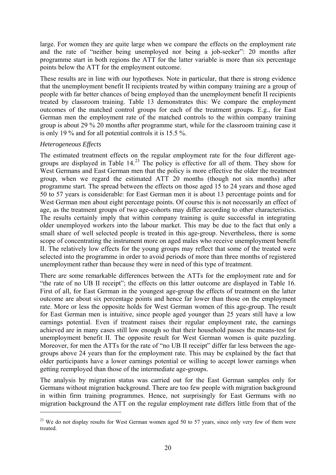<span id="page-19-0"></span>large. For women they are quite large when we compare the effects on the employment rate and the rate of "neither being unemployed nor being a job-seeker": 20 months after programme start in both regions the ATT for the latter variable is more than six percentage points below the ATT for the employment outcome.

These results are in line with our hypotheses. Note in particular, that there is strong evidence that the unemployment benefit II recipients treated by within company training are a group of people with far better chances of being employed than the unemployment benefit II recipients treated by classroom training. [Table](#page-45-0) 13 demonstrates this: We compare the employment outcomes of the matched control groups for each of the treatment groups. E.g., for East German men the employment rate of the matched controls to the within company training group is about 29 % 20 months after programme start, while for the classroom training case it is only 19 % and for all potential controls it is 15.5 %.

# *Heterogeneous Effects*

<u>.</u>

The estimated treatment effects on the regular employment rate for the four different agegroups are displayed in [Table 14.](#page-46-0) [23](#page-19-0) The policy is effective for all of them. They show for West Germans and East German men that the policy is more effective the older the treatment group, when we regard the estimated ATT 20 months (though not six months) after programme start. The spread between the effects on those aged 15 to 24 years and those aged 50 to 57 years is considerable: for East German men it is about 13 percentage points and for West German men about eight percentage points. Of course this is not necessarily an effect of age, as the treatment groups of two age-cohorts may differ according to other characteristics. The results certainly imply that within company training is quite successful in integrating older unemployed workers into the labour market. This may be due to the fact that only a small share of well selected people is treated in this age-group. Nevertheless, there is some scope of concentrating the instrument more on aged males who receive unemployment benefit II. The relatively low effects for the young groups may reflect that some of the treated were selected into the programme in order to avoid periods of more than three months of registered unemployment rather than because they were in need of this type of treatment.

There are some remarkable differences between the ATTs for the employment rate and for "the rate of no UB II receipt"; the effects on this latter outcome are displayed in [Table 16.](#page-48-0) First of all, for East German in the youngest age-group the effects of treatment on the latter outcome are about six percentage points and hence far lower than those on the employment rate. More or less the opposite holds for West German women of this age-group. The result for East German men is intuitive, since people aged younger than 25 years still have a low earnings potential. Even if treatment raises their regular employment rate, the earnings achieved are in many cases still low enough so that their household passes the means-test for unemployment benefit II. The opposite result for West German women is quite puzzling. Moreover, for men the ATTs for the rate of "no UB II receipt" differ far less between the agegroups above 24 years than for the employment rate. This may be explained by the fact that older participants have a lower earnings potential or willing to accept lower earnings when getting reemployed than those of the intermediate age-groups.

The analysis by migration status was carried out for the East German samples only for Germans without migration background. There are too few people with migration background in within firm training programmes. Hence, not surprisingly for East Germans with no migration background the ATT on the regular employment rate differs little from that of the

 $^{23}$  We do not display results for West German women aged 50 to 57 years, since only very few of them were treated.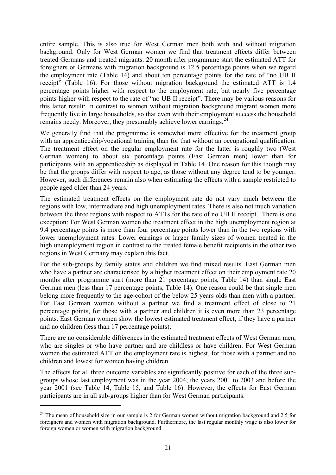<span id="page-20-0"></span>entire sample. This is also true for West German men both with and without migration background. Only for West German women we find that treatment effects differ between treated Germans and treated migrants. 20 month after programme start the estimated ATT for foreigners or Germans with migration background is 12.5 percentage points when we regard the employment rate ([Table 14\)](#page-46-0) and about ten percentage points for the rate of "no UB II receipt" [\(Table 16\)](#page-48-0). For those without migration background the estimated ATT is 1.4 percentage points higher with respect to the employment rate, but nearly five percentage points higher with respect to the rate of "no UB II receipt". There may be various reasons for this latter result: In contrast to women without migration background migrant women more frequently live in large households, so that even with their employment success the household remains needy. Moreover, they presumably achieve lower earnings.<sup>[24](#page-20-0)</sup>

We generally find that the programme is somewhat more effective for the treatment group with an apprenticeship/vocational training than for that without an occupational qualification. The treatment effect on the regular employment rate for the latter is roughly two (West German women) to about six percentage points (East German men) lower than for participants with an apprenticeship as displayed in [Table 14](#page-46-0). One reason for this though may be that the groups differ with respect to age, as those without any degree tend to be younger. However, such differences remain also when estimating the effects with a sample restricted to people aged older than 24 years.

The estimated treatment effects on the employment rate do not vary much between the regions with low, intermediate and high unemployment rates. There is also not much variation between the three regions with respect to ATTs for the rate of no UB II receipt. There is one exception: For West German women the treatment effect in the high unemployment region at 9.4 percentage points is more than four percentage points lower than in the two regions with lower unemployment rates. Lower earnings or larger family sizes of women treated in the high unemployment region in contrast to the treated female benefit recipients in the other two regions in West Germany may explain this fact.

For the sub-groups by family status and children we find mixed results. East German men who have a partner are characterised by a higher treatment effect on their employment rate 20 months after programme start (more than 21 percentage points, [Table 14](#page-46-0)) than single East German men (less than 17 percentage points, [Table 14](#page-46-0)). One reason could be that single men belong more frequently to the age-cohort of the below 25 years olds than men with a partner. For East German women without a partner we find a treatment effect of close to 21 percentage points, for those with a partner and children it is even more than 23 percentage points. East German women show the lowest estimated treatment effect, if they have a partner and no children (less than 17 percentage points).

There are no considerable differences in the estimated treatment effects of West German men, who are singles or who have partner and are childless or have children. For West German women the estimated ATT on the employment rate is highest, for those with a partner and no children and lowest for women having children.

The effects for all three outcome variables are significantly positive for each of the three subgroups whose last employment was in the year 2004, the years 2001 to 2003 and before the year 2001 (see [Table 14](#page-46-0), [Table 15](#page-47-0), and [Table 16\)](#page-48-0). However, the effects for East German participants are in all sub-groups higher than for West German participants.

1

 $24$  The mean of household size in our sample is 2 for German women without migration background and 2.5 for foreigners and women with migration background. Furthermore, the last regular monthly wage is also lower for foreign women or women with migration background.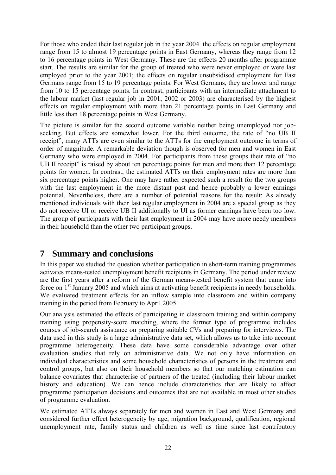For those who ended their last regular job in the year 2004 the effects on regular employment range from 15 to almost 19 percentage points in East Germany, whereas they range from 12 to 16 percentage points in West Germany. These are the effects 20 months after programme start. The results are similar for the group of treated who were never employed or were last employed prior to the year 2001; the effects on regular unsubsidised employment for East Germans range from 15 to 19 percentage points. For West Germans, they are lower and range from 10 to 15 percentage points. In contrast, participants with an intermediate attachment to the labour market (last regular job in 2001, 2002 or 2003) are characterised by the highest effects on regular employment with more than 21 percentage points in East Germany and little less than 18 percentage points in West Germany.

The picture is similar for the second outcome variable neither being unemployed nor jobseeking. But effects are somewhat lower. For the third outcome, the rate of "no UB II receipt", many ATTs are even similar to the ATTs for the employment outcome in terms of order of magnitude. A remarkable deviation though is observed for men and women in East Germany who were employed in 2004. For participants from these groups their rate of "no UB II receipt" is raised by about ten percentage points for men and more than 12 percentage points for women. In contrast, the estimated ATTs on their employment rates are more than six percentage points higher. One may have rather expected such a result for the two groups with the last employment in the more distant past and hence probably a lower earnings potential. Nevertheless, there are a number of potential reasons for the result: As already mentioned individuals with their last regular employment in 2004 are a special group as they do not receive UI or receive UB II additionally to UI as former earnings have been too low. The group of participants with their last employment in 2004 may have more needy members in their household than the other two participant groups.

# **7 Summary and conclusions**

In this paper we studied the question whether participation in short-term training programmes activates means-tested unemployment benefit recipients in Germany. The period under review are the first years after a reform of the German means-tested benefit system that came into force on 1<sup>st</sup> January 2005 and which aims at activating benefit recipients in needy households. We evaluated treatment effects for an inflow sample into classroom and within company training in the period from February to April 2005.

Our analysis estimated the effects of participating in classroom training and within company training using propensity-score matching, where the former type of programme includes courses of job-search assistance on preparing suitable CVs and preparing for interviews. The data used in this study is a large administrative data set, which allows us to take into account programme heterogeneity. These data have some considerable advantage over other evaluation studies that rely on administrative data. We not only have information on individual characteristics and some household characteristics of persons in the treatment and control groups, but also on their household members so that our matching estimation can balance covariates that characterise of partners of the treated (including their labour market history and education). We can hence include characteristics that are likely to affect programme participation decisions and outcomes that are not available in most other studies of programme evaluation.

We estimated ATTs always separately for men and women in East and West Germany and considered further effect heterogeneity by age, migration background, qualification, regional unemployment rate, family status and children as well as time since last contributory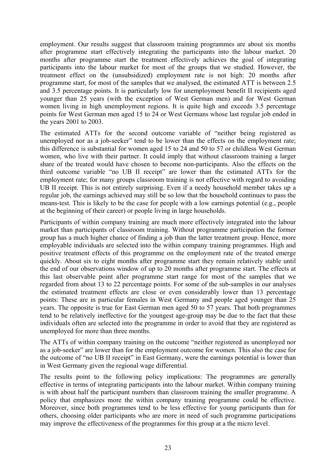employment. Our results suggest that classroom training programmes are about six months after programme start effectively integrating the participants into the labour market. 20 months after programme start the treatment effectively achieves the goal of integrating participants into the labour market for most of the groups that we studied. However, the treatment effect on the (unsubsidized) employment rate is not high: 20 months after programme start, for most of the samples that we analysed, the estimated ATT is between 2.5 and 3.5 percentage points. It is particularly low for unemployment benefit II recipients aged younger than 25 years (with the exception of West German men) and for West German women living in high unemployment regions. It is quite high and exceeds 3.5 percentage points for West German men aged 15 to 24 or West Germans whose last regular job ended in the years 2001 to 2003.

The estimated ATTs for the second outcome variable of "neither being registered as unemployed nor as a job-seeker" tend to be lower than the effects on the employment rate; this difference is substantial for women aged 15 to 24 and 50 to 57 or childless West German women, who live with their partner. It could imply that without classroom training a larger share of the treated would have chosen to become non-participants. Also the effects on the third outcome variable "no UB II receipt" are lower than the estimated ATTs for the employment rate; for many groups classroom training is not effective with regard to avoiding UB II receipt. This is not entirely surprising. Even if a needy household member takes up a regular job, the earnings achieved may still be so low that the household continues to pass the means-test. This is likely to be the case for people with a low earnings potential (e.g., people at the beginning of their career) or people living in large households.

Participants of within company training are much more effectively integrated into the labour market than participants of classroom training. Without programme participation the former group has a much higher chance of finding a job than the latter treatment group. Hence, more employable individuals are selected into the within company training programmes. High and positive treatment effects of this programme on the employment rate of the treated emerge quickly. About six to eight months after programme start they remain relatively stable until the end of our observations window of up to 20 months after programme start. The effects at this last observable point after programme start range for most of the samples that we regarded from about 13 to 22 percentage points. For some of the sub-samples in our analyses the estimated treatment effects are close or even considerably lower than 13 percentage points: These are in particular females in West Germany and people aged younger than 25 years. The opposite is true for East German men aged 50 to 57 years. That both programmes tend to be relatively ineffective for the youngest age-group may be due to the fact that these individuals often are selected into the programme in order to avoid that they are registered as unemployed for more than three months.

The ATTs of within company training on the outcome "neither registered as unemployed nor as a job-seeker" are lower than for the employment outcome for women. This also the case for the outcome of "no UB II receipt" in East Germany, were the earnings potential is lower than in West Germany given the regional wage differential.

The results point to the following policy implications: The programmes are generally effective in terms of integrating participants into the labour market. Within company training is with about half the participant numbers than classroom training the smaller programme. A policy that emphasizes more the within company training programme could be effective. Moreover, since both programmes tend to be less effective for young participants than for others, choosing older participants who are more in need of such programme participations may improve the effectiveness of the programmes for this group at a the micro level.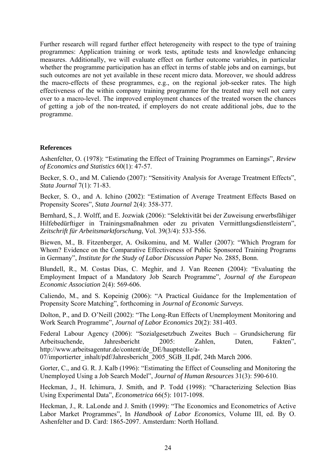Further research will regard further effect heterogeneity with respect to the type of training programmes: Application training or work tests, aptitude tests and knowledge enhancing measures. Additionally, we will evaluate effect on further outcome variables, in particular whether the programme participation has an effect in terms of stable jobs and on earnings, but such outcomes are not yet available in these recent micro data. Moreover, we should address the macro-effects of these programmes, e.g., on the regional job-seeker rates. The high effectiveness of the within company training programme for the treated may well not carry over to a macro-level. The improved employment chances of the treated worsen the chances of getting a job of the non-treated, if employers do not create additional jobs, due to the programme.

#### **References**

Ashenfelter, O. (1978): "Estimating the Effect of Training Programmes on Earnings", *Review of Economics and Statistics* 60(1): 47-57.

Becker, S. O., and M. Caliendo (2007): "Sensitivity Analysis for Average Treatment Effects", *Stata Journal* 7(1): 71-83.

Becker, S. O., and A. Ichino (2002): "Estimation of Average Treatment Effects Based on Propensity Scores", *Stata Journal* 2(4): 358-377.

Bernhard, S., J. Wolff, and E. Jozwiak (2006): "Selektivität bei der Zuweisung erwerbsfähiger Hilfebedürftiger in Trainingsmaßnahmen oder zu privaten Vermittlungsdienstleistern", *Zeitschrift für Arbeitsmarktforschung*, Vol. 39(3/4): 533-556.

Biewen, M., B. Fitzenberger, A. Osikominu, and M. Waller (2007): "Which Program for Whom? Evidence on the Comparative Effectiveness of Public Sponsored Training Programs in Germany", *Institute for the Study of Labor Discussion Paper* No. 2885, Bonn.

Blundell, R., M. Costas Dias, C. Meghir, and J. Van Reenen (2004): "Evaluating the Employment Impact of a Mandatory Job Search Programme", *Journal of the European Economic Association* 2(4): 569-606.

Caliendo, M., and S. Kopeinig (2006): "A Practical Guidance for the Implementation of Propensity Score Matching", forthcoming in *Journal of Economic Surveys*.

Dolton, P., and D. O'Neill (2002): "The Long-Run Effects of Unemployment Monitoring and Work Search Programme", *Journal of Labor Economics* 20(2): 381-403.

Federal Labour Agency (2006): "Sozialgesetzbuch Zweites Buch – Grundsicherung für Arbeitsuchende, Jahresbericht 2005: Zahlen, Daten, Fakten", http://www.arbeitsagentur.de/content/de\_DE/hauptstelle/a-

07/importierter\_inhalt/pdf/Jahresbericht\_2005\_SGB\_II.pdf, 24th March 2006.

Gorter, C., and G. R. J. Kalb (1996): "Estimating the Effect of Counseling and Monitoring the Unemployed Using a Job Search Model", *Journal of Human Resources* 31(3): 590-610.

Heckman, J., H. Ichimura, J. Smith, and P. Todd (1998): "Characterizing Selection Bias Using Experimental Data", *Econometrica* 66(5): 1017-1098.

Heckman, J., R. LaLonde and J. Smith (1999): "The Economics and Econometrics of Active Labor Market Programmes", In *Handbook of Labor Economics*, Volume III, ed. By O. Ashenfelter and D. Card: 1865-2097. Amsterdam: North Holland.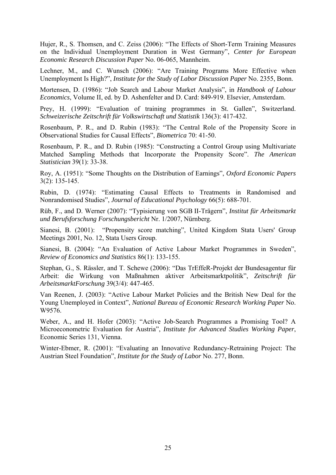Hujer, R., S. Thomsen, and C. Zeiss (2006): "The Effects of Short-Term Training Measures on the Individual Unemployment Duration in West Germany", *Center for European Economic Research Discussion Paper* No. 06-065, Mannheim.

Lechner, M., and C. Wunsch (2006): "Are Training Programs More Effective when Unemployment Is High?", *Institute for the Study of Labor Discussion Paper* No. 2355, Bonn.

Mortensen, D. (1986): "Job Search and Labour Market Analysis", in *Handbook of Labour Economics*, Volume II, ed. by D. Ashenfelter and D. Card: 849-919. Elsevier, Amsterdam.

Prey, H. (1999): "Evaluation of training programmes in St. Gallen", Switzerland. *Schweizerische Zeitschrift für Volkswirtschaft und Statistik* 136(3): 417-432.

Rosenbaum, P. R., and D. Rubin (1983): "The Central Role of the Propensity Score in Observational Studies for Causal Effects", *Biometrica* 70: 41-50.

Rosenbaum, P. R., and D. Rubin (1985): "Constructing a Control Group using Multivariate Matched Sampling Methods that Incorporate the Propensity Score". *The American Statistician* 39(1): 33-38.

Roy, A. (1951): "Some Thoughts on the Distribution of Earnings", *Oxford Economic Papers* 3(2): 135-145.

Rubin, D. (1974): "Estimating Causal Effects to Treatments in Randomised and Nonrandomised Studies", *Journal of Educational Psychology* 66(5): 688-701.

Rüb, F., and D. Werner (2007): "Typisierung von SGB II-Trägern", *Institut für Arbeitsmarkt und Berufsforschung Forschungsbericht* Nr. 1/2007, Nürnberg.

Sianesi, B. (2001): "Propensity score matching", United Kingdom Stata Users' Group Meetings 2001, No. 12, Stata Users Group.

Sianesi, B. (2004): "An Evaluation of Active Labour Market Programmes in Sweden", *Review of Economics and Statistics* 86(1): 133-155.

Stephan, G., S. Rässler, and T. Schewe (2006): "Das TrEffeR-Projekt der Bundesagentur für Arbeit: die Wirkung von Maßnahmen aktiver Arbeitsmarktpolitik", *Zeitschrift für ArbeitsmarktForschung* 39(3/4): 447-465.

Van Reenen, J. (2003): "Active Labour Market Policies and the British New Deal for the Young Unemployed in Context", *National Bureau of Economic Research Working Paper* No. W9576.

Weber, A., and H. Hofer (2003): "Active Job-Search Programmes a Promising Tool? A Microeconometric Evaluation for Austria", *Institute for Advanced Studies Working Paper*, Economic Series 131, Vienna.

Winter-Ebmer, R. (2001): "Evaluating an Innovative Redundancy-Retraining Project: The Austrian Steel Foundation", *Institute for the Study of Labor* No. 277, Bonn.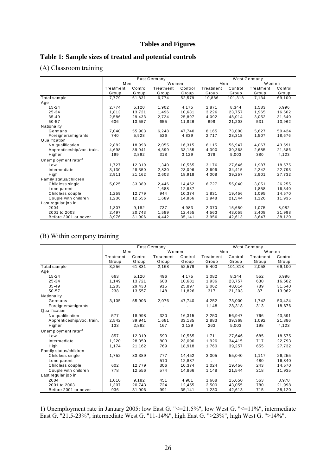# **Tables and Figures**

# <span id="page-25-0"></span>**Table 1: Sample sizes of treated and potential controls**

# (A) Classroom training

|                                 | East Germany |         |           |         | West Germany |         |           |         |  |
|---------------------------------|--------------|---------|-----------|---------|--------------|---------|-----------|---------|--|
|                                 | Men          |         | Women     |         | Men          |         | Women     |         |  |
|                                 | Treatment    | Control | Treatment | Control | Treatment    | Control | Treatment | Control |  |
|                                 | Group        | Group   | Group     | Group   | Group        | Group   | Group     | Group   |  |
| Total sample                    | 7,779        | 61,831  | 6,774     | 52,579  | 10,886       | 101,318 | 7,134     | 69,100  |  |
| Age                             |              |         |           |         |              |         |           |         |  |
| $15 - 24$                       | 2.774        | 5,120   | 1.902     | 4,175   | 2.871        | 8,344   | 1.583     | 6,996   |  |
| 25-34                           | 1,813        | 13,721  | 1,496     | 10,681  | 3,226        | 23,757  | 1,965     | 16,502  |  |
| $35 - 49$                       | 2,586        | 29,433  | 2,724     | 25,897  | 4,092        | 48,014  | 3,052     | 31,640  |  |
| 50-57                           | 606          | 13,557  | 655       | 11,826  | 699          | 21,203  | 531       | 13,962  |  |
| Nationality                     |              |         |           |         |              |         |           |         |  |
| Germans                         | 7,040        | 55,903  | 6,248     | 47,740  | 8,165        | 73,000  | 5,627     | 50,424  |  |
| Foreigners/migrants             | 740          | 5,928   | 526       | 4,839   | 2,717        | 28,318  | 1,507     | 18,676  |  |
| Qualification                   |              |         |           |         |              |         |           |         |  |
| No qualification                | 2.882        | 18,998  | 2,055     | 16,315  | 6,115        | 56,947  | 4.067     | 43,591  |  |
| Apprenticeship/voc. train.      | 4,698        | 39,941  | 4,399     | 33,135  | 4,390        | 39,368  | 2,685     | 21,386  |  |
| Higher                          | 199          | 2,892   | 318       | 3,129   | 378          | 5,003   | 380       | 4,123   |  |
| Unemployment rate <sup>1)</sup> |              |         |           |         |              |         |           |         |  |
| Low                             | 1.727        | 12.319  | 1,340     | 10.565  | 3.176        | 27.646  | 1.987     | 18,575  |  |
| Intermediate                    | 3,130        | 28,350  | 2,830     | 23,096  | 3,696        | 34,415  | 2,242     | 22,793  |  |
| High                            | 2,911        | 21,162  | 2,603     | 18,918  | 4,008        | 39,257  | 2,901     | 27,732  |  |
| Family status/children          |              |         |           |         |              |         |           |         |  |
| Childless single                | 5,025        | 33,389  | 2,446     | 14,452  | 6,727        | 55,040  | 3,051     | 26,255  |  |
| Lone parent                     |              |         | 1,688     | 12,887  |              |         | 1,858     | 16,340  |  |
| Childless couple                | 1,259        | 12,779  | 944       | 10,374  | 1,831        | 19,456  | 1,095     | 14,570  |  |
| Couple with children            | 1,236        | 12,556  | 1,689     | 14,866  | 1,948        | 21,544  | 1,126     | 11,935  |  |
| Last regular job in             |              |         |           |         |              |         |           |         |  |
| 2004                            | 1,307        | 9,182   | 737       | 4,983   | 2,370        | 15,650  | 1,075     | 8,982   |  |
| 2001 to 2003                    | 2,497        | 20,743  | 1,589     | 12,455  | 4,563        | 43,055  | 2,408     | 21,998  |  |
| Before 2001 or never            | 3,976        | 31,906  | 4,442     | 35,141  | 3,956        | 42,613  | 3,647     | 38,120  |  |

# (B) Within company training

|                                 |           |         | East Germany |         | <b>West Germany</b> |         |           |         |  |
|---------------------------------|-----------|---------|--------------|---------|---------------------|---------|-----------|---------|--|
|                                 | Men       |         | Women        |         | Men                 |         | Women     |         |  |
|                                 | Treatment | Control | Treatment    | Control | Treatment           | Control | Treatment | Control |  |
|                                 | Group     | Group   | Group        | Group   | Group               | Group   | Group     | Group   |  |
| Total sample                    | 3,256     | 61,831  | 2,168        | 52,579  | 5,400               | 101,318 | 2,058     | 69,100  |  |
| Age                             |           |         |              |         |                     |         |           |         |  |
| $15 - 24$                       | 663       | 5,120   | 496          | 4,175   | 1,082               | 8,344   | 552       | 6,996   |  |
| 25-34                           | 1,149     | 13,721  | 608          | 10,681  | 1,936               | 23,757  | 630       | 16,502  |  |
| $35 - 49$                       | 1,203     | 29,433  | 915          | 25,897  | 2,062               | 48,014  | 789       | 31,640  |  |
| 50-57                           | 238       | 13,557  | 148          | 11,826  | 317                 | 21,203  | 87        | 13,962  |  |
| Nationality                     |           |         |              |         |                     |         |           |         |  |
| Germans                         | 3,105     | 55,903  | 2,076        | 47,740  | 4,252               | 73,000  | 1,742     | 50,424  |  |
| Foreigners/migrants             |           |         |              |         | 1,148               | 28,318  | 313       | 18,676  |  |
| Qualification                   |           |         |              |         |                     |         |           |         |  |
| No qualification                | 577       | 18,998  | 320          | 16,315  | 2,250               | 56,947  | 766       | 43,591  |  |
| Apprenticeship/voc. train.      | 2,542     | 39,941  | 1,681        | 33,135  | 2,883               | 39,368  | 1,092     | 21,386  |  |
| Higher                          | 133       | 2,892   | 167          | 3,129   | 263                 | 5,003   | 198       | 4,123   |  |
| Unemployment rate <sup>1)</sup> |           |         |              |         |                     |         |           |         |  |
| Low                             | 857       | 12,319  | 593          | 10.565  | 1.711               | 27,646  | 685       | 18,575  |  |
| Intermediate                    | 1,220     | 28,350  | 803          | 23,096  | 1,926               | 34,415  | 717       | 22,793  |  |
| High                            | 1,174     | 21,162  | 769          | 18,918  | 1,760               | 39,257  | 655       | 27,732  |  |
| Family status/children          |           |         |              |         |                     |         |           |         |  |
| Childless single                | 1,752     | 33,389  | 777          | 14,452  | 3,005               | 55,040  | 1,117     | 26,255  |  |
| Lone parent                     |           |         | 510          | 12,887  |                     |         | 480       | 16,340  |  |
| Childless couple                | 602       | 12,779  | 306          | 10,374  | 1,024               | 19,456  | 243       | 14,570  |  |
| Couple with children            | 778       | 12,556  | 574          | 14,866  | 1,148               | 21,544  | 218       | 11,935  |  |
| Last regular job in             |           |         |              |         |                     |         |           |         |  |
| 2004                            | 1,010     | 9,182   | 451          | 4,981   | 1,668               | 15,650  | 563       | 8,978   |  |
| 2001 to 2003                    | 1,307     | 20,743  | 724          | 12,455  | 2,500               | 43,055  | 780       | 21,998  |  |
| Before 2001 or never            | 936       | 31,906  | 991          | 35,141  | 1,230               | 42,613  | 715       | 38,120  |  |

1) Unemployment rate in January 2005: low East G. "<=21.5%", low West G. "<=11%", intermediate East G. "21.5-23%", intermediate West G. "11-14%", high East G. ">23%", high West G. ">14%".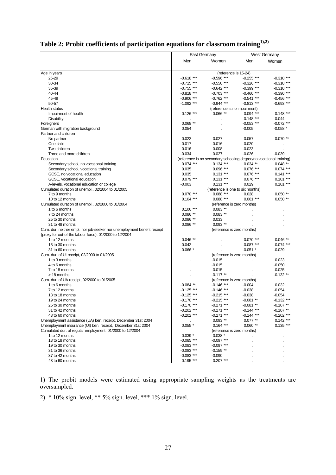<span id="page-26-0"></span>

|                                                                                                                                    | East Germany                 |                                                                     | <b>West Germany</b> |              |
|------------------------------------------------------------------------------------------------------------------------------------|------------------------------|---------------------------------------------------------------------|---------------------|--------------|
|                                                                                                                                    | Men                          | Women                                                               | Men                 | Women        |
| Age in years                                                                                                                       |                              | (reference is 15-24)                                                |                     |              |
| 25-29                                                                                                                              | $-0.618$ ***                 | $-0.596$ ***                                                        | $-0.255$ ***        | $-0.310$ *** |
| 30-34                                                                                                                              | $-0.715$ ***                 | $-0.550$ ***                                                        | $-0.326$ ***        | $-0.310$ *** |
| 35-39                                                                                                                              | $-0.755$ ***                 | $-0.642$ ***                                                        | $-0.399$ ***        | $-0.310$ *** |
| 40-44                                                                                                                              | $-0.818$ ***                 | $-0.703$ ***                                                        | $-0.460$ ***        | $-0.390$ *** |
| 45-49                                                                                                                              | $-0.906$ ***                 | $-0.762$ ***                                                        | $-0.541$ ***        | $-0.456$ *** |
| 50-57                                                                                                                              | $-1.092$ ***                 | $-0.944$ ***                                                        | $-0.813***$         | $-0.693$ *** |
| <b>Health status</b>                                                                                                               |                              | (reference is no impairment)                                        |                     |              |
| Impairment of health                                                                                                               | $-0.126$ ***                 | $-0.066$ **                                                         | $-0.094$ ***        | $-0.148$ *** |
| Disability                                                                                                                         |                              |                                                                     | $-0.148$ ***        | $-0.044$     |
| Foreigners                                                                                                                         | $0.068**$                    |                                                                     | $-0.053$ ***        | $-0.072$ *** |
| German with migration background                                                                                                   | 0.054                        |                                                                     | $-0.005$            | $-0.058$ *   |
| Partner and children                                                                                                               |                              |                                                                     |                     |              |
| No partner                                                                                                                         | $-0.022$                     | 0.027                                                               | 0.057               | $0.070**$    |
| One child                                                                                                                          | $-0.017$                     | $-0.016$                                                            | $-0.020$            |              |
| Two children                                                                                                                       | 0.016                        | 0.008                                                               | $-0.023$            |              |
| Three and more children                                                                                                            | $-0.034$                     | 0.027                                                               | $-0.026$            | $-0.039$     |
| Education                                                                                                                          |                              | (reference is no secondary schooling degree/no vocational training) |                     |              |
| Secondary school, no vocational training                                                                                           | $0.074$ ***                  | $0.134***$                                                          | $0.034$ **          | $0.048$ **   |
| Secondary school, vocational training                                                                                              | 0.035                        | $0.096***$                                                          | $0.076$ ***         | $0.074$ ***  |
| GCSE, no vocational education                                                                                                      | 0.035                        | $0.131***$                                                          | $0.076$ ***         | $0.141***$   |
| GCSE, vocational education                                                                                                         | $0.079$ ***                  | $0.131***$                                                          | $0.076$ ***         | $0.101***$   |
| A-levels, vocational education or college                                                                                          | $-0.003$                     | $0.131***$                                                          | 0.029               | $0.101***$   |
| Cumulated duration of unempl., 02/2004 to 01/2005                                                                                  |                              | (reference is one to six months)                                    |                     |              |
| 7 to 9 months                                                                                                                      | $0.070$ ***                  | $0.088***$                                                          | 0.028               | $0.050**$    |
| 10 to 12 months                                                                                                                    | $0.104$ ***                  | $0.088***$                                                          | $0.061***$          | $0.050**$    |
| Cumulated duration of unempl., 02/2000 to 01/2004                                                                                  |                              | (reference is zero months)                                          |                     |              |
| 1 to 6 months                                                                                                                      | $0.106***$                   | $0.083$ **                                                          |                     |              |
| 7 to 24 months                                                                                                                     | $0.086**$                    | $0.083$ **                                                          |                     |              |
| 25 to 30 months                                                                                                                    | $0.086**$                    | 0.033                                                               |                     |              |
| 31 to 48 months                                                                                                                    | $0.086**$                    | $0.093$ **                                                          |                     |              |
|                                                                                                                                    |                              | (reference is zero months)                                          |                     |              |
| Cum. dur. neither empl. nor job-seeker nor unemployment benefit receipt<br>(proxy for out-of-the labour force), 01/2000 to 12/2004 |                              |                                                                     |                     |              |
| 1 to 12 months                                                                                                                     | $-0.046**$                   |                                                                     | $-0.070$ ***        | $-0.046**$   |
| 13 to 30 months                                                                                                                    | $-0.042$                     |                                                                     | $-0.087$ ***        | $-0.074$ *** |
| 31 to 60 months                                                                                                                    | $-0.066*$                    |                                                                     | $-0.051$ *          | $-0.029$     |
| Cum. dur. of UI receipt, 02/2000 to 01/2005                                                                                        |                              | (reference is zero months)                                          |                     |              |
| 1 to 3 months                                                                                                                      |                              | $-0.015$                                                            |                     | 0.023        |
| 4 to 6 months                                                                                                                      |                              | $-0.015$                                                            |                     | $-0.050$     |
| 7 to 18 months                                                                                                                     |                              | $-0.015$                                                            |                     | $-0.025$     |
| > 18 months                                                                                                                        |                              | $-0.117**$                                                          |                     | $-0.132**$   |
| Cum. dur. of UA receipt, 02/2000 to 01/2005                                                                                        |                              | (reference is zero months)                                          |                     |              |
| 1 to 6 months                                                                                                                      | $-0.084$ **                  | $-0.146$ ***                                                        | $-0.004$            | 0.032        |
| 7 to 12 months                                                                                                                     | $-0.125$ ***                 | $-0.146$ ***                                                        | $-0.038$            | $-0.054$     |
| 13 to 18 months                                                                                                                    | $-0.125$ ***                 | $-0.215$ ***                                                        | $-0.038$            | $-0.054$     |
| 19 to 24 months                                                                                                                    | $-0.170$ ***                 | $-0.215$ ***                                                        | $-0.081**$          | $-0.132$ *** |
| 25 to 30 months                                                                                                                    | $-0.170$ ***                 | $-0.271$ ***                                                        | $-0.081**$          | $-0.107**$   |
| 31 to 42 months                                                                                                                    | $-0.202$ ***                 | $-0.271$ ***                                                        | $-0.144$ ***        | $-0.107**$   |
| 43 to 60 months                                                                                                                    | $-0.202$ ***                 | $-0.271$ ***                                                        | $-0.144$ ***        | $-0.202$ *** |
|                                                                                                                                    |                              | $0.093$ **                                                          | $0.077**$           | $0.142$ ***  |
| Unemployment assistance (UA) ben. receipt, December 31st 2004<br>Unemployment insurance (UI) ben. receipt, December 31st 2004      | $0.055*$                     | $0.164$ ***                                                         | $0.060**$           | $0.135***$   |
|                                                                                                                                    |                              |                                                                     |                     |              |
| Cumulated dur. of regular employment, 01/2000 to 12/2004                                                                           |                              | (reference is zero months)<br>$-0.038$ *                            |                     |              |
| 1 to 12 months                                                                                                                     | $-0.039$ *<br>$-0.085$ ***   | $-0.097$ ***                                                        |                     |              |
| 13 to 18 months                                                                                                                    |                              | $-0.097$ ***                                                        |                     |              |
| 19 to 30 months                                                                                                                    | $-0.083$ ***                 |                                                                     |                     |              |
| 31 to 36 months                                                                                                                    | $-0.083$ ***                 | $-0.159**$                                                          |                     |              |
| 37 to 42 months<br>43 to 60 months                                                                                                 | $-0.083$ ***<br>$-0.195$ *** | $-0.090$<br>$-0.207$ ***                                            |                     |              |
|                                                                                                                                    |                              |                                                                     |                     |              |

# Table 2: Probit coefficients of participation equations for classroom training<sup>1),2)</sup>

1) The probit models were estimated using appropriate sampling weights as the treatments are oversampled.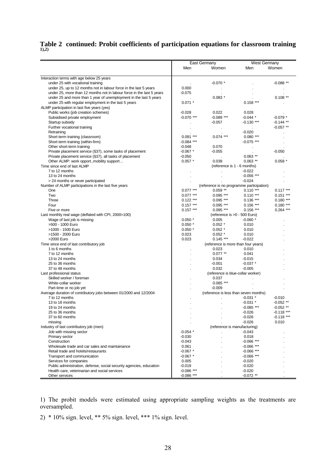# **[Table 2](#page-26-0) continued: Probit coefficients of participation equations for classroom training 1),2)**

| <b>West Germany</b><br>East Germany<br>Women<br>Men<br>Men<br>Women<br>Interaction terms with age below 25 years<br>$-0.070*$<br>$-0.088**$<br>under 25 with vocational training<br>0.000<br>under 25, up to 12 months not in labour force in the last 5 years<br>under 25, more than 12 months not in labour force in the last 5 years<br>$-0.075$<br>$0.083*$<br>under 25 and more than 1 year of unemployment in the last 5 years<br>$0.108$ **<br>$0.158$ ***<br>$0.071$ *<br>under 25 with regular employment in the last 5 years<br>ALMP participation in last five years (yes)<br>Public works (job creation schemes)<br>0.028<br>$-0.028$<br>0.022<br>$-0.070$ ***<br>$-0.089$ ***<br>$-0.044$ *<br>$-0.079*$<br>Subsidised private employment<br>$-0.057$<br>$-0.130$ ***<br>$-0.144$ **<br>Startup subsidy<br>Further vocational training<br>$-0.057$ **<br>$-0.020$<br>Retraining<br>$0.091***$<br>$0.074***$<br>$0.080$ ***<br>Short-term training (classroom)<br>Short-term training (within-firm)<br>$-0.084$ ***<br>$-0.075$ ***<br>Other short-term training<br>$-0.048$<br>0.070<br>$-0.067$ *<br>$-0.055$<br>$-0.050$<br>Private placement service (§37), some tasks of placement<br>Private placement service (§37), all tasks of placement<br>$-0.050$<br>$0.063$ **<br>$0.057*$<br>0.039<br>$0.063$ **<br>Other ALMP: work opport., mobility support<br>$0.058$ $*$<br>Time since end of last ALMP<br>(reference is 1 - 6 months)<br>7 to 12 months<br>$-0.022$<br>13 to 24 months<br>$-0.056$ ***<br>$-0.024$<br>> 24 months or never participated<br>Number of ALMP participations in the last five years<br>(reference is no programme participation)<br>$0.077***$<br>$0.059$ **<br>$0.110***$<br>$0.117***$<br>One<br>Two<br>$0.077***$<br>$0.095$ ***<br>$0.110***$<br>$0.151***$<br>Three<br>$0.122$ ***<br>$0.095***$<br>$0.136***$<br>$0.180***$<br>$0.157***$<br>$0.095$ ***<br>$0.156$ ***<br>$0.180***$<br>Four<br>$0.157***$<br>$0.095$ ***<br>$0.156***$<br>$0.264$ ***<br>Five or more<br>(reference is >0 - 500 Euro)<br>Last monthly real wage (deflated with CPI, 2000=100) |  |
|--------------------------------------------------------------------------------------------------------------------------------------------------------------------------------------------------------------------------------------------------------------------------------------------------------------------------------------------------------------------------------------------------------------------------------------------------------------------------------------------------------------------------------------------------------------------------------------------------------------------------------------------------------------------------------------------------------------------------------------------------------------------------------------------------------------------------------------------------------------------------------------------------------------------------------------------------------------------------------------------------------------------------------------------------------------------------------------------------------------------------------------------------------------------------------------------------------------------------------------------------------------------------------------------------------------------------------------------------------------------------------------------------------------------------------------------------------------------------------------------------------------------------------------------------------------------------------------------------------------------------------------------------------------------------------------------------------------------------------------------------------------------------------------------------------------------------------------------------------------------------------------------------------------------------------------------------------------------------------------------------------------------------------------------------------------------------------------------------------------------|--|
|                                                                                                                                                                                                                                                                                                                                                                                                                                                                                                                                                                                                                                                                                                                                                                                                                                                                                                                                                                                                                                                                                                                                                                                                                                                                                                                                                                                                                                                                                                                                                                                                                                                                                                                                                                                                                                                                                                                                                                                                                                                                                                                    |  |
|                                                                                                                                                                                                                                                                                                                                                                                                                                                                                                                                                                                                                                                                                                                                                                                                                                                                                                                                                                                                                                                                                                                                                                                                                                                                                                                                                                                                                                                                                                                                                                                                                                                                                                                                                                                                                                                                                                                                                                                                                                                                                                                    |  |
|                                                                                                                                                                                                                                                                                                                                                                                                                                                                                                                                                                                                                                                                                                                                                                                                                                                                                                                                                                                                                                                                                                                                                                                                                                                                                                                                                                                                                                                                                                                                                                                                                                                                                                                                                                                                                                                                                                                                                                                                                                                                                                                    |  |
|                                                                                                                                                                                                                                                                                                                                                                                                                                                                                                                                                                                                                                                                                                                                                                                                                                                                                                                                                                                                                                                                                                                                                                                                                                                                                                                                                                                                                                                                                                                                                                                                                                                                                                                                                                                                                                                                                                                                                                                                                                                                                                                    |  |
|                                                                                                                                                                                                                                                                                                                                                                                                                                                                                                                                                                                                                                                                                                                                                                                                                                                                                                                                                                                                                                                                                                                                                                                                                                                                                                                                                                                                                                                                                                                                                                                                                                                                                                                                                                                                                                                                                                                                                                                                                                                                                                                    |  |
|                                                                                                                                                                                                                                                                                                                                                                                                                                                                                                                                                                                                                                                                                                                                                                                                                                                                                                                                                                                                                                                                                                                                                                                                                                                                                                                                                                                                                                                                                                                                                                                                                                                                                                                                                                                                                                                                                                                                                                                                                                                                                                                    |  |
|                                                                                                                                                                                                                                                                                                                                                                                                                                                                                                                                                                                                                                                                                                                                                                                                                                                                                                                                                                                                                                                                                                                                                                                                                                                                                                                                                                                                                                                                                                                                                                                                                                                                                                                                                                                                                                                                                                                                                                                                                                                                                                                    |  |
|                                                                                                                                                                                                                                                                                                                                                                                                                                                                                                                                                                                                                                                                                                                                                                                                                                                                                                                                                                                                                                                                                                                                                                                                                                                                                                                                                                                                                                                                                                                                                                                                                                                                                                                                                                                                                                                                                                                                                                                                                                                                                                                    |  |
|                                                                                                                                                                                                                                                                                                                                                                                                                                                                                                                                                                                                                                                                                                                                                                                                                                                                                                                                                                                                                                                                                                                                                                                                                                                                                                                                                                                                                                                                                                                                                                                                                                                                                                                                                                                                                                                                                                                                                                                                                                                                                                                    |  |
|                                                                                                                                                                                                                                                                                                                                                                                                                                                                                                                                                                                                                                                                                                                                                                                                                                                                                                                                                                                                                                                                                                                                                                                                                                                                                                                                                                                                                                                                                                                                                                                                                                                                                                                                                                                                                                                                                                                                                                                                                                                                                                                    |  |
|                                                                                                                                                                                                                                                                                                                                                                                                                                                                                                                                                                                                                                                                                                                                                                                                                                                                                                                                                                                                                                                                                                                                                                                                                                                                                                                                                                                                                                                                                                                                                                                                                                                                                                                                                                                                                                                                                                                                                                                                                                                                                                                    |  |
|                                                                                                                                                                                                                                                                                                                                                                                                                                                                                                                                                                                                                                                                                                                                                                                                                                                                                                                                                                                                                                                                                                                                                                                                                                                                                                                                                                                                                                                                                                                                                                                                                                                                                                                                                                                                                                                                                                                                                                                                                                                                                                                    |  |
|                                                                                                                                                                                                                                                                                                                                                                                                                                                                                                                                                                                                                                                                                                                                                                                                                                                                                                                                                                                                                                                                                                                                                                                                                                                                                                                                                                                                                                                                                                                                                                                                                                                                                                                                                                                                                                                                                                                                                                                                                                                                                                                    |  |
|                                                                                                                                                                                                                                                                                                                                                                                                                                                                                                                                                                                                                                                                                                                                                                                                                                                                                                                                                                                                                                                                                                                                                                                                                                                                                                                                                                                                                                                                                                                                                                                                                                                                                                                                                                                                                                                                                                                                                                                                                                                                                                                    |  |
|                                                                                                                                                                                                                                                                                                                                                                                                                                                                                                                                                                                                                                                                                                                                                                                                                                                                                                                                                                                                                                                                                                                                                                                                                                                                                                                                                                                                                                                                                                                                                                                                                                                                                                                                                                                                                                                                                                                                                                                                                                                                                                                    |  |
|                                                                                                                                                                                                                                                                                                                                                                                                                                                                                                                                                                                                                                                                                                                                                                                                                                                                                                                                                                                                                                                                                                                                                                                                                                                                                                                                                                                                                                                                                                                                                                                                                                                                                                                                                                                                                                                                                                                                                                                                                                                                                                                    |  |
|                                                                                                                                                                                                                                                                                                                                                                                                                                                                                                                                                                                                                                                                                                                                                                                                                                                                                                                                                                                                                                                                                                                                                                                                                                                                                                                                                                                                                                                                                                                                                                                                                                                                                                                                                                                                                                                                                                                                                                                                                                                                                                                    |  |
|                                                                                                                                                                                                                                                                                                                                                                                                                                                                                                                                                                                                                                                                                                                                                                                                                                                                                                                                                                                                                                                                                                                                                                                                                                                                                                                                                                                                                                                                                                                                                                                                                                                                                                                                                                                                                                                                                                                                                                                                                                                                                                                    |  |
|                                                                                                                                                                                                                                                                                                                                                                                                                                                                                                                                                                                                                                                                                                                                                                                                                                                                                                                                                                                                                                                                                                                                                                                                                                                                                                                                                                                                                                                                                                                                                                                                                                                                                                                                                                                                                                                                                                                                                                                                                                                                                                                    |  |
|                                                                                                                                                                                                                                                                                                                                                                                                                                                                                                                                                                                                                                                                                                                                                                                                                                                                                                                                                                                                                                                                                                                                                                                                                                                                                                                                                                                                                                                                                                                                                                                                                                                                                                                                                                                                                                                                                                                                                                                                                                                                                                                    |  |
|                                                                                                                                                                                                                                                                                                                                                                                                                                                                                                                                                                                                                                                                                                                                                                                                                                                                                                                                                                                                                                                                                                                                                                                                                                                                                                                                                                                                                                                                                                                                                                                                                                                                                                                                                                                                                                                                                                                                                                                                                                                                                                                    |  |
|                                                                                                                                                                                                                                                                                                                                                                                                                                                                                                                                                                                                                                                                                                                                                                                                                                                                                                                                                                                                                                                                                                                                                                                                                                                                                                                                                                                                                                                                                                                                                                                                                                                                                                                                                                                                                                                                                                                                                                                                                                                                                                                    |  |
|                                                                                                                                                                                                                                                                                                                                                                                                                                                                                                                                                                                                                                                                                                                                                                                                                                                                                                                                                                                                                                                                                                                                                                                                                                                                                                                                                                                                                                                                                                                                                                                                                                                                                                                                                                                                                                                                                                                                                                                                                                                                                                                    |  |
|                                                                                                                                                                                                                                                                                                                                                                                                                                                                                                                                                                                                                                                                                                                                                                                                                                                                                                                                                                                                                                                                                                                                                                                                                                                                                                                                                                                                                                                                                                                                                                                                                                                                                                                                                                                                                                                                                                                                                                                                                                                                                                                    |  |
|                                                                                                                                                                                                                                                                                                                                                                                                                                                                                                                                                                                                                                                                                                                                                                                                                                                                                                                                                                                                                                                                                                                                                                                                                                                                                                                                                                                                                                                                                                                                                                                                                                                                                                                                                                                                                                                                                                                                                                                                                                                                                                                    |  |
|                                                                                                                                                                                                                                                                                                                                                                                                                                                                                                                                                                                                                                                                                                                                                                                                                                                                                                                                                                                                                                                                                                                                                                                                                                                                                                                                                                                                                                                                                                                                                                                                                                                                                                                                                                                                                                                                                                                                                                                                                                                                                                                    |  |
|                                                                                                                                                                                                                                                                                                                                                                                                                                                                                                                                                                                                                                                                                                                                                                                                                                                                                                                                                                                                                                                                                                                                                                                                                                                                                                                                                                                                                                                                                                                                                                                                                                                                                                                                                                                                                                                                                                                                                                                                                                                                                                                    |  |
|                                                                                                                                                                                                                                                                                                                                                                                                                                                                                                                                                                                                                                                                                                                                                                                                                                                                                                                                                                                                                                                                                                                                                                                                                                                                                                                                                                                                                                                                                                                                                                                                                                                                                                                                                                                                                                                                                                                                                                                                                                                                                                                    |  |
|                                                                                                                                                                                                                                                                                                                                                                                                                                                                                                                                                                                                                                                                                                                                                                                                                                                                                                                                                                                                                                                                                                                                                                                                                                                                                                                                                                                                                                                                                                                                                                                                                                                                                                                                                                                                                                                                                                                                                                                                                                                                                                                    |  |
|                                                                                                                                                                                                                                                                                                                                                                                                                                                                                                                                                                                                                                                                                                                                                                                                                                                                                                                                                                                                                                                                                                                                                                                                                                                                                                                                                                                                                                                                                                                                                                                                                                                                                                                                                                                                                                                                                                                                                                                                                                                                                                                    |  |
| $0.050*$<br>0.005<br>$-0.060*$<br>Wage of last job is missing                                                                                                                                                                                                                                                                                                                                                                                                                                                                                                                                                                                                                                                                                                                                                                                                                                                                                                                                                                                                                                                                                                                                                                                                                                                                                                                                                                                                                                                                                                                                                                                                                                                                                                                                                                                                                                                                                                                                                                                                                                                      |  |
| >500 - 1000 Euro<br>$0.050*$<br>$0.052*$<br>0.010                                                                                                                                                                                                                                                                                                                                                                                                                                                                                                                                                                                                                                                                                                                                                                                                                                                                                                                                                                                                                                                                                                                                                                                                                                                                                                                                                                                                                                                                                                                                                                                                                                                                                                                                                                                                                                                                                                                                                                                                                                                                  |  |
| $0.050*$<br>$0.052*$<br>>1000 - 1500 Euro<br>0.010                                                                                                                                                                                                                                                                                                                                                                                                                                                                                                                                                                                                                                                                                                                                                                                                                                                                                                                                                                                                                                                                                                                                                                                                                                                                                                                                                                                                                                                                                                                                                                                                                                                                                                                                                                                                                                                                                                                                                                                                                                                                 |  |
| >1500 - 2000 Euro<br>0.023<br>$0.052*$<br>0.010                                                                                                                                                                                                                                                                                                                                                                                                                                                                                                                                                                                                                                                                                                                                                                                                                                                                                                                                                                                                                                                                                                                                                                                                                                                                                                                                                                                                                                                                                                                                                                                                                                                                                                                                                                                                                                                                                                                                                                                                                                                                    |  |
| >2000 Euro<br>0.023<br>$0.145***$<br>$-0.022$                                                                                                                                                                                                                                                                                                                                                                                                                                                                                                                                                                                                                                                                                                                                                                                                                                                                                                                                                                                                                                                                                                                                                                                                                                                                                                                                                                                                                                                                                                                                                                                                                                                                                                                                                                                                                                                                                                                                                                                                                                                                      |  |
| Time since end of last contributory job<br>(reference is more than four years)                                                                                                                                                                                                                                                                                                                                                                                                                                                                                                                                                                                                                                                                                                                                                                                                                                                                                                                                                                                                                                                                                                                                                                                                                                                                                                                                                                                                                                                                                                                                                                                                                                                                                                                                                                                                                                                                                                                                                                                                                                     |  |
| 0.010<br>1 to 6 months<br>0.023                                                                                                                                                                                                                                                                                                                                                                                                                                                                                                                                                                                                                                                                                                                                                                                                                                                                                                                                                                                                                                                                                                                                                                                                                                                                                                                                                                                                                                                                                                                                                                                                                                                                                                                                                                                                                                                                                                                                                                                                                                                                                    |  |
| 7 to 12 months<br>$0.077$ **<br>0.041                                                                                                                                                                                                                                                                                                                                                                                                                                                                                                                                                                                                                                                                                                                                                                                                                                                                                                                                                                                                                                                                                                                                                                                                                                                                                                                                                                                                                                                                                                                                                                                                                                                                                                                                                                                                                                                                                                                                                                                                                                                                              |  |
| 0.034<br>13 to 24 months<br>$-0.015$                                                                                                                                                                                                                                                                                                                                                                                                                                                                                                                                                                                                                                                                                                                                                                                                                                                                                                                                                                                                                                                                                                                                                                                                                                                                                                                                                                                                                                                                                                                                                                                                                                                                                                                                                                                                                                                                                                                                                                                                                                                                               |  |
| 25 to 36 months<br>$-0.001$<br>$-0.037$ *                                                                                                                                                                                                                                                                                                                                                                                                                                                                                                                                                                                                                                                                                                                                                                                                                                                                                                                                                                                                                                                                                                                                                                                                                                                                                                                                                                                                                                                                                                                                                                                                                                                                                                                                                                                                                                                                                                                                                                                                                                                                          |  |
| 0.032<br>37 to 48 months<br>$-0.005$                                                                                                                                                                                                                                                                                                                                                                                                                                                                                                                                                                                                                                                                                                                                                                                                                                                                                                                                                                                                                                                                                                                                                                                                                                                                                                                                                                                                                                                                                                                                                                                                                                                                                                                                                                                                                                                                                                                                                                                                                                                                               |  |
| Last professional status<br>(reference is blue-collar worker)                                                                                                                                                                                                                                                                                                                                                                                                                                                                                                                                                                                                                                                                                                                                                                                                                                                                                                                                                                                                                                                                                                                                                                                                                                                                                                                                                                                                                                                                                                                                                                                                                                                                                                                                                                                                                                                                                                                                                                                                                                                      |  |
| Skilled worker / foreman<br>0.037                                                                                                                                                                                                                                                                                                                                                                                                                                                                                                                                                                                                                                                                                                                                                                                                                                                                                                                                                                                                                                                                                                                                                                                                                                                                                                                                                                                                                                                                                                                                                                                                                                                                                                                                                                                                                                                                                                                                                                                                                                                                                  |  |
| White-collar worker<br>$0.085$ ***                                                                                                                                                                                                                                                                                                                                                                                                                                                                                                                                                                                                                                                                                                                                                                                                                                                                                                                                                                                                                                                                                                                                                                                                                                                                                                                                                                                                                                                                                                                                                                                                                                                                                                                                                                                                                                                                                                                                                                                                                                                                                 |  |
| $-0.009$<br>Part-time or no job yet                                                                                                                                                                                                                                                                                                                                                                                                                                                                                                                                                                                                                                                                                                                                                                                                                                                                                                                                                                                                                                                                                                                                                                                                                                                                                                                                                                                                                                                                                                                                                                                                                                                                                                                                                                                                                                                                                                                                                                                                                                                                                |  |
| Average duration of contributory jobs between 01/2000 and 12/2004<br>(reference is less than seven months)                                                                                                                                                                                                                                                                                                                                                                                                                                                                                                                                                                                                                                                                                                                                                                                                                                                                                                                                                                                                                                                                                                                                                                                                                                                                                                                                                                                                                                                                                                                                                                                                                                                                                                                                                                                                                                                                                                                                                                                                         |  |
| 7 to 12 months<br>$-0.031$ *<br>$-0.010$<br>$-0.052$ **                                                                                                                                                                                                                                                                                                                                                                                                                                                                                                                                                                                                                                                                                                                                                                                                                                                                                                                                                                                                                                                                                                                                                                                                                                                                                                                                                                                                                                                                                                                                                                                                                                                                                                                                                                                                                                                                                                                                                                                                                                                            |  |
| 13 to 18 months<br>$-0.031$ *<br>$-0.052$ **<br>19 to 24 months<br>$-0.085$ ***                                                                                                                                                                                                                                                                                                                                                                                                                                                                                                                                                                                                                                                                                                                                                                                                                                                                                                                                                                                                                                                                                                                                                                                                                                                                                                                                                                                                                                                                                                                                                                                                                                                                                                                                                                                                                                                                                                                                                                                                                                    |  |
|                                                                                                                                                                                                                                                                                                                                                                                                                                                                                                                                                                                                                                                                                                                                                                                                                                                                                                                                                                                                                                                                                                                                                                                                                                                                                                                                                                                                                                                                                                                                                                                                                                                                                                                                                                                                                                                                                                                                                                                                                                                                                                                    |  |
| 25 to 36 months<br>-0.026<br>-0.118<br>37 to 60 months<br>$-0.118$ ***<br>$-0.026$                                                                                                                                                                                                                                                                                                                                                                                                                                                                                                                                                                                                                                                                                                                                                                                                                                                                                                                                                                                                                                                                                                                                                                                                                                                                                                                                                                                                                                                                                                                                                                                                                                                                                                                                                                                                                                                                                                                                                                                                                                 |  |
| $-0.026$<br>0.010<br>missing                                                                                                                                                                                                                                                                                                                                                                                                                                                                                                                                                                                                                                                                                                                                                                                                                                                                                                                                                                                                                                                                                                                                                                                                                                                                                                                                                                                                                                                                                                                                                                                                                                                                                                                                                                                                                                                                                                                                                                                                                                                                                       |  |
| Industry of last contributory job (men)<br>(reference is manufacturing)                                                                                                                                                                                                                                                                                                                                                                                                                                                                                                                                                                                                                                                                                                                                                                                                                                                                                                                                                                                                                                                                                                                                                                                                                                                                                                                                                                                                                                                                                                                                                                                                                                                                                                                                                                                                                                                                                                                                                                                                                                            |  |
| Job with missing sector<br>$-0.054$ *<br>$-0.043$                                                                                                                                                                                                                                                                                                                                                                                                                                                                                                                                                                                                                                                                                                                                                                                                                                                                                                                                                                                                                                                                                                                                                                                                                                                                                                                                                                                                                                                                                                                                                                                                                                                                                                                                                                                                                                                                                                                                                                                                                                                                  |  |
| Primary sector<br>$-0.030$<br>0.018                                                                                                                                                                                                                                                                                                                                                                                                                                                                                                                                                                                                                                                                                                                                                                                                                                                                                                                                                                                                                                                                                                                                                                                                                                                                                                                                                                                                                                                                                                                                                                                                                                                                                                                                                                                                                                                                                                                                                                                                                                                                                |  |
| $-0.066$ ***<br>Construction<br>$-0.043$                                                                                                                                                                                                                                                                                                                                                                                                                                                                                                                                                                                                                                                                                                                                                                                                                                                                                                                                                                                                                                                                                                                                                                                                                                                                                                                                                                                                                                                                                                                                                                                                                                                                                                                                                                                                                                                                                                                                                                                                                                                                           |  |
| Wholesale trade and car sales and maintainance<br>$-0.066$ ***<br>0.061                                                                                                                                                                                                                                                                                                                                                                                                                                                                                                                                                                                                                                                                                                                                                                                                                                                                                                                                                                                                                                                                                                                                                                                                                                                                                                                                                                                                                                                                                                                                                                                                                                                                                                                                                                                                                                                                                                                                                                                                                                            |  |
| Retail trade and hotels/restaurants<br>$-0.067$ *<br>$-0.066$ ***                                                                                                                                                                                                                                                                                                                                                                                                                                                                                                                                                                                                                                                                                                                                                                                                                                                                                                                                                                                                                                                                                                                                                                                                                                                                                                                                                                                                                                                                                                                                                                                                                                                                                                                                                                                                                                                                                                                                                                                                                                                  |  |
| $-0.066$ ***<br>Transport and communication<br>$-0.067$ *                                                                                                                                                                                                                                                                                                                                                                                                                                                                                                                                                                                                                                                                                                                                                                                                                                                                                                                                                                                                                                                                                                                                                                                                                                                                                                                                                                                                                                                                                                                                                                                                                                                                                                                                                                                                                                                                                                                                                                                                                                                          |  |
| Services for companies<br>0.005<br>$-0.020$                                                                                                                                                                                                                                                                                                                                                                                                                                                                                                                                                                                                                                                                                                                                                                                                                                                                                                                                                                                                                                                                                                                                                                                                                                                                                                                                                                                                                                                                                                                                                                                                                                                                                                                                                                                                                                                                                                                                                                                                                                                                        |  |
| Public administration, defense, social security agencies, education<br>$-0.019$<br>$-0.020$                                                                                                                                                                                                                                                                                                                                                                                                                                                                                                                                                                                                                                                                                                                                                                                                                                                                                                                                                                                                                                                                                                                                                                                                                                                                                                                                                                                                                                                                                                                                                                                                                                                                                                                                                                                                                                                                                                                                                                                                                        |  |
| $-0.086$ ***<br>Health care, veterinarian and social services<br>$-0.020$                                                                                                                                                                                                                                                                                                                                                                                                                                                                                                                                                                                                                                                                                                                                                                                                                                                                                                                                                                                                                                                                                                                                                                                                                                                                                                                                                                                                                                                                                                                                                                                                                                                                                                                                                                                                                                                                                                                                                                                                                                          |  |
| $-0.086$ ***<br>$-0.072$ **<br>Other services                                                                                                                                                                                                                                                                                                                                                                                                                                                                                                                                                                                                                                                                                                                                                                                                                                                                                                                                                                                                                                                                                                                                                                                                                                                                                                                                                                                                                                                                                                                                                                                                                                                                                                                                                                                                                                                                                                                                                                                                                                                                      |  |

1) The probit models were estimated using appropriate sampling weights as the treatments are oversampled.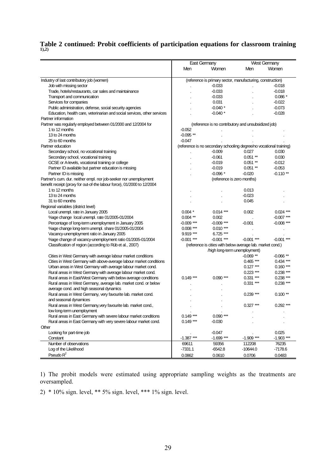# **[Table 2](#page-26-0) continued: Probit coefficients of participation equations for classroom training 1),2)**

|                                                                          |              | <b>East Germany</b>                                                 |              | West Germany |  |
|--------------------------------------------------------------------------|--------------|---------------------------------------------------------------------|--------------|--------------|--|
|                                                                          | Men          | Women                                                               | Men          | Women        |  |
|                                                                          |              |                                                                     |              |              |  |
| Industry of last contributory job (women)                                |              | (reference is primary sector, manufacturing, construction)          |              |              |  |
| Job with missing sector                                                  |              | $-0.033$                                                            |              | $-0.018$     |  |
| Trade, hotels/restaurants, car sales and maintainance                    |              | $-0.033$                                                            |              | $-0.018$     |  |
| Transport and communication                                              |              | $-0.033$                                                            |              | $0.086*$     |  |
| Services for companies                                                   |              | 0.031                                                               |              | $-0.022$     |  |
| Public administration, defense, social security agencies                 |              | $-0.040*$                                                           |              | $-0.073$     |  |
| Education, health care, veterinarian and social services, other services |              | $-0.040*$                                                           |              | $-0.028$     |  |
| Partner information                                                      |              |                                                                     |              |              |  |
| Partner was regularly employed between 01/2000 and 12/2004 for           |              | (reference is no contributory and unsubsidized job)                 |              |              |  |
| 1 to 12 months                                                           | $-0.052$     |                                                                     |              |              |  |
| 13 to 24 months                                                          | $-0.095**$   |                                                                     |              |              |  |
| 25 to 60 months                                                          | $-0.047$     |                                                                     |              |              |  |
| Partner education                                                        |              | (reference is no secondary schooling degree/no vocational training) |              |              |  |
| Secondary school, no vocational training                                 |              | $-0.009$                                                            | 0.027        | 0.030        |  |
| Secondary school, vocational training                                    |              | $-0.061$                                                            | $0.051**$    | 0.030        |  |
| GCSE or A-levels, vocational training or college                         |              | $-0.019$                                                            | $0.051**$    | $-0.012$     |  |
| Partner ID available but partner education is missing                    |              | $-0.019$                                                            | $0.051**$    | $-0.053$     |  |
| Partner ID is missing                                                    |              | $-0.096*$                                                           | $-0.020$     | $-0.110**$   |  |
| Partner's cum. dur. neither empl. nor job-seeker nor unemployment        |              | (reference is zero months)                                          |              |              |  |
| benefit receipt (proxy for out-of-the labour force), 01/2000 to 12/2004  |              |                                                                     |              |              |  |
| 1 to 12 months                                                           |              |                                                                     | 0.013        |              |  |
| 13 to 24 months                                                          |              |                                                                     | $-0.023$     |              |  |
| 31 to 60 months                                                          |              |                                                                     | 0.045        |              |  |
| Regional variables (district level)                                      |              |                                                                     |              |              |  |
| Local unempl. rate in January 2005                                       | $0.004*$     | $0.014***$                                                          | 0.002        | $0.024$ ***  |  |
| %age change local unempl. rate 01/2005-01/2004                           | $0.004$ **   | 0.002                                                               |              | $-0.007$ *** |  |
| Percentage of long-term unemployment in January 2005                     | $-0.009$ *** | $-0.009$ ***                                                        | $-0.001$     | $-0.008$ *** |  |
| %age change long-term unempl. share 01/2005-01/2004                      | $0.008***$   | $0.010***$                                                          |              |              |  |
| Vacancy-unemployment ratio in January 2005                               | $9.919***$   | $6.725***$                                                          |              |              |  |
| %age change of vacancy-unemployment ratio 01/2005-01/2004                | $-0.001$ *** | $-0.001$ ***                                                        | $-0.001$ *** | $-0.001$ *** |  |
| Classification of region (according to Rüb et al., 2007)                 |              | (reference is cities with below average lab. market cond.)          |              |              |  |
|                                                                          |              | /high long-term unemployment)                                       |              |              |  |
| Cities in West Germany with average labour market conditions             |              |                                                                     | $-0.069**$   | $-0.066**$   |  |
| Cities in West Germany with above-average labour market conditions       |              |                                                                     | $0.465***$   | $0.434***$   |  |
| Urban areas in West Germany with average labour market cond.             |              |                                                                     | $0.127***$   | $0.160***$   |  |
| Rural areas in West Germany with average labour market cond.             |              |                                                                     | $0.223$ ***  | $0.238***$   |  |
| Rural areas in East/West Germany with below average conditions           | $0.149***$   | $0.090***$                                                          | $0.331***$   | $0.238***$   |  |
| Rural areas in West Germany, average lab. market cond. or below          |              |                                                                     | $0.331***$   | $0.238***$   |  |
| average cond. and high seasonal dynamics                                 |              |                                                                     |              |              |  |
| Rural areas in West Germany, very favourite lab. market cond.            |              |                                                                     | $0.239***$   | $0.100**$    |  |
| and seasonal dynamices                                                   |              |                                                                     |              |              |  |
| Rural areas in West Germany, very favourite lab. market cond.,           |              |                                                                     | $0.327***$   | $0.292$ ***  |  |
| low long-term unemployment                                               |              |                                                                     |              |              |  |
| Rural areas in East Germany with severe labour market conditions         | $0.149***$   | $0.090***$                                                          |              |              |  |
| Rural areas in East Germany with very severe labour market cond.         | $0.149***$   | $-0.030$                                                            |              |              |  |
| Other                                                                    |              |                                                                     |              |              |  |
| Looking for part-time job                                                |              | $-0.047$                                                            |              | 0.025        |  |
| Constant                                                                 | $-1.387***$  | $-1.699$ ***                                                        | $-1.909$ *** | $-1.903$ *** |  |
| Number of observations                                                   | 69611        | 59356                                                               | 112208       | 76235        |  |
| Log of the Likelihood                                                    | $-7331.1$    | $-6542.8$                                                           | $-10644.0$   | $-7178.6$    |  |
| Pseudo $R^2$                                                             |              |                                                                     |              |              |  |
|                                                                          | 0.0862       | 0.0610                                                              | 0.0706       | 0.0483       |  |

1) The probit models were estimated using appropriate sampling weights as the treatments are oversampled.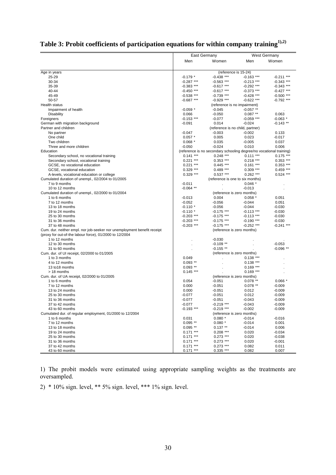|  |  | Table 3: Probit coefficients of participation equations for within company training $^{1,2)}$ |
|--|--|-----------------------------------------------------------------------------------------------|
|  |  |                                                                                               |

<span id="page-29-0"></span>

|                                                                         | <b>East Germany</b> |                                                                     | <b>West Germany</b> |              |
|-------------------------------------------------------------------------|---------------------|---------------------------------------------------------------------|---------------------|--------------|
|                                                                         | Men                 |                                                                     |                     |              |
|                                                                         |                     | Women                                                               | Men                 | Women        |
| Age in years                                                            |                     | (reference is 15-24)                                                |                     |              |
| 25-29                                                                   | $-0.179$ *          | $-0.438$ ***                                                        | $-0.163$ ***        | $-0.211$ *** |
| 30-34                                                                   | $-0.287$ ***        | $-0.563$ ***                                                        | $-0.213$ ***        | $-0.343$ *** |
| 35-39                                                                   | $-0.383$ ***        | $-0.617$ ***                                                        | $-0.292$ ***        | $-0.343$ *** |
| 40-44                                                                   | $-0.450$ ***        | $-0.617$ ***                                                        | $-0.373$ ***        | $-0.427$ *** |
| 45-49                                                                   | $-0.538$ ***        | $-0.739$ ***                                                        | $-0.428$ ***        | $-0.500$ *** |
| 50-57                                                                   | $-0.687$ ***        | $-0.929$ ***                                                        | $-0.622$ ***        | $-0.792$ *** |
| Health status                                                           |                     | (reference is no impairment)                                        |                     |              |
| Impairment of health                                                    | $-0.059$ *          | $-0.045$                                                            | $-0.057$ **         |              |
| <b>Disability</b>                                                       | 0.066               | $-0.050$                                                            | $0.087**$           | 0.063        |
| Foreigners                                                              | $-0.153$ ***        | $-0.077$                                                            | $-0.059$ ***        | $-0.063$ *   |
| German with migration background                                        | $-0.091$            | 0.014                                                               | $-0.024$            | $-0.143$ **  |
| Partner and children                                                    |                     | (reference is no child, partner)                                    |                     |              |
| No partner                                                              | $-0.047$            | $-0.003$                                                            | $-0.002$            | 0.133        |
| One child                                                               | $0.057$ *           | 0.005                                                               | 0.023               | $-0.017$     |
| Two children                                                            | $0.068*$            | 0.035                                                               | $-0.005$            | 0.037        |
| Three and more children                                                 | $-0.050$            | $-0.024$                                                            | 0.010               | 0.006        |
| Education                                                               |                     | (reference is no secondary schooling degree/no vocational training) |                     |              |
| Secondary school, no vocational training                                | $0.141***$          | $0.248$ ***                                                         | $0.111***$          | $0.175$ ***  |
| Secondary school, vocational training                                   | $0.221$ ***         | $0.353$ ***                                                         | $0.218$ ***         | $0.353$ ***  |
| GCSE, no vocational education                                           | $0.221$ ***         | $0.445***$                                                          | $0.161***$          | $0.353$ ***  |
| GCSE, vocational education                                              | $0.329$ ***         | $0.489***$                                                          | $0.309$ ***         | $0.459***$   |
| A-levels, vocational education or college                               | $0.329***$          | $0.537***$                                                          | $0.262$ ***         | $0.524$ ***  |
| Cumulated duration of unempl., 02/2004 to 01/2005                       |                     | (reference is one to six months)                                    |                     |              |
| 7 to 9 months                                                           | $-0.011$            |                                                                     | $0.046*$            |              |
| 10 to 12 months                                                         | $-0.064$ **         |                                                                     | $-0.013$            |              |
| Cumulated duration of unempl., 02/2000 to 01/2004                       |                     | (reference is zero months)                                          |                     |              |
| 1 to 6 months                                                           | $-0.013$            | 0.004                                                               | 0.058               | 0.051        |
| 7 to 12 months                                                          | $-0.052$            | $-0.056$                                                            | $-0.044$            | 0.051        |
| 13 to 18 months                                                         | $-0.110*$           | $-0.056$                                                            | $-0.044$            | $-0.030$     |
| 19 to 24 months                                                         | $-0.110*$           | $-0.175$ ***                                                        | $-0.113$ ***        | $-0.030$     |
| 25 to 30 months                                                         | $-0.203$ ***        | $-0.175$ ***                                                        | $-0.113$ ***        | $-0.030$     |
| 31 to 36 months                                                         | $-0.203$ ***        | $-0.175$ ***                                                        | $-0.190$ ***        | $-0.030$     |
| 37 to 48 months                                                         | $-0.203$ ***        | $-0.175$ ***                                                        | $-0.252$ ***        | $-0.241$ *** |
| Cum. dur. neither empl. nor job-seeker nor unemployment benefit receipt |                     | (reference is zero months)                                          |                     |              |
| (proxy for out-of-the labour force), 01/2000 to 12/2004                 |                     |                                                                     |                     |              |
| 1 to 12 months                                                          |                     | $-0.030$                                                            |                     |              |
| 12 to 30 months                                                         |                     | $-0.109$ **                                                         |                     | $-0.053$     |
| 31 to 60 months                                                         |                     | $-0.155$ **                                                         |                     | -0.096 **    |
| Cum. dur. of UI receipt, 02/2000 to 01/2005                             |                     | (reference is zero months)                                          |                     |              |
| 1 to 3 months                                                           | 0.049               |                                                                     | $0.138***$          |              |
| 4 to 12 months                                                          | $0.093$ **          |                                                                     | $0.138***$          |              |
| 13 to 18 months                                                         | $0.093$ **          |                                                                     | $0.169$ ***         |              |
| > 18 months                                                             | $0.145$ ***         |                                                                     | $0.169$ ***         |              |
| Cum. dur. of UA receipt, 02/2000 to 01/2005                             |                     | (reference is zero months)                                          |                     |              |
| 1 to 6 months                                                           | 0.054               | $-0.051$                                                            | $0.078$ **          | $0.066*$     |
| 7 to 12 months                                                          | 0.000               | $-0.051$                                                            | $0.078$ **          | $-0.009$     |
| 13 to 24 months                                                         | 0.000               | $-0.051$                                                            | 0.012               | $-0.009$     |
| 25 to 30 months                                                         | $-0.077$            | $-0.051$                                                            | 0.012               | $-0.009$     |
| 31 to 36 months                                                         | $-0.077$            | $-0.051$                                                            | $-0.043$            | $-0.009$     |
| 37 to 42 months                                                         | $-0.077$            | $-0.219$ ***                                                        | $-0.043$            | -0.009       |
| 43 to 60 months                                                         | $-0.193$ ***        | $-0.219$ ***                                                        | $-0.002$            | $-0.009$     |
| Cumulated dur. of regular employment, 01/2000 to 12/2004                |                     | (reference is zero months)                                          |                     |              |
| 1 to 6 months                                                           | 0.031               | $0.080*$                                                            | $-0.014$            | $-0.016$     |
| 7 to 12 months                                                          | $0.095$ **          | $0.080*$                                                            | $-0.014$            | 0.001        |
| 13 to 18 months                                                         | $0.095$ **          | $0.137**$                                                           | $-0.014$            | 0.006        |
| 19 to 24 months                                                         | $0.171***$          | $0.208$ ***                                                         | 0.020               | $-0.034$     |
| 25 to 30 months                                                         | $0.171***$          | $0.273$ ***                                                         | 0.020               | $-0.038$     |
| 31 to 36 months                                                         | $0.171***$          | $0.273$ ***                                                         | 0.020               | $-0.001$     |
| 37 to 42 months                                                         | $0.171***$          | $0.273$ ***                                                         | 0.082               | 0.011        |
| 43 to 60 months                                                         | $0.171***$          | $0.335$ ***                                                         | 0.082               | 0.007        |

1) The probit models were estimated using appropriate sampling weights as the treatments are oversampled.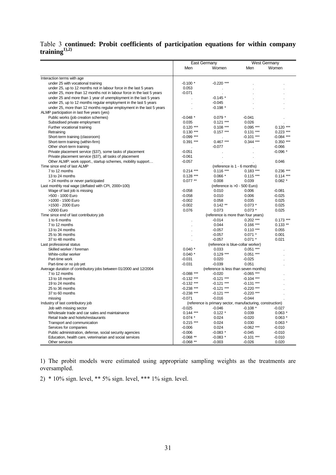#### [Table 3](#page-29-0) **continued: Probit coefficients of participation equations for within company training1),2)**

|                                                                       |              | East Germany                                               |              | <b>West Germany</b> |
|-----------------------------------------------------------------------|--------------|------------------------------------------------------------|--------------|---------------------|
|                                                                       | Men          | Women                                                      | Men          | Women               |
|                                                                       |              |                                                            |              |                     |
| Interaction terms with age                                            |              |                                                            |              |                     |
| under 25 with vocational training                                     | $-0.100*$    | $-0.220$ ***                                               |              |                     |
| under 25, up to 12 months not in labour force in the last 5 years     | 0.053        |                                                            |              |                     |
| under 25, more than 12 months not in labour force in the last 5 years | $-0.071$     |                                                            |              |                     |
| under 25 and more than 1 year of unemployment in the last 5 years     |              | $-0.145$ *                                                 |              |                     |
| under 25, up to 12 months regular employment in the last 5 years      |              | $-0.045$                                                   |              |                     |
| under 25, more than 12 months regular employment in the last 5 years  |              | $-0.198*$                                                  |              |                     |
| ALMP participation in last five years (yes)                           |              |                                                            |              |                     |
| Public works (job creation schemes)                                   | $-0.048$ *   | $0.079*$                                                   | $-0.041$     |                     |
| Subsidised private employment                                         | 0.035        | $0.121***$                                                 | 0.026        |                     |
| Further vocational training                                           | $0.120***$   | $0.108***$                                                 | $0.095$ ***  | $0.120***$          |
| Retraining                                                            | $0.130***$   | $0.157***$                                                 | $0.131***$   | $0.223$ ***         |
| Short-term training (classroom)                                       | $-0.099$ *** |                                                            | $-0.101***$  | $-0.084$ ***        |
| Short-term training (within-firm)                                     | $0.391***$   | $0.467***$                                                 | $0.344$ ***  | $0.350$ ***         |
| Other short-term training                                             |              | $-0.077$                                                   |              | $-0.066$            |
| Private placement service (§37), some tasks of placement              | $-0.051$     |                                                            |              | $-0.096*$           |
| Private placement service (§37), all tasks of placement               | $-0.061$     |                                                            |              |                     |
| Other ALMP: work opport., startup schemes, mobility support           | $-0.057$     |                                                            |              | 0.046               |
| Time since end of last ALMP                                           |              | (reference is 1 - 6 months)                                |              |                     |
| 7 to 12 months                                                        | $0.214***$   | $0.116***$                                                 | $0.183$ ***  | 0.236 ***           |
| 13 to 24 months                                                       | $0.128$ ***  | $0.066*$                                                   | $0.115***$   | $0.114***$          |
| > 24 months or never participated                                     | $0.077$ **   | 0.008                                                      | 0.039        | $0.082*$            |
| Last monthly real wage (deflated with CPI, 2000=100)                  |              | (reference is >0 - 500 Euro)                               |              |                     |
| Wage of last job is missing                                           | $-0.058$     | 0.010                                                      | 0.006        | $-0.081$            |
| >500 - 1000 Euro                                                      | $-0.058$     | 0.010                                                      | 0.006        | $-0.025$            |
| >1000 - 1500 Euro                                                     | $-0.002$     | 0.058                                                      | 0.035        | 0.025               |
| >1500 - 2000 Euro                                                     | $-0.002$     | $0.142**$                                                  | $0.073*$     | 0.025               |
| >2000 Euro                                                            | 0.076        | 0.073                                                      | $0.073*$     | 0.025               |
| Time since end of last contributory job                               |              | (reference is more than four years)                        |              |                     |
| 1 to 6 months                                                         |              | $-0.014$                                                   | $0.202$ ***  | $0.173$ ***         |
| 7 to 12 months                                                        |              | 0.044                                                      | $0.166$ ***  | $0.133**$           |
| 13 to 24 months                                                       |              | -0.057                                                     | $0.110***$   | 0.055               |
| 25 to 36 months                                                       |              | $-0.057$                                                   | $0.071$ *    | 0.001               |
| 37 to 48 months                                                       |              | $-0.057$                                                   | $0.071$ *    | 0.021               |
| Last professional status                                              |              | (reference is blue-collar worker)                          |              |                     |
| Skilled worker / foreman                                              | $0.040*$     | 0.033                                                      | $0.051***$   |                     |
| White-collar worker                                                   | $0.040*$     | $0.129$ ***                                                | $0.051***$   |                     |
| Part-time work                                                        | $-0.031$     | 0.020                                                      | $-0.025$     |                     |
| Part-time or no job yet                                               | $-0.031$     | $-0.039$                                                   | 0.051        |                     |
| Average duration of contributory jobs between 01/2000 and 12/2004     |              | (reference is less than seven months)                      |              |                     |
| 7 to 12 months                                                        | $-0.088$ *** | $-0.020$                                                   | $-0.065$ *** |                     |
| 13 to 18 months                                                       | $-0.132$ *** | $-0.121$ ***                                               | $-0.104$ *** |                     |
| 19 to 24 months                                                       | $-0.132$ *** | $-0.121$ ***                                               | $-0.131$ *** |                     |
| 25 to 36 months                                                       | $-0.238$ *** | $-0.121$ ***                                               | $-0.220$ *** |                     |
| 37 to 60 months                                                       | $-0.238$ *** | $-0.121$ ***                                               | $-0.220$ *** |                     |
| missing                                                               | $-0.071$     | $-0.016$                                                   | $-0.044$     |                     |
| Industry of last contributory job                                     |              | (reference is primary sector, manufacturing, construction) |              |                     |
| Job with missing sector                                               | $-0.025$     | $-0.046$                                                   | $-0.108*$    | $-0.027$            |
| Wholesale trade and car sales and maintainance                        | $0.144$ ***  | $0.122*$                                                   | 0.039        | $0.063*$            |
| Retail trade and hotels/restaurants                                   | $0.074*$     | 0.024                                                      | $-0.020$     | $0.063*$            |
| Transport and communication                                           | $0.215$ ***  | 0.024                                                      | 0.030        | $0.063*$            |
| Services for companies                                                | $-0.006$     | 0.024                                                      | $-0.062$ *** | $-0.010$            |
| Public administration, defense, social security agencies              | $-0.006$     | $-0.083*$                                                  | $-0.045$     | $-0.010$            |
| Education, health care, veterinarian and social services              | $-0.068**$   | $-0.083*$                                                  | $-0.101$ *** | $-0.010$            |
| Other services                                                        | $-0.068**$   | $-0.003$                                                   | $-0.026$     | 0.020               |

1) The probit models were estimated using appropriate sampling weights as the treatments are oversampled.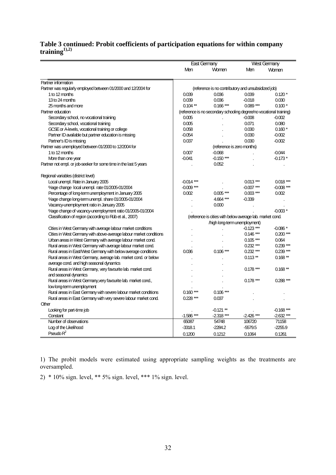## **[Table 3](#page-29-0) continued: Probit coefficients of participation equations for within company training1),2)**

|                                                                    | East Germany |                                                                     |              | <b>West Germany</b> |
|--------------------------------------------------------------------|--------------|---------------------------------------------------------------------|--------------|---------------------|
|                                                                    | Men          | Women                                                               | Men          | Women               |
| Partner information                                                |              |                                                                     |              |                     |
| Partner was regularly employed between 01/2000 and 12/2004 for     |              | (reference is no contributory and unsubsidized job)                 |              |                     |
| 1 to 12 months                                                     | 0.039        | 0.036                                                               | 0.039        | $0.120*$            |
| 13 to 24 months                                                    | 0.039        | 0.036                                                               | $-0.018$     | 0.030               |
| 25 months and more                                                 | $0.104$ **   | $0.166***$                                                          | $0.089***$   | $0.100*$            |
| Partner education                                                  |              | (reference is no secondary schooling degree/no vocational training) |              |                     |
| Secondary school, no vocational training                           | 0.005        |                                                                     | $-0.008$     | $-0.002$            |
| Secondary school, vocational training                              | 0.005        |                                                                     | 0.071        | 0.080               |
|                                                                    | 0.058        |                                                                     | 0.030        | $0.160*$            |
| GCSE or A-levels, vocational training or college                   | $-0.054$     |                                                                     | 0.030        | $-0.002$            |
| Partner ID available but partner education is missing              |              |                                                                     |              |                     |
| Partner's ID is missing                                            | 0.037        |                                                                     | 0.030        | $-0.002$            |
| Partner was unemployed between 01/2000 to 12/2004 for              |              | (reference is zero months)                                          |              |                     |
| 1 to 12 months                                                     | 0.007        | $-0.068$                                                            |              | $-0.044$            |
| More than one year                                                 | $-0.041$     | $-0.150$ ***                                                        |              | $-0.173*$           |
| Partner not empl. or job-seeker for some time in the last 5 years  |              | 0.052                                                               |              |                     |
| Regional variables (district level)                                |              |                                                                     |              |                     |
| Local unempl. Rate in January 2005                                 | $-0.014$ *** |                                                                     | $0.013***$   | $0.018***$          |
| %age change local unempl. rate 01/2005-01/2004                     | $-0.009$ *** |                                                                     | $-0.007$ *** | $-0.008***$         |
| Percentage of long-term unemployment in January 2005               | 0.002        | $0.005***$                                                          | $0.003***$   | 0.002               |
| %age change long-term unempl. share 01/2005-01/2004                |              | 4.664***                                                            | $-0.339$     |                     |
| Vacancy-unemployment ratio in January 2005                         |              | 0.000                                                               |              |                     |
| %age change of vacancy-unemployment ratio 01/2005-01/2004          |              |                                                                     |              | $-0.003*$           |
| Classification of region (according to Rüb et al., 2007)           |              | (reference is cities with below average lab. market cond.           |              |                     |
|                                                                    |              | /high long-term unemployment)                                       |              |                     |
| Cities in West Germany with average labour market conditions       |              |                                                                     | $-0.123$ *** | $-0.086*$           |
| Cities in West Germany with above-average labour market conditions |              |                                                                     | $0.146***$   | $0.200***$          |
| Urban areas in West Germany with average labour market cond.       |              |                                                                     | $0.105***$   | 0.064               |
| Rural areas in West Germany with average labour market cond.       |              |                                                                     | $0.232***$   | $0.239***$          |
| Rural areas in East/West Germany with below average conditions     | 0.036        | $0.106***$                                                          | $0.232***$   | $0.239***$          |
| Rural areas in West Germany, average lab. market cond. or below    |              |                                                                     | $0.113**$    | $0.168**$           |
| average cond. and high seasonal dynamics                           |              |                                                                     |              |                     |
| Rural areas in West Germany, very favourite lab. market cond.      |              |                                                                     | $0.178***$   | $0.168**$           |
| and seasonal dynamics                                              |              |                                                                     |              |                     |
| Rural areas in West Germany, very favourite lab. market cond.,     |              |                                                                     | $0.178***$   | $0.288***$          |
| low long-term unemployment                                         |              |                                                                     |              |                     |
|                                                                    |              |                                                                     |              |                     |
| Rural areas in East Germany with severe labour market conditions   | $0.160***$   | $0.106***$                                                          |              |                     |
| Rural areas in East Germany with very severe labour market cond.   | $0.228$ ***  | 0.037                                                               |              |                     |
| Other                                                              |              |                                                                     |              | $-0.168$ ***        |
| Looking for part-time job                                          |              | $-0.121$ **                                                         |              |                     |
| Constant                                                           | $-1.586$ *** | $-2.318***$                                                         | $-2.426$ *** | $-2.632$ ***        |
| Number of observations                                             | 65087        | 54748                                                               | 106720       | 71158               |
| Log of the Likelihood                                              | $-3318.1$    | $-2284.2$                                                           | $-5579.5$    | $-2255.9$           |
| Pseudo $R^2$                                                       | 0.1200       | 0.1212                                                              | 0.1064       | 0.1261              |

1) The probit models were estimated using appropriate sampling weights as the treatments are oversampled.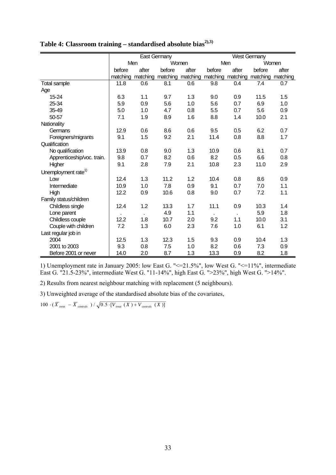|                                 | East Germany |       |                            |       | <b>West Germany</b> |          |          |          |
|---------------------------------|--------------|-------|----------------------------|-------|---------------------|----------|----------|----------|
|                                 | Men          |       | Women                      |       | Men                 |          |          | Women    |
|                                 | before       | after | before                     | after | before              | after    | before   | after    |
|                                 | matching     |       | matching matching matching |       | matching            | matching | matching | matching |
| <b>Total sample</b>             | 11.8         | 0.6   | 8.1                        | 0.6   | 9.8                 | 0.4      | 7.4      | 0.7      |
| Age                             |              |       |                            |       |                     |          |          |          |
| 15-24                           | 6.3          | 1.1   | 9.7                        | 1.3   | 9.0                 | 0.9      | 11.5     | 1.5      |
| 25-34                           | 5.9          | 0.9   | 5.6                        | 1.0   | 5.6                 | 0.7      | 6.9      | 1.0      |
| 35-49                           | 5.0          | 1.0   | 4.7                        | 0.8   | 5.5                 | 0.7      | 5.6      | 0.9      |
| 50-57                           | 7.1          | 1.9   | 8.9                        | 1.6   | 8.8                 | 1.4      | 10.0     | 2.1      |
| Nationality                     |              |       |                            |       |                     |          |          |          |
| Germans                         | 12.9         | 0.6   | 8.6                        | 0.6   | 9.5                 | 0.5      | 6.2      | 0.7      |
| Foreigners/migrants             | 9.1          | 1.5   | 9.2                        | 2.1   | 11.4                | 0.8      | 8.8      | 1.7      |
| Qualification                   |              |       |                            |       |                     |          |          |          |
| No qualification                | 13.9         | 0.8   | 9.0                        | 1.3   | 10.9                | 0.6      | 8.1      | 0.7      |
| Apprenticeship/voc. train.      | 9.8          | 0.7   | 8.2                        | 0.6   | 8.2                 | 0.5      | 6.6      | 0.8      |
| Higher                          | 9.1          | 2.8   | 7.9                        | 2.1   | 10.8                | 2.3      | 11.0     | 2.9      |
| Unemployment rate <sup>1)</sup> |              |       |                            |       |                     |          |          |          |
| Low                             | 12.4         | 1.3   | 11.2                       | 1.2   | 10.4                | 0.8      | 8.6      | 0.9      |
| Intermediate                    | 10.9         | 1.0   | 7.8                        | 0.9   | 9.1                 | 0.7      | 7.0      | 1.1      |
| High                            | 12.2         | 0.9   | 10.6                       | 0.8   | 9.0                 | 0.7      | 7.2      | 1.1      |
| Family status/children          |              |       |                            |       |                     |          |          |          |
| Childless single                | 12.4         | 1.2   | 13.3                       | 1.7   | 11.1                | 0.9      | 10.3     | 1.4      |
| Lone parent                     |              |       | 4.9                        | 1.1   |                     |          | 5.9      | 1.8      |
| Childless couple                | 12.2         | 1.8   | 10.7                       | 2.0   | 9.2                 | 1.1      | 10.0     | 3.1      |
| Couple with children            | 7.2          | 1.3   | 6.0                        | 2.3   | 7.6                 | 1.0      | 6.1      | 1.2      |
| Last regular job in             |              |       |                            |       |                     |          |          |          |
| 2004                            | 12.5         | 1.3   | 12.3                       | 1.5   | 9.3                 | 0.9      | 10.4     | 1.3      |
| 2001 to 2003                    | 9.3          | 0.8   | 7.5                        | 1.0   | 8.2                 | 0.6      | 7.3      | 0.9      |
| Before 2001 or never            | 14.0         | 2.0   | 8.7                        | 1.3   | 13.3                | 0.9      | 8.2      | 1.8      |

<span id="page-32-0"></span>Table 4: Classroom training – standardised absolute bias<sup>2),3)</sup>

1) Unemployment rate in January 2005: low East G. "<=21.5%", low West G. "<=11%", intermediate East G. "21.5-23%", intermediate West G. "11-14%", high East G. ">23%", high West G. ">14%".

2) Results from nearest neighbour matching with replacement (5 neighbours).

3) Unweighted average of the standardised absolute bias of the covariates,

 $100 \cdot (\overline{X}_{\text{real}} - \overline{X}_{\text{controls}}) / \sqrt{0.5 \cdot [V_{\text{real}}(X) + V_{\text{controls}}(X)]}$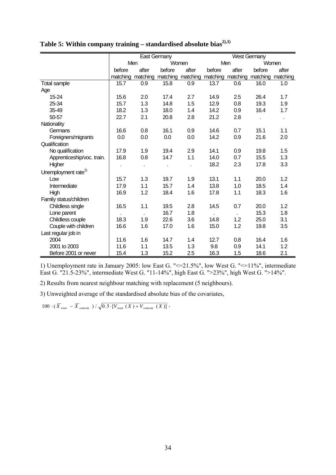|                                 |          |       | East Germany |                            | <b>West Germany</b> |          |          |          |
|---------------------------------|----------|-------|--------------|----------------------------|---------------------|----------|----------|----------|
|                                 |          | Men   |              | Women                      | Men                 |          |          | Women    |
|                                 | before   | after | before       | after                      | before              | after    | before   | after    |
|                                 | matching |       |              | matching matching matching | matching            | matching | matching | matching |
| <b>Total sample</b>             | 15.7     | 0.9   | 15.8         | 0.9                        | 13.7                | 0.6      | 16.0     | 1.0      |
| Age                             |          |       |              |                            |                     |          |          |          |
| 15-24                           | 15.6     | 2.0   | 17.4         | 2.7                        | 14.9                | 2.5      | 26.4     | 1.7      |
| 25-34                           | 15.7     | 1.3   | 14.8         | 1.5                        | 12.9                | 0.8      | 19.3     | 1.9      |
| 35-49                           | 18.2     | 1.3   | 18.0         | 1.4                        | 14.2                | 0.9      | 16.4     | 1.7      |
| 50-57                           | 22.7     | 2.1   | 20.8         | 2.8                        | 21.2                | 2.8      |          |          |
| Nationality                     |          |       |              |                            |                     |          |          |          |
| Germans                         | 16.6     | 0.8   | 16.1         | 0.9                        | 14.6                | 0.7      | 15.1     | 1.1      |
| Foreigners/migrants             | 0.0      | 0.0   | 0.0          | 0.0                        | 14.2                | 0.9      | 21.6     | 2.0      |
| Qualification                   |          |       |              |                            |                     |          |          |          |
| No qualification                | 17.9     | 1.9   | 19.4         | 2.9                        | 14.1                | 0.9      | 19.8     | 1.5      |
| Apprenticeship/voc. train.      | 16.8     | 0.8   | 14.7         | 1.1                        | 14.0                | 0.7      | 15.5     | 1.3      |
| Higher                          |          |       |              |                            | 18.2                | 2.3      | 17.8     | 3.3      |
| Unemployment rate <sup>1)</sup> |          |       |              |                            |                     |          |          |          |
| Low                             | 15.7     | 1.3   | 19.7         | 1.9                        | 13.1                | 1.1      | 20.0     | 1.2      |
| Intermediate                    | 17.9     | 1.1   | 15.7         | 1.4                        | 13.8                | 1.0      | 18.5     | 1.4      |
| High                            | 16.9     | 1.2   | 18.4         | 1.6                        | 17.8                | 1.1      | 18.3     | 1.6      |
| Family status/children          |          |       |              |                            |                     |          |          |          |
| Childless single                | 16.5     | 1.1   | 19.5         | 2.8                        | 14.5                | 0.7      | 20.0     | 1.2      |
| Lone parent                     |          |       | 16.7         | 1.8                        |                     |          | 15.3     | 1.8      |
| Childless couple                | 18.3     | 1.9   | 22.6         | 3.6                        | 14.8                | 1.2      | 25.0     | 3.1      |
| Couple with children            | 16.6     | 1.6   | 17.0         | 1.6                        | 15.0                | 1.2      | 19.8     | 3.5      |
| Last regular job in             |          |       |              |                            |                     |          |          |          |
| 2004                            | 11.6     | 1.6   | 14.7         | 1.4                        | 12.7                | 0.8      | 16.4     | 1.6      |
| 2001 to 2003                    | 11.6     | 1.1   | 13.5         | 1.3                        | 9.8                 | 0.9      | 14.1     | 1.2      |
| Before 2001 or never            | 15.4     | 1.3   | 15.2         | 2.5                        | 16.3                | 1.5      | 18.6     | 2.1      |

<span id="page-33-0"></span>Table 5: Within company training – standardised absolute bias<sup>2),3)</sup>

1) Unemployment rate in January 2005: low East G. "<=21.5%", low West G. "<=11%", intermediate East G. "21.5-23%", intermediate West G. "11-14%", high East G. ">23%", high West G. ">14%".

2) Results from nearest neighbour matching with replacement (5 neighbours).

3) Unweighted average of the standardised absolute bias of the covariates,

 $100 \cdot (\overline{X}_{\text{real}} - \overline{X}_{\text{controls}}) / \sqrt{0.5 \cdot [V_{\text{real}}(X) + V_{\text{controls}}(X)]}$ .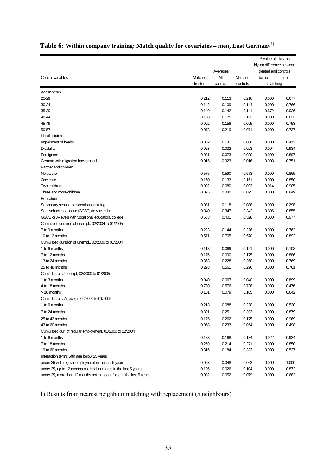| $H0$ : no difference between<br>treated and controls<br>Averages<br>All<br>after<br>Control variables<br>Matched<br>Matched<br>before<br>controls<br>controls<br>matching<br>treated<br>Age in years<br>25-29<br>0.216<br>0.000<br>0.212<br>0.113<br>0.677<br>30-34<br>0.109<br>0.144<br>0.766<br>0.142<br>0.000<br>0.926<br>35-39<br>0.140<br>0.142<br>0.141<br>0.672<br>40-44<br>0.138<br>0.175<br>0.133<br>0.000<br>0.623<br>0.092<br>0.095<br>0.000<br>0.753<br>45-49<br>0.158<br>0.073<br>0.219<br>0.071<br>0.000<br>0.737<br>50-57<br><b>Health status</b><br>0.082<br>0.000<br>Impairment of health<br>0.141<br>0.088<br>0.413<br>0.023<br>0.032<br>0.023<br>0.934<br><b>Disability</b><br>0.004<br>0.031<br>0.073<br>Foreigners<br>0.030<br>0.000<br>0.897<br>0.015<br>0.023<br>0.016<br>0.003<br>0.751<br>German with migration background<br>Partner and children<br>0.575<br>0.590<br>0.573<br>0.090<br>0.865<br>No partner<br>0.000<br>One child<br>0.160<br>0.133<br>0.161<br>0.850<br>Two children<br>0.905<br>0.092<br>0.080<br>0.093<br>0.014<br>Three and more children<br>0.025<br>0.849<br>0.040<br>0.025<br>0.000<br>Education<br>0.081<br>0.118<br>0.088<br>0.000<br>0.298<br>Secondary school, no vocational training<br>0.396<br>0.855<br>Sec. school, voc. educ./GCSE, no voc. educ.<br>0.340<br>0.347<br>0.342<br>GSCE or A-levels with vocational education, college<br>0.533<br>0.401<br>0.528<br>0.000<br>0.677<br>Cumulated duration of unempl., 02/2004 to 01/2005<br>7 to 9 months<br>0.226<br>0.223<br>0.144<br>0.000<br>0.762<br>0.571<br>0.892<br>10 to 12 months<br>0.705<br>0.570<br>0.000<br>Cumulated duration of unempl., 02/2000 to 01/2004<br>1 to 6 months<br>0.118<br>0.069<br>0.121<br>0.000<br>0.708<br>7 to 12 months<br>0.176<br>0.090<br>0.175<br>0.000<br>0.886<br>0.769<br>13 to 24 months<br>0.363<br>0.228<br>0.360<br>0.000<br>0.293<br>0.761<br>25 to 48 months<br>0.561<br>0.296<br>0.000<br>Cum. dur. of UI receipt, 02/2000 to 01/2005<br>1 to 3 months<br>0.040<br>0.067<br>0.040<br>0.000<br>0.899<br>0.730<br>0.738<br>0.000<br>0.476<br>4 to 18 months<br>0.576<br>0.101<br>0.079<br>0.105<br>0.000<br>0.642<br>> 18 months<br>Cum. dur. of UA receipt, 02/2000 to 01/2005<br>0.213<br>0.088<br>0.220<br>0.520<br>0.000<br>1 to 6 months<br>0.251<br>0.391<br>0.393<br>0.000<br>0.879<br>7 to 24 months<br>0.262<br>0.000<br>0.969<br>25 to 42 months<br>0.175<br>0.175<br>43 to 60 months<br>0.058<br>0.233<br>0.054<br>0.000<br>0.498<br>Cumulated dur. of regular employment, 01/2000 to 12/2004<br>1 to 6 months<br>0.183<br>0.168<br>0.184<br>0.022<br>0.924<br>7 to 18 months<br>0.269<br>0.214<br>0.271<br>0.000<br>0.850<br>19 to 60 months<br>0.316<br>0.184<br>0.323<br>0.000<br>0.527<br>Interaction terms with age below 25 years<br>0.048<br>under 25 with regular employment in the last 5 years<br>0.063<br>0.063<br>0.000<br>1.000<br>under 25, up to 12 months not in labour force in the last 5 years<br>0.106<br>0.026<br>0.104<br>0.000<br>0.872 |                                                                       |       |       |       | P-value of t-test on |       |
|-----------------------------------------------------------------------------------------------------------------------------------------------------------------------------------------------------------------------------------------------------------------------------------------------------------------------------------------------------------------------------------------------------------------------------------------------------------------------------------------------------------------------------------------------------------------------------------------------------------------------------------------------------------------------------------------------------------------------------------------------------------------------------------------------------------------------------------------------------------------------------------------------------------------------------------------------------------------------------------------------------------------------------------------------------------------------------------------------------------------------------------------------------------------------------------------------------------------------------------------------------------------------------------------------------------------------------------------------------------------------------------------------------------------------------------------------------------------------------------------------------------------------------------------------------------------------------------------------------------------------------------------------------------------------------------------------------------------------------------------------------------------------------------------------------------------------------------------------------------------------------------------------------------------------------------------------------------------------------------------------------------------------------------------------------------------------------------------------------------------------------------------------------------------------------------------------------------------------------------------------------------------------------------------------------------------------------------------------------------------------------------------------------------------------------------------------------------------------------------------------------------------------------------------------------------------------------------------------------------------------------------------------------------------------------------------------------------------------------------------------------------------------------------------------------------------------------------------------------------------------------------------------------------------------------------------------------------------------------------------------------------------------------------|-----------------------------------------------------------------------|-------|-------|-------|----------------------|-------|
|                                                                                                                                                                                                                                                                                                                                                                                                                                                                                                                                                                                                                                                                                                                                                                                                                                                                                                                                                                                                                                                                                                                                                                                                                                                                                                                                                                                                                                                                                                                                                                                                                                                                                                                                                                                                                                                                                                                                                                                                                                                                                                                                                                                                                                                                                                                                                                                                                                                                                                                                                                                                                                                                                                                                                                                                                                                                                                                                                                                                                                   |                                                                       |       |       |       |                      |       |
|                                                                                                                                                                                                                                                                                                                                                                                                                                                                                                                                                                                                                                                                                                                                                                                                                                                                                                                                                                                                                                                                                                                                                                                                                                                                                                                                                                                                                                                                                                                                                                                                                                                                                                                                                                                                                                                                                                                                                                                                                                                                                                                                                                                                                                                                                                                                                                                                                                                                                                                                                                                                                                                                                                                                                                                                                                                                                                                                                                                                                                   |                                                                       |       |       |       |                      |       |
|                                                                                                                                                                                                                                                                                                                                                                                                                                                                                                                                                                                                                                                                                                                                                                                                                                                                                                                                                                                                                                                                                                                                                                                                                                                                                                                                                                                                                                                                                                                                                                                                                                                                                                                                                                                                                                                                                                                                                                                                                                                                                                                                                                                                                                                                                                                                                                                                                                                                                                                                                                                                                                                                                                                                                                                                                                                                                                                                                                                                                                   |                                                                       |       |       |       |                      |       |
|                                                                                                                                                                                                                                                                                                                                                                                                                                                                                                                                                                                                                                                                                                                                                                                                                                                                                                                                                                                                                                                                                                                                                                                                                                                                                                                                                                                                                                                                                                                                                                                                                                                                                                                                                                                                                                                                                                                                                                                                                                                                                                                                                                                                                                                                                                                                                                                                                                                                                                                                                                                                                                                                                                                                                                                                                                                                                                                                                                                                                                   |                                                                       |       |       |       |                      |       |
|                                                                                                                                                                                                                                                                                                                                                                                                                                                                                                                                                                                                                                                                                                                                                                                                                                                                                                                                                                                                                                                                                                                                                                                                                                                                                                                                                                                                                                                                                                                                                                                                                                                                                                                                                                                                                                                                                                                                                                                                                                                                                                                                                                                                                                                                                                                                                                                                                                                                                                                                                                                                                                                                                                                                                                                                                                                                                                                                                                                                                                   |                                                                       |       |       |       |                      |       |
|                                                                                                                                                                                                                                                                                                                                                                                                                                                                                                                                                                                                                                                                                                                                                                                                                                                                                                                                                                                                                                                                                                                                                                                                                                                                                                                                                                                                                                                                                                                                                                                                                                                                                                                                                                                                                                                                                                                                                                                                                                                                                                                                                                                                                                                                                                                                                                                                                                                                                                                                                                                                                                                                                                                                                                                                                                                                                                                                                                                                                                   |                                                                       |       |       |       |                      |       |
|                                                                                                                                                                                                                                                                                                                                                                                                                                                                                                                                                                                                                                                                                                                                                                                                                                                                                                                                                                                                                                                                                                                                                                                                                                                                                                                                                                                                                                                                                                                                                                                                                                                                                                                                                                                                                                                                                                                                                                                                                                                                                                                                                                                                                                                                                                                                                                                                                                                                                                                                                                                                                                                                                                                                                                                                                                                                                                                                                                                                                                   |                                                                       |       |       |       |                      |       |
|                                                                                                                                                                                                                                                                                                                                                                                                                                                                                                                                                                                                                                                                                                                                                                                                                                                                                                                                                                                                                                                                                                                                                                                                                                                                                                                                                                                                                                                                                                                                                                                                                                                                                                                                                                                                                                                                                                                                                                                                                                                                                                                                                                                                                                                                                                                                                                                                                                                                                                                                                                                                                                                                                                                                                                                                                                                                                                                                                                                                                                   |                                                                       |       |       |       |                      |       |
|                                                                                                                                                                                                                                                                                                                                                                                                                                                                                                                                                                                                                                                                                                                                                                                                                                                                                                                                                                                                                                                                                                                                                                                                                                                                                                                                                                                                                                                                                                                                                                                                                                                                                                                                                                                                                                                                                                                                                                                                                                                                                                                                                                                                                                                                                                                                                                                                                                                                                                                                                                                                                                                                                                                                                                                                                                                                                                                                                                                                                                   |                                                                       |       |       |       |                      |       |
|                                                                                                                                                                                                                                                                                                                                                                                                                                                                                                                                                                                                                                                                                                                                                                                                                                                                                                                                                                                                                                                                                                                                                                                                                                                                                                                                                                                                                                                                                                                                                                                                                                                                                                                                                                                                                                                                                                                                                                                                                                                                                                                                                                                                                                                                                                                                                                                                                                                                                                                                                                                                                                                                                                                                                                                                                                                                                                                                                                                                                                   |                                                                       |       |       |       |                      |       |
|                                                                                                                                                                                                                                                                                                                                                                                                                                                                                                                                                                                                                                                                                                                                                                                                                                                                                                                                                                                                                                                                                                                                                                                                                                                                                                                                                                                                                                                                                                                                                                                                                                                                                                                                                                                                                                                                                                                                                                                                                                                                                                                                                                                                                                                                                                                                                                                                                                                                                                                                                                                                                                                                                                                                                                                                                                                                                                                                                                                                                                   |                                                                       |       |       |       |                      |       |
|                                                                                                                                                                                                                                                                                                                                                                                                                                                                                                                                                                                                                                                                                                                                                                                                                                                                                                                                                                                                                                                                                                                                                                                                                                                                                                                                                                                                                                                                                                                                                                                                                                                                                                                                                                                                                                                                                                                                                                                                                                                                                                                                                                                                                                                                                                                                                                                                                                                                                                                                                                                                                                                                                                                                                                                                                                                                                                                                                                                                                                   |                                                                       |       |       |       |                      |       |
|                                                                                                                                                                                                                                                                                                                                                                                                                                                                                                                                                                                                                                                                                                                                                                                                                                                                                                                                                                                                                                                                                                                                                                                                                                                                                                                                                                                                                                                                                                                                                                                                                                                                                                                                                                                                                                                                                                                                                                                                                                                                                                                                                                                                                                                                                                                                                                                                                                                                                                                                                                                                                                                                                                                                                                                                                                                                                                                                                                                                                                   |                                                                       |       |       |       |                      |       |
|                                                                                                                                                                                                                                                                                                                                                                                                                                                                                                                                                                                                                                                                                                                                                                                                                                                                                                                                                                                                                                                                                                                                                                                                                                                                                                                                                                                                                                                                                                                                                                                                                                                                                                                                                                                                                                                                                                                                                                                                                                                                                                                                                                                                                                                                                                                                                                                                                                                                                                                                                                                                                                                                                                                                                                                                                                                                                                                                                                                                                                   |                                                                       |       |       |       |                      |       |
|                                                                                                                                                                                                                                                                                                                                                                                                                                                                                                                                                                                                                                                                                                                                                                                                                                                                                                                                                                                                                                                                                                                                                                                                                                                                                                                                                                                                                                                                                                                                                                                                                                                                                                                                                                                                                                                                                                                                                                                                                                                                                                                                                                                                                                                                                                                                                                                                                                                                                                                                                                                                                                                                                                                                                                                                                                                                                                                                                                                                                                   |                                                                       |       |       |       |                      |       |
|                                                                                                                                                                                                                                                                                                                                                                                                                                                                                                                                                                                                                                                                                                                                                                                                                                                                                                                                                                                                                                                                                                                                                                                                                                                                                                                                                                                                                                                                                                                                                                                                                                                                                                                                                                                                                                                                                                                                                                                                                                                                                                                                                                                                                                                                                                                                                                                                                                                                                                                                                                                                                                                                                                                                                                                                                                                                                                                                                                                                                                   |                                                                       |       |       |       |                      |       |
|                                                                                                                                                                                                                                                                                                                                                                                                                                                                                                                                                                                                                                                                                                                                                                                                                                                                                                                                                                                                                                                                                                                                                                                                                                                                                                                                                                                                                                                                                                                                                                                                                                                                                                                                                                                                                                                                                                                                                                                                                                                                                                                                                                                                                                                                                                                                                                                                                                                                                                                                                                                                                                                                                                                                                                                                                                                                                                                                                                                                                                   |                                                                       |       |       |       |                      |       |
|                                                                                                                                                                                                                                                                                                                                                                                                                                                                                                                                                                                                                                                                                                                                                                                                                                                                                                                                                                                                                                                                                                                                                                                                                                                                                                                                                                                                                                                                                                                                                                                                                                                                                                                                                                                                                                                                                                                                                                                                                                                                                                                                                                                                                                                                                                                                                                                                                                                                                                                                                                                                                                                                                                                                                                                                                                                                                                                                                                                                                                   |                                                                       |       |       |       |                      |       |
|                                                                                                                                                                                                                                                                                                                                                                                                                                                                                                                                                                                                                                                                                                                                                                                                                                                                                                                                                                                                                                                                                                                                                                                                                                                                                                                                                                                                                                                                                                                                                                                                                                                                                                                                                                                                                                                                                                                                                                                                                                                                                                                                                                                                                                                                                                                                                                                                                                                                                                                                                                                                                                                                                                                                                                                                                                                                                                                                                                                                                                   |                                                                       |       |       |       |                      |       |
|                                                                                                                                                                                                                                                                                                                                                                                                                                                                                                                                                                                                                                                                                                                                                                                                                                                                                                                                                                                                                                                                                                                                                                                                                                                                                                                                                                                                                                                                                                                                                                                                                                                                                                                                                                                                                                                                                                                                                                                                                                                                                                                                                                                                                                                                                                                                                                                                                                                                                                                                                                                                                                                                                                                                                                                                                                                                                                                                                                                                                                   |                                                                       |       |       |       |                      |       |
|                                                                                                                                                                                                                                                                                                                                                                                                                                                                                                                                                                                                                                                                                                                                                                                                                                                                                                                                                                                                                                                                                                                                                                                                                                                                                                                                                                                                                                                                                                                                                                                                                                                                                                                                                                                                                                                                                                                                                                                                                                                                                                                                                                                                                                                                                                                                                                                                                                                                                                                                                                                                                                                                                                                                                                                                                                                                                                                                                                                                                                   |                                                                       |       |       |       |                      |       |
|                                                                                                                                                                                                                                                                                                                                                                                                                                                                                                                                                                                                                                                                                                                                                                                                                                                                                                                                                                                                                                                                                                                                                                                                                                                                                                                                                                                                                                                                                                                                                                                                                                                                                                                                                                                                                                                                                                                                                                                                                                                                                                                                                                                                                                                                                                                                                                                                                                                                                                                                                                                                                                                                                                                                                                                                                                                                                                                                                                                                                                   |                                                                       |       |       |       |                      |       |
|                                                                                                                                                                                                                                                                                                                                                                                                                                                                                                                                                                                                                                                                                                                                                                                                                                                                                                                                                                                                                                                                                                                                                                                                                                                                                                                                                                                                                                                                                                                                                                                                                                                                                                                                                                                                                                                                                                                                                                                                                                                                                                                                                                                                                                                                                                                                                                                                                                                                                                                                                                                                                                                                                                                                                                                                                                                                                                                                                                                                                                   |                                                                       |       |       |       |                      |       |
|                                                                                                                                                                                                                                                                                                                                                                                                                                                                                                                                                                                                                                                                                                                                                                                                                                                                                                                                                                                                                                                                                                                                                                                                                                                                                                                                                                                                                                                                                                                                                                                                                                                                                                                                                                                                                                                                                                                                                                                                                                                                                                                                                                                                                                                                                                                                                                                                                                                                                                                                                                                                                                                                                                                                                                                                                                                                                                                                                                                                                                   |                                                                       |       |       |       |                      |       |
|                                                                                                                                                                                                                                                                                                                                                                                                                                                                                                                                                                                                                                                                                                                                                                                                                                                                                                                                                                                                                                                                                                                                                                                                                                                                                                                                                                                                                                                                                                                                                                                                                                                                                                                                                                                                                                                                                                                                                                                                                                                                                                                                                                                                                                                                                                                                                                                                                                                                                                                                                                                                                                                                                                                                                                                                                                                                                                                                                                                                                                   |                                                                       |       |       |       |                      |       |
|                                                                                                                                                                                                                                                                                                                                                                                                                                                                                                                                                                                                                                                                                                                                                                                                                                                                                                                                                                                                                                                                                                                                                                                                                                                                                                                                                                                                                                                                                                                                                                                                                                                                                                                                                                                                                                                                                                                                                                                                                                                                                                                                                                                                                                                                                                                                                                                                                                                                                                                                                                                                                                                                                                                                                                                                                                                                                                                                                                                                                                   |                                                                       |       |       |       |                      |       |
|                                                                                                                                                                                                                                                                                                                                                                                                                                                                                                                                                                                                                                                                                                                                                                                                                                                                                                                                                                                                                                                                                                                                                                                                                                                                                                                                                                                                                                                                                                                                                                                                                                                                                                                                                                                                                                                                                                                                                                                                                                                                                                                                                                                                                                                                                                                                                                                                                                                                                                                                                                                                                                                                                                                                                                                                                                                                                                                                                                                                                                   |                                                                       |       |       |       |                      |       |
|                                                                                                                                                                                                                                                                                                                                                                                                                                                                                                                                                                                                                                                                                                                                                                                                                                                                                                                                                                                                                                                                                                                                                                                                                                                                                                                                                                                                                                                                                                                                                                                                                                                                                                                                                                                                                                                                                                                                                                                                                                                                                                                                                                                                                                                                                                                                                                                                                                                                                                                                                                                                                                                                                                                                                                                                                                                                                                                                                                                                                                   |                                                                       |       |       |       |                      |       |
|                                                                                                                                                                                                                                                                                                                                                                                                                                                                                                                                                                                                                                                                                                                                                                                                                                                                                                                                                                                                                                                                                                                                                                                                                                                                                                                                                                                                                                                                                                                                                                                                                                                                                                                                                                                                                                                                                                                                                                                                                                                                                                                                                                                                                                                                                                                                                                                                                                                                                                                                                                                                                                                                                                                                                                                                                                                                                                                                                                                                                                   |                                                                       |       |       |       |                      |       |
|                                                                                                                                                                                                                                                                                                                                                                                                                                                                                                                                                                                                                                                                                                                                                                                                                                                                                                                                                                                                                                                                                                                                                                                                                                                                                                                                                                                                                                                                                                                                                                                                                                                                                                                                                                                                                                                                                                                                                                                                                                                                                                                                                                                                                                                                                                                                                                                                                                                                                                                                                                                                                                                                                                                                                                                                                                                                                                                                                                                                                                   |                                                                       |       |       |       |                      |       |
|                                                                                                                                                                                                                                                                                                                                                                                                                                                                                                                                                                                                                                                                                                                                                                                                                                                                                                                                                                                                                                                                                                                                                                                                                                                                                                                                                                                                                                                                                                                                                                                                                                                                                                                                                                                                                                                                                                                                                                                                                                                                                                                                                                                                                                                                                                                                                                                                                                                                                                                                                                                                                                                                                                                                                                                                                                                                                                                                                                                                                                   |                                                                       |       |       |       |                      |       |
|                                                                                                                                                                                                                                                                                                                                                                                                                                                                                                                                                                                                                                                                                                                                                                                                                                                                                                                                                                                                                                                                                                                                                                                                                                                                                                                                                                                                                                                                                                                                                                                                                                                                                                                                                                                                                                                                                                                                                                                                                                                                                                                                                                                                                                                                                                                                                                                                                                                                                                                                                                                                                                                                                                                                                                                                                                                                                                                                                                                                                                   |                                                                       |       |       |       |                      |       |
|                                                                                                                                                                                                                                                                                                                                                                                                                                                                                                                                                                                                                                                                                                                                                                                                                                                                                                                                                                                                                                                                                                                                                                                                                                                                                                                                                                                                                                                                                                                                                                                                                                                                                                                                                                                                                                                                                                                                                                                                                                                                                                                                                                                                                                                                                                                                                                                                                                                                                                                                                                                                                                                                                                                                                                                                                                                                                                                                                                                                                                   |                                                                       |       |       |       |                      |       |
|                                                                                                                                                                                                                                                                                                                                                                                                                                                                                                                                                                                                                                                                                                                                                                                                                                                                                                                                                                                                                                                                                                                                                                                                                                                                                                                                                                                                                                                                                                                                                                                                                                                                                                                                                                                                                                                                                                                                                                                                                                                                                                                                                                                                                                                                                                                                                                                                                                                                                                                                                                                                                                                                                                                                                                                                                                                                                                                                                                                                                                   |                                                                       |       |       |       |                      |       |
|                                                                                                                                                                                                                                                                                                                                                                                                                                                                                                                                                                                                                                                                                                                                                                                                                                                                                                                                                                                                                                                                                                                                                                                                                                                                                                                                                                                                                                                                                                                                                                                                                                                                                                                                                                                                                                                                                                                                                                                                                                                                                                                                                                                                                                                                                                                                                                                                                                                                                                                                                                                                                                                                                                                                                                                                                                                                                                                                                                                                                                   |                                                                       |       |       |       |                      |       |
|                                                                                                                                                                                                                                                                                                                                                                                                                                                                                                                                                                                                                                                                                                                                                                                                                                                                                                                                                                                                                                                                                                                                                                                                                                                                                                                                                                                                                                                                                                                                                                                                                                                                                                                                                                                                                                                                                                                                                                                                                                                                                                                                                                                                                                                                                                                                                                                                                                                                                                                                                                                                                                                                                                                                                                                                                                                                                                                                                                                                                                   |                                                                       |       |       |       |                      |       |
|                                                                                                                                                                                                                                                                                                                                                                                                                                                                                                                                                                                                                                                                                                                                                                                                                                                                                                                                                                                                                                                                                                                                                                                                                                                                                                                                                                                                                                                                                                                                                                                                                                                                                                                                                                                                                                                                                                                                                                                                                                                                                                                                                                                                                                                                                                                                                                                                                                                                                                                                                                                                                                                                                                                                                                                                                                                                                                                                                                                                                                   |                                                                       |       |       |       |                      |       |
|                                                                                                                                                                                                                                                                                                                                                                                                                                                                                                                                                                                                                                                                                                                                                                                                                                                                                                                                                                                                                                                                                                                                                                                                                                                                                                                                                                                                                                                                                                                                                                                                                                                                                                                                                                                                                                                                                                                                                                                                                                                                                                                                                                                                                                                                                                                                                                                                                                                                                                                                                                                                                                                                                                                                                                                                                                                                                                                                                                                                                                   |                                                                       |       |       |       |                      |       |
|                                                                                                                                                                                                                                                                                                                                                                                                                                                                                                                                                                                                                                                                                                                                                                                                                                                                                                                                                                                                                                                                                                                                                                                                                                                                                                                                                                                                                                                                                                                                                                                                                                                                                                                                                                                                                                                                                                                                                                                                                                                                                                                                                                                                                                                                                                                                                                                                                                                                                                                                                                                                                                                                                                                                                                                                                                                                                                                                                                                                                                   |                                                                       |       |       |       |                      |       |
|                                                                                                                                                                                                                                                                                                                                                                                                                                                                                                                                                                                                                                                                                                                                                                                                                                                                                                                                                                                                                                                                                                                                                                                                                                                                                                                                                                                                                                                                                                                                                                                                                                                                                                                                                                                                                                                                                                                                                                                                                                                                                                                                                                                                                                                                                                                                                                                                                                                                                                                                                                                                                                                                                                                                                                                                                                                                                                                                                                                                                                   |                                                                       |       |       |       |                      |       |
|                                                                                                                                                                                                                                                                                                                                                                                                                                                                                                                                                                                                                                                                                                                                                                                                                                                                                                                                                                                                                                                                                                                                                                                                                                                                                                                                                                                                                                                                                                                                                                                                                                                                                                                                                                                                                                                                                                                                                                                                                                                                                                                                                                                                                                                                                                                                                                                                                                                                                                                                                                                                                                                                                                                                                                                                                                                                                                                                                                                                                                   |                                                                       |       |       |       |                      |       |
|                                                                                                                                                                                                                                                                                                                                                                                                                                                                                                                                                                                                                                                                                                                                                                                                                                                                                                                                                                                                                                                                                                                                                                                                                                                                                                                                                                                                                                                                                                                                                                                                                                                                                                                                                                                                                                                                                                                                                                                                                                                                                                                                                                                                                                                                                                                                                                                                                                                                                                                                                                                                                                                                                                                                                                                                                                                                                                                                                                                                                                   |                                                                       |       |       |       |                      |       |
|                                                                                                                                                                                                                                                                                                                                                                                                                                                                                                                                                                                                                                                                                                                                                                                                                                                                                                                                                                                                                                                                                                                                                                                                                                                                                                                                                                                                                                                                                                                                                                                                                                                                                                                                                                                                                                                                                                                                                                                                                                                                                                                                                                                                                                                                                                                                                                                                                                                                                                                                                                                                                                                                                                                                                                                                                                                                                                                                                                                                                                   |                                                                       |       |       |       |                      |       |
|                                                                                                                                                                                                                                                                                                                                                                                                                                                                                                                                                                                                                                                                                                                                                                                                                                                                                                                                                                                                                                                                                                                                                                                                                                                                                                                                                                                                                                                                                                                                                                                                                                                                                                                                                                                                                                                                                                                                                                                                                                                                                                                                                                                                                                                                                                                                                                                                                                                                                                                                                                                                                                                                                                                                                                                                                                                                                                                                                                                                                                   |                                                                       |       |       |       |                      |       |
|                                                                                                                                                                                                                                                                                                                                                                                                                                                                                                                                                                                                                                                                                                                                                                                                                                                                                                                                                                                                                                                                                                                                                                                                                                                                                                                                                                                                                                                                                                                                                                                                                                                                                                                                                                                                                                                                                                                                                                                                                                                                                                                                                                                                                                                                                                                                                                                                                                                                                                                                                                                                                                                                                                                                                                                                                                                                                                                                                                                                                                   |                                                                       |       |       |       |                      |       |
|                                                                                                                                                                                                                                                                                                                                                                                                                                                                                                                                                                                                                                                                                                                                                                                                                                                                                                                                                                                                                                                                                                                                                                                                                                                                                                                                                                                                                                                                                                                                                                                                                                                                                                                                                                                                                                                                                                                                                                                                                                                                                                                                                                                                                                                                                                                                                                                                                                                                                                                                                                                                                                                                                                                                                                                                                                                                                                                                                                                                                                   |                                                                       |       |       |       |                      |       |
|                                                                                                                                                                                                                                                                                                                                                                                                                                                                                                                                                                                                                                                                                                                                                                                                                                                                                                                                                                                                                                                                                                                                                                                                                                                                                                                                                                                                                                                                                                                                                                                                                                                                                                                                                                                                                                                                                                                                                                                                                                                                                                                                                                                                                                                                                                                                                                                                                                                                                                                                                                                                                                                                                                                                                                                                                                                                                                                                                                                                                                   |                                                                       |       |       |       |                      |       |
|                                                                                                                                                                                                                                                                                                                                                                                                                                                                                                                                                                                                                                                                                                                                                                                                                                                                                                                                                                                                                                                                                                                                                                                                                                                                                                                                                                                                                                                                                                                                                                                                                                                                                                                                                                                                                                                                                                                                                                                                                                                                                                                                                                                                                                                                                                                                                                                                                                                                                                                                                                                                                                                                                                                                                                                                                                                                                                                                                                                                                                   |                                                                       |       |       |       |                      |       |
|                                                                                                                                                                                                                                                                                                                                                                                                                                                                                                                                                                                                                                                                                                                                                                                                                                                                                                                                                                                                                                                                                                                                                                                                                                                                                                                                                                                                                                                                                                                                                                                                                                                                                                                                                                                                                                                                                                                                                                                                                                                                                                                                                                                                                                                                                                                                                                                                                                                                                                                                                                                                                                                                                                                                                                                                                                                                                                                                                                                                                                   |                                                                       |       |       |       |                      |       |
|                                                                                                                                                                                                                                                                                                                                                                                                                                                                                                                                                                                                                                                                                                                                                                                                                                                                                                                                                                                                                                                                                                                                                                                                                                                                                                                                                                                                                                                                                                                                                                                                                                                                                                                                                                                                                                                                                                                                                                                                                                                                                                                                                                                                                                                                                                                                                                                                                                                                                                                                                                                                                                                                                                                                                                                                                                                                                                                                                                                                                                   | under 25, more than 12 months not in labour force in the last 5 years | 0.082 | 0.052 | 0.079 | 0.000                | 0.682 |

# <span id="page-34-0"></span>Table 6: Within company training: Match quality for covariates – men, East Germany<sup>1)</sup>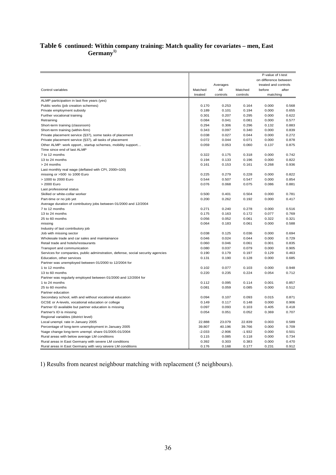#### **[Table 6](#page-34-0) continued: Within company training: Match quality for covariates – men, East Germany1)**

| P-value of t-test                                                               |                    |                 |                     |                       |       |  |  |
|---------------------------------------------------------------------------------|--------------------|-----------------|---------------------|-----------------------|-------|--|--|
|                                                                                 |                    |                 |                     | on difference between |       |  |  |
|                                                                                 |                    | Averages        |                     | treated and controls  |       |  |  |
| Control variables                                                               | Matched<br>treated | All<br>controls | Matched<br>controls | before<br>matching    | after |  |  |
|                                                                                 |                    |                 |                     |                       |       |  |  |
| ALMP participation in last five years (yes)                                     |                    |                 |                     |                       |       |  |  |
| Public works (job creation schemes)                                             | 0.170              | 0.253<br>0.101  | 0.164               | 0.000                 | 0.568 |  |  |
| Private employment subsidy                                                      | 0.189              |                 | 0.194               | 0.000                 | 0.655 |  |  |
| Further vocational training                                                     | 0.301              | 0.207           | 0.295               | 0.000                 | 0.622 |  |  |
| Retraining                                                                      | 0.084              | 0.041           | 0.081               | 0.000                 | 0.577 |  |  |
| Short-term training (classroom)                                                 | 0.294              | 0.306           | 0.296               | 0.132                 | 0.883 |  |  |
| Short-term training (within-firm)                                               | 0.343              | 0.097           | 0.340               | 0.000                 | 0.839 |  |  |
| Private placement service (§37), some tasks of placement                        | 0.038              | 0.027           | 0.044               | 0.000                 | 0.272 |  |  |
| Private placement service (§37), all tasks of placement                         | 0.072              | 0.044           | 0.071               | 0.000                 | 0.878 |  |  |
| Other ALMP: work opport., startup schemes, mobility support                     | 0.059              | 0.053           | 0.060               | 0.137                 | 0.875 |  |  |
| Time since end of last ALMP                                                     |                    |                 |                     |                       |       |  |  |
| 7 to 12 months                                                                  | 0.322              | 0.175           | 0.318               | 0.000                 | 0.742 |  |  |
| 13 to 24 months                                                                 | 0.194              | 0.133           | 0.196               | 0.000                 | 0.822 |  |  |
| > 24 months                                                                     | 0.161              | 0.153           | 0.161               | 0.268                 | 0.936 |  |  |
| Last monthly real wage (deflated with CPI, 2000=100)                            |                    |                 |                     |                       |       |  |  |
| missing or >500 to 1000 Euro                                                    | 0.225              | 0.279           | 0.228               | 0.000                 | 0.822 |  |  |
| > 1000 to 2000 Euro                                                             | 0.544              | 0.507           | 0.547               | 0.000                 | 0.854 |  |  |
| > 2000 Euro                                                                     | 0.076              | 0.068           | 0.075               | 0.086                 | 0.881 |  |  |
| Last professional status                                                        |                    |                 |                     |                       |       |  |  |
| Skilled or white-collar worker                                                  | 0.500              | 0.401           | 0.504               | 0.000                 | 0.781 |  |  |
| Part-time or no job yet                                                         | 0.200              | 0.262           | 0.192               | 0.000                 | 0.417 |  |  |
| Average duration of contributory jobs between 01/2000 and 12/2004               |                    |                 |                     |                       |       |  |  |
| 7 to 12 months                                                                  | 0.271              | 0.240           | 0.278               | 0.000                 | 0.516 |  |  |
| 13 to 24 months                                                                 | 0.175              | 0.163           | 0.172               | 0.077                 | 0.769 |  |  |
| 25 to 60 months                                                                 | 0.056              | 0.052           | 0.061               | 0.322                 | 0.321 |  |  |
| missing                                                                         | 0.064              | 0.183           | 0.061               | 0.000                 | 0.588 |  |  |
| Industry of last contributory job                                               |                    |                 |                     |                       |       |  |  |
| Job with missing sector                                                         | 0.038              | 0.125           | 0.036               | 0.000                 | 0.694 |  |  |
| Wholesale trade and car sales and maintainance                                  | 0.046              | 0.024           | 0.044               | 0.000                 | 0.729 |  |  |
| Retail trade and hotels/restaurants                                             | 0.060              | 0.046           | 0.061               | 0.001                 | 0.835 |  |  |
| Transport and communication                                                     | 0.080              | 0.037           | 0.079               | 0.000                 | 0.905 |  |  |
| Services for companies, public adminstration, defense, social security agencies | 0.190              | 0.179           | 0.197               | 0.129                 | 0.463 |  |  |
| Education, other services                                                       | 0.131              | 0.190           | 0.128               | 0.000                 | 0.685 |  |  |
| Partner was unemployed between 01/2000 to 12/2004 for                           |                    |                 |                     |                       |       |  |  |
| 1 to 12 months                                                                  | 0.102              | 0.077           | 0.103               | 0.000                 | 0.948 |  |  |
| 13 to 60 months                                                                 | 0.220              | 0.235           | 0.224               | 0.054                 | 0.712 |  |  |
| Partner was regularly employed between 01/2000 and 12/2004 for                  |                    |                 |                     |                       |       |  |  |
| 1 to 24 months                                                                  | 0.112              | 0.095           | 0.114               | 0.001                 | 0.857 |  |  |
| 25 to 60 months                                                                 | 0.081              | 0.059           | 0.085               | 0.000                 | 0.512 |  |  |
| Partner education                                                               |                    |                 |                     |                       |       |  |  |
| Secondary school, with and without vocational education                         | 0.094              | 0.107           | 0.093               | 0.015                 | 0.871 |  |  |
|                                                                                 |                    |                 |                     |                       |       |  |  |
| GCSE or A-levels, vocational education or college                               | 0.149              | 0.117           | 0.148               | 0.000                 | 0.906 |  |  |
| Partner ID available but partner education is missing                           | 0.097              | 0.093           | 0.103               | 0.405                 | 0.418 |  |  |
| Partner's ID is missing                                                         | 0.054              | 0.051           | 0.052               | 0.369                 | 0.707 |  |  |
| Regional variables (district level)                                             |                    |                 |                     |                       |       |  |  |
| Local unempl. rate in January 2005                                              | 22.888             | 23.079          | 22.839              | 0.003                 | 0.589 |  |  |
| Percentage of long-term unemployment in January 2005                            | 39.807             | 40.196          | 39.766              | 0.000                 | 0.709 |  |  |
| %age change long-term unempl. share 01/2005-01/2004                             | $-2.033$           | $-2.906$        | $-1.932$            | 0.000                 | 0.501 |  |  |
| Rural areas with below average LM conditions                                    | 0.115              | 0.085           | 0.118               | 0.000                 | 0.734 |  |  |
| Rural areas in East Germany with severe LM conditions                           | 0.392              | 0.303           | 0.383               | 0.000                 | 0.470 |  |  |
| Rural areas in East Germany with very severe LM conditions                      | 0.176              | 0.168           | 0.177               | 0.231                 | 0.912 |  |  |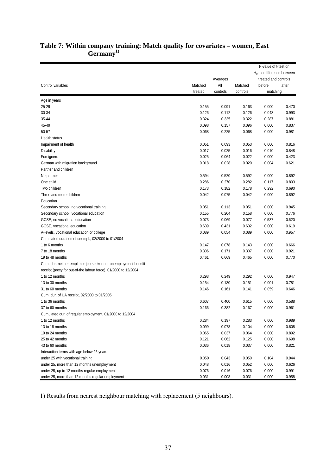|                                                                 |         |          |          | P-value of t-test on<br>$H_0$ : no difference between |       |
|-----------------------------------------------------------------|---------|----------|----------|-------------------------------------------------------|-------|
|                                                                 |         | Averages |          | treated and controls                                  |       |
| Control variables                                               | Matched | All      | Matched  | before                                                | after |
|                                                                 | treated | controls | controls | matching                                              |       |
| Age in years                                                    |         |          |          |                                                       |       |
| 25-29                                                           | 0.155   | 0.091    | 0.163    | 0.000                                                 | 0.470 |
| 30-34                                                           | 0.126   | 0.112    | 0.126    | 0.043                                                 | 0.993 |
| 35-44                                                           | 0.324   | 0.335    | 0.322    | 0.287                                                 | 0.881 |
| 45-49                                                           | 0.098   | 0.157    | 0.096    | 0.000                                                 | 0.837 |
| 50-57                                                           | 0.068   | 0.225    | 0.068    | 0.000                                                 | 0.981 |
| Health status                                                   |         |          |          |                                                       |       |
| Impairment of health                                            | 0.051   | 0.093    | 0.053    | 0.000                                                 | 0.816 |
| <b>Disability</b>                                               | 0.017   | 0.025    | 0.016    | 0.010                                                 | 0.848 |
| Foreigners                                                      | 0.025   | 0.064    | 0.022    | 0.000                                                 | 0.423 |
| German with migration background                                | 0.018   | 0.028    | 0.020    | 0.004                                                 | 0.621 |
| Partner and children                                            |         |          |          |                                                       |       |
| No partner                                                      | 0.594   | 0.520    | 0.592    | 0.000                                                 | 0.892 |
| One child                                                       | 0.286   | 0.270    | 0.282    | 0.117                                                 | 0.803 |
| Two children                                                    | 0.173   | 0.182    | 0.178    | 0.292                                                 | 0.690 |
| Three and more children                                         | 0.042   | 0.075    | 0.042    | 0.000                                                 | 0.892 |
| Education                                                       |         |          |          |                                                       |       |
| Secondary school, no vocational training                        | 0.051   | 0.113    | 0.051    | 0.000                                                 | 0.945 |
| Secondary school, vocational education                          | 0.155   | 0.204    | 0.158    | 0.000                                                 | 0.776 |
| GCSE, no vocational education                                   | 0.073   | 0.069    | 0.077    | 0.537                                                 | 0.620 |
| GCSE, vocational education                                      | 0.609   | 0.431    | 0.602    | 0.000                                                 | 0.619 |
| A-levels, vocational education or college                       | 0.089   | 0.054    | 0.089    | 0.000                                                 | 0.957 |
| Cumulated duration of unempl., 02/2000 to 01/2004               |         |          |          |                                                       |       |
| 1 to 6 months                                                   | 0.147   | 0.078    | 0.143    | 0.000                                                 | 0.666 |
| 7 to 18 months                                                  | 0.306   | 0.171    | 0.307    | 0.000                                                 | 0.921 |
| 19 to 48 months                                                 | 0.461   | 0.669    | 0.465    | 0.000                                                 | 0.770 |
| Cum. dur. neither empl. nor job-seeker nor unemployment benefit |         |          |          |                                                       |       |
| receipt (proxy for out-of-the labour force), 01/2000 to 12/2004 |         |          |          |                                                       |       |
| 1 to 12 months                                                  | 0.293   | 0.249    | 0.292    | 0.000                                                 | 0.947 |
| 13 to 30 months                                                 | 0.154   | 0.130    | 0.151    | 0.001                                                 | 0.781 |
| 31 to 60 months                                                 | 0.146   | 0.161    | 0.141    | 0.059                                                 | 0.646 |
| Cum. dur. of UA receipt, 02/2000 to 01/2005                     |         |          |          |                                                       |       |
| 1 to 36 months                                                  | 0.607   | 0.400    | 0.615    | 0.000                                                 | 0.588 |
| 37 to 60 months                                                 | 0.166   | 0.382    | 0.167    | 0.000                                                 | 0.961 |
| Cumulated dur. of regular employment, 01/2000 to 12/2004        |         |          |          |                                                       |       |
| 1 to 12 months                                                  | 0.284   | 0.197    | 0.283    | 0.000                                                 | 0.989 |
| 13 to 18 months                                                 | 0.099   | 0.078    | 0.104    | 0.000                                                 | 0.608 |
| 19 to 24 months                                                 | 0.065   | 0.037    | 0.064    | 0.000                                                 | 0.892 |
| 25 to 42 months                                                 | 0.121   | 0.062    | 0.125    | 0.000                                                 | 0.698 |
| 43 to 60 months                                                 | 0.036   | 0.018    | 0.037    | 0.000                                                 | 0.821 |
| Interaction terms with age below 25 years                       |         |          |          |                                                       |       |
| under 25 with vocational training                               | 0.050   | 0.043    | 0.050    | 0.104                                                 | 0.944 |
| under 25, more than 12 months unemployment                      | 0.048   | 0.016    | 0.052    | 0.000                                                 | 0.626 |
| under 25, up to 12 months regular employment                    | 0.076   | 0.016    | 0.076    | 0.000                                                 | 0.991 |
| under 25, more than 12 months regular employment                | 0.031   | 0.008    | 0.031    | 0.000                                                 | 0.958 |

## <span id="page-36-0"></span>**Table 7: Within company training: Match quality for covariates – women, East**  Germany<sup>1)</sup>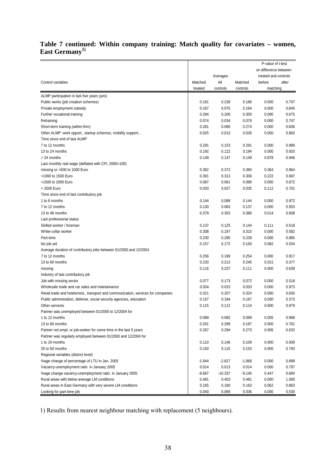## **[Table 7](#page-36-0) continued: Within company training: Match quality for covariates – women, East Germany1)**

|                                                                                    | P-value of t-test |           |          |                       |       |
|------------------------------------------------------------------------------------|-------------------|-----------|----------|-----------------------|-------|
|                                                                                    |                   |           |          | on difference between |       |
|                                                                                    |                   | Averages  |          | treated and controls  |       |
| Control variables                                                                  | Matched           | All       | Matched  | before                | after |
|                                                                                    | treated           | controls  | controls | matching              |       |
| ALMP participation in last five years (yes)                                        |                   |           |          |                       |       |
| Public works (job creation schemes)                                                | 0.181             | 0.238     | 0.186    | 0.000                 | 0.707 |
| Private employment subsidy                                                         | 0.167             | 0.075     | 0.164    | 0.000                 | 0.845 |
| Further vocational training                                                        | 0.294             | 0.206     | 0.300    | 0.000                 | 0.675 |
| Retraining                                                                         | 0.074             | 0.034     | 0.076    | 0.000                 | 0.747 |
| Short-term training (within-firm)                                                  | 0.281             | 0.066     | 0.274    | 0.000                 | 0.606 |
| Other ALMP: work opport., startup schemes, mobility support                        | 0.025             | 0.013     | 0.026    | 0.000                 | 0.863 |
| Time since end of last ALMP                                                        |                   |           |          |                       |       |
| 7 to 12 months                                                                     | 0.291             | 0.153     | 0.291    | 0.000                 | 0.989 |
| 13 to 24 months                                                                    | 0.192             | 0.122     | 0.194    | 0.000                 | 0.920 |
| > 24 months                                                                        | 0.149             | 0.147     | 0.149    | 0.878                 | 0.946 |
| Last monthly real wage (deflated with CPI, 2000=100)                               |                   |           |          |                       |       |
| missing or >500 to 1000 Euro                                                       | 0.362             | 0.372     | 0.360    | 0.364                 | 0.864 |
| >1000 to 1500 Euro                                                                 | 0.301             | 0.313     | 0.306    | 0.222                 | 0.697 |
| >1500 to 2000 Euro                                                                 | 0.087             | 0.061     | 0.089    | 0.000                 | 0.872 |
| > 2000 Euro                                                                        | 0.033             | 0.027     | 0.035    | 0.112                 | 0.701 |
| Time since end of last contributory job                                            |                   |           |          |                       |       |
| 1 to 6 months                                                                      | 0.144             | 0.088     | 0.144    | 0.000                 | 0.972 |
| 7 to 12 months                                                                     | 0.130             | 0.063     | 0.137    | 0.000                 | 0.503 |
| 13 to 48 months                                                                    | 0.379             | 0.353     | 0.386    | 0.014                 | 0.608 |
| Last professional status                                                           |                   |           |          |                       |       |
| Skilled worker / foreman                                                           | 0.137             | 0.125     | 0.144    | 0.111                 | 0.518 |
| White-collar worker                                                                | 0.308             | 0.197     | 0.315    | 0.000                 | 0.582 |
| Part-time                                                                          | 0.230             | 0.295     | 0.228    | 0.000                 | 0.885 |
| No job yet                                                                         | 0.157             | 0.172     | 0.150    | 0.082                 | 0.534 |
| Average duration of contributory jobs between 01/2000 and 12/2004                  |                   |           |          |                       |       |
| 7 to 12 months                                                                     | 0.256             | 0.199     | 0.254    | 0.000                 | 0.917 |
| 13 to 60 months                                                                    | 0.233             | 0.213     | 0.245    | 0.021                 | 0.377 |
| missing                                                                            | 0.116             | 0.237     | 0.111    | 0.000                 | 0.639 |
| Industry of last contributory job                                                  |                   |           |          |                       |       |
| Job with missing sector                                                            | 0.077             | 0.173     | 0.072    | 0.000                 | 0.518 |
| Wholesale trade and car sales and maintainance                                     | 0.034             | 0.015     | 0.033    | 0.000                 | 0.973 |
| Retail trade and hotels/rest., transport and communication, services for companies | 0.321             | 0.207     | 0.324    | 0.000                 | 0.830 |
| Public adminstration, defense, social security agencies, education                 | 0.157             | 0.194     | 0.167    | 0.000                 | 0.373 |
| Other services                                                                     | 0.115             | 0.112     | 0.114    | 0.600                 | 0.879 |
| Partner was unemployed between 01/2000 to 12/2004 for                              |                   |           |          |                       |       |
| 1 to 12 months                                                                     | 0.099             | 0.082     | 0.099    | 0.005                 | 0.968 |
| 13 to 60 months                                                                    | 0.201             | 0.299     | 0.197    | 0.000                 | 0.761 |
| Partner not empl. or job-seeker for some time in the last 5 years                  | 0.267             | 0.294     | 0.273    | 0.006                 | 0.632 |
| Partner was regularly employed between 01/2000 and 12/2004 for                     |                   |           |          |                       |       |
| 1 to 24 months                                                                     | 0.110             | 0.146     | 0.109    | 0.000                 | 0.930 |
| 25 to 60 months                                                                    | 0.150             | 0.115     | 0.153    | 0.000                 | 0.793 |
| Regional variables (district level)                                                |                   |           |          |                       |       |
| %age change of percentage of LTU in Jan. 2005                                      | $-1.644$          | $-2.627$  | $-1.668$ | 0.000                 | 0.899 |
| Vacancy-unemployment ratio in January 2005                                         | 0.014             | 0.013     | 0.014    | 0.000                 | 0.797 |
| %age change vacancy-unemployment ratio in January 2005                             | $-9.687$          | $-10.337$ | -9.145   | 0.447                 | 0.684 |
| Rural areas with below average LM conditions                                       | 0.481             | 0.403     | 0.481    | 0.000                 | 1.000 |
| Rural areas in East Germany with very severe LM conditions                         | 0.165             | 0.180     | 0.163    | 0.062                 | 0.863 |
| Looking for part-time job                                                          | 0.040             | 0.069     | 0.036    | 0.000                 | 0.535 |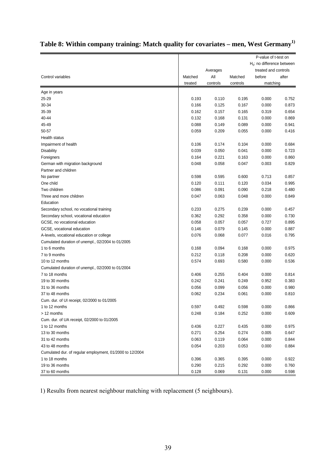<span id="page-38-0"></span>

|  |  |  | Table 8: Within company training: Match quality for covariates – men, West Germany <sup>1)</sup> |  |  |
|--|--|--|--------------------------------------------------------------------------------------------------|--|--|
|  |  |  |                                                                                                  |  |  |

|                                                          |         |          |          | P-value of t-test on<br>$H_0$ : no difference between |       |
|----------------------------------------------------------|---------|----------|----------|-------------------------------------------------------|-------|
|                                                          |         | Averages |          | treated and controls                                  |       |
| Control variables                                        | Matched | All      | Matched  | before                                                | after |
|                                                          | treated | controls | controls | matching                                              |       |
| Age in years                                             |         |          |          |                                                       |       |
| 25-29                                                    | 0.193   | 0.110    | 0.195    | 0.000                                                 | 0.752 |
| 30-34                                                    | 0.166   | 0.125    | 0.167    | 0.000                                                 | 0.873 |
| 35-39                                                    | 0.162   | 0.157    | 0.165    | 0.319                                                 | 0.654 |
| 40-44                                                    | 0.132   | 0.168    | 0.131    | 0.000                                                 | 0.869 |
| 45-49                                                    | 0.088   | 0.149    | 0.089    | 0.000                                                 | 0.941 |
| 50-57                                                    | 0.059   | 0.209    | 0.055    | 0.000                                                 | 0.416 |
| Health status                                            |         |          |          |                                                       |       |
| Impairment of health                                     | 0.106   | 0.174    | 0.104    | 0.000                                                 | 0.684 |
| <b>Disability</b>                                        | 0.039   | 0.050    | 0.041    | 0.000                                                 | 0.723 |
| Foreigners                                               | 0.164   | 0.221    | 0.163    | 0.000                                                 | 0.860 |
| German with migration background                         | 0.048   | 0.058    | 0.047    | 0.003                                                 | 0.829 |
| Partner and children                                     |         |          |          |                                                       |       |
| No partner                                               | 0.598   | 0.595    | 0.600    | 0.713                                                 | 0.857 |
| One child                                                | 0.120   | 0.111    | 0.120    | 0.034                                                 | 0.995 |
| Two children                                             | 0.086   | 0.091    | 0.090    | 0.218                                                 | 0.480 |
| Three and more children                                  | 0.047   | 0.063    | 0.048    | 0.000                                                 | 0.849 |
| Education                                                |         |          |          |                                                       |       |
| Secondary school, no vocational training                 | 0.233   | 0.275    | 0.239    | 0.000                                                 | 0.457 |
| Secondary school, vocational education                   | 0.362   | 0.292    | 0.358    | 0.000                                                 | 0.730 |
| GCSE, no vocational education                            | 0.058   | 0.057    | 0.057    | 0.727                                                 | 0.895 |
| GCSE, vocational education                               | 0.146   | 0.079    | 0.145    | 0.000                                                 | 0.887 |
| A-levels, vocational education or college                | 0.076   | 0.068    | 0.077    | 0.016                                                 | 0.795 |
| Cumulated duration of unempl., 02/2004 to 01/2005        |         |          |          |                                                       |       |
| 1 to 6 months                                            | 0.168   | 0.094    | 0.168    | 0.000                                                 | 0.975 |
| 7 to 9 months                                            | 0.212   | 0.118    | 0.208    | 0.000                                                 | 0.620 |
| 10 to 12 months                                          | 0.574   | 0.693    | 0.580    | 0.000                                                 | 0.536 |
| Cumulated duration of unempl., 02/2000 to 01/2004        |         |          |          |                                                       |       |
| 7 to 18 months                                           | 0.406   | 0.255    | 0.404    | 0.000                                                 | 0.814 |
| 19 to 30 months                                          | 0.242   | 0.241    | 0.249    | 0.952                                                 | 0.383 |
| 31 to 36 months                                          | 0.056   | 0.099    | 0.056    | 0.000                                                 | 0.980 |
| 37 to 48 months                                          | 0.062   | 0.234    | 0.061    | 0.000                                                 | 0.810 |
| Cum. dur. of UI receipt, 02/2000 to 01/2005              |         |          |          |                                                       |       |
| 1 to 12 months                                           | 0.597   | 0.492    | 0.598    | 0.000                                                 | 0.866 |
| > 12 months                                              | 0.248   | 0.184    | 0.252    | 0.000                                                 | 0.609 |
| Cum. dur. of UA receipt, 02/2000 to 01/2005              |         |          |          |                                                       |       |
| 1 to 12 months                                           | 0.436   | 0.227    | 0.435    | 0.000                                                 | 0.975 |
| 13 to 30 months                                          | 0.271   | 0.254    | 0.274    | 0.005                                                 | 0.647 |
| 31 to 42 months                                          | 0.063   | 0.119    | 0.064    | 0.000                                                 | 0.844 |
| 43 to 48 months                                          | 0.054   | 0.203    | 0.053    | 0.000                                                 | 0.884 |
| Cumulated dur. of regular employment, 01/2000 to 12/2004 |         |          |          |                                                       |       |
| 1 to 18 months                                           | 0.396   | 0.365    | 0.395    | 0.000                                                 | 0.922 |
| 19 to 36 months                                          | 0.290   | 0.215    | 0.292    | 0.000                                                 | 0.760 |
| 37 to 60 months                                          | 0.128   | 0.069    | 0.131    | 0.000                                                 | 0.598 |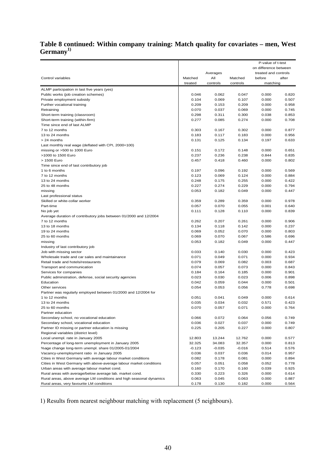## **[Table 8](#page-38-0) continued: Within company training: Match quality for covariates – men, West Germany1)**

|                                                                      |                |                |                | P-value of t-test     |                |
|----------------------------------------------------------------------|----------------|----------------|----------------|-----------------------|----------------|
|                                                                      |                |                |                | on difference between |                |
|                                                                      |                | Averages       |                | treated and controls  |                |
| Control variables                                                    | Matched        | All            | Matched        | before                | after          |
|                                                                      | treated        | controls       | controls       | matching              |                |
| ALMP participation in last five years (yes)                          |                |                |                |                       |                |
| Public works (job creation schemes)                                  | 0.046          | 0.062          | 0.047          | 0.000                 | 0.820          |
| Private employment subsidy                                           | 0.104<br>0.209 | 0.069<br>0.153 | 0.107<br>0.209 | 0.000                 | 0.507<br>0.958 |
| Further vocational training                                          | 0.070          | 0.037          | 0.069          | 0.000                 | 0.745          |
| Retraining                                                           | 0.298          | 0.311          | 0.300          | 0.000<br>0.038        | 0.853          |
| Short-term training (classroom)<br>Short-term training (within-firm) | 0.277          | 0.085          | 0.274          | 0.000                 | 0.708          |
| Time since end of last ALMP                                          |                |                |                |                       |                |
| 7 to 12 months                                                       | 0.303          | 0.167          | 0.302          | 0.000                 | 0.877          |
| 13 to 24 months                                                      | 0.183          | 0.117          | 0.183          | 0.000                 | 0.956          |
| > 24 months                                                          | 0.131          | 0.125          | 0.134          | 0.197                 | 0.633          |
| Last monthly real wage (deflated with CPI, 2000=100)                 |                |                |                |                       |                |
| missing or >500 to 1000 Euro                                         | 0.151          | 0.172          | 0.148          | 0.000                 | 0.651          |
| >1000 to 1500 Euro                                                   | 0.237          | 0.236          | 0.238          | 0.844                 | 0.835          |
| > 1500 Euro                                                          | 0.457          | 0.418          | 0.460          | 0.000                 | 0.802          |
| Time since end of last contributory job                              |                |                |                |                       |                |
| 1 to 6 months                                                        | 0.197          | 0.096          | 0.192          | 0.000                 | 0.569          |
| 7 to 12 months                                                       | 0.123          | 0.069          | 0.124          | 0.000                 | 0.884          |
| 13 to 24 months                                                      | 0.248          | 0.175          | 0.255          | 0.000                 | 0.422          |
| 25 to 48 months                                                      | 0.227          | 0.274          | 0.229          | 0.000                 | 0.794          |
| missing                                                              | 0.053          | 0.182          | 0.049          | 0.000                 | 0.447          |
| Last professional status                                             |                |                |                |                       |                |
| Skilled or white-collar worker                                       | 0.359          | 0.289          | 0.359          | 0.000                 | 0.978          |
| Part-time                                                            | 0.057          | 0.070          | 0.055          | 0.001                 | 0.640          |
| No job yet                                                           | 0.111          | 0.128          | 0.110          | 0.000                 | 0.839          |
| Average duration of contributory jobs between 01/2000 and 12/2004    |                |                |                |                       |                |
| 7 to 12 months                                                       | 0.262          | 0.207          | 0.261          | 0.000                 | 0.906          |
| 13 to 18 months                                                      | 0.134          | 0.118          | 0.142          | 0.000                 | 0.237          |
| 19 to 24 months                                                      | 0.069          | 0.052          | 0.070          | 0.000                 | 0.803          |
| 25 to 60 months                                                      | 0.069          | 0.070          | 0.067          | 0.586                 | 0.696          |
| missing                                                              | 0.053          | 0.182          | 0.049          | 0.000                 | 0.447          |
| Industry of last contributory job                                    |                |                |                |                       |                |
| Job with missing sector                                              | 0.033          | 0.140          | 0.030          | 0.000                 | 0.423          |
| Wholesale trade and car sales and maintainance                       | 0.071          | 0.049          | 0.071          | 0.000                 | 0.934          |
| Retail trade and hotels/restaurants                                  | 0.079          | 0.069          | 0.082          | 0.003                 | 0.687          |
| Transport and communication                                          | 0.074          | 0.057          | 0.073          | 0.000                 | 0.843          |
| Services for companies                                               | 0.184          | 0.164          | 0.185          | 0.000                 | 0.901          |
| Public adminstration, defense, social security agencies              | 0.023          | 0.030          | 0.023          | 0.006                 | 0.898          |
| Education                                                            | 0.042          | 0.059          | 0.044          | 0.000                 | 0.501          |
| Other services                                                       | 0.054          | 0.053          | 0.056          | 0.778                 | 0.698          |
| Partner was regularly employed between 01/2000 and 12/2004 for       |                |                |                |                       |                |
| 1 to 12 months                                                       | 0.051          | 0.041          | 0.049          | 0.000                 | 0.614          |
| 13 to 24 months                                                      | 0.035          | 0.034          | 0.032          | 0.571                 | 0.423          |
| 25 to 60 months                                                      | 0.070          | 0.057          | 0.071          | 0.000                 | 0.764          |
| Partner education                                                    |                |                |                |                       |                |
| Secondary school, no vocational education                            | 0.066          | 0.072          | 0.064          | 0.056                 | 0.749          |
| Secondary school, vocational education                               | 0.036          | 0.027          | 0.037          | 0.000                 | 0.749          |
| Partner ID missing or partner education is missing                   | 0.225          | 0.205          | 0.227          | 0.000                 | 0.807          |
| Regional variables (district level)                                  |                |                |                |                       |                |
| Local unempl. rate in January 2005                                   | 12.803         | 13.244         | 12.762         | 0.000                 | 0.577          |
| Percentage of long-term unemployment in January 2005                 | 32.325         | 34.083         | 32.357         | 0.000                 | 0.813          |
| %age change long-term unempl. share 01/2005-01/2004                  | $-0.123$       | $-0.035$       | $-0.016$       | 0.514                 | 0.576          |
| Vacancy-unemployment ratio in January 2005                           | 0.036          | 0.037          | 0.036          | 0.014                 | 0.957          |
| Cities in West Germany with average labour market conditions         | 0.082          | 0.178          | 0.081          | 0.000                 | 0.894          |
| Cities in West Germany with above-average labour market conditions   | 0.057          | 0.051          | 0.058          | 0.052                 | 0.778          |
| Urban areas with average labour market cond.                         | 0.160          | 0.170          | 0.160          | 0.039                 | 0.925          |
| Rural areas with average/below average lab. market cond.             | 0.330          | 0.223          | 0.326          | 0.000                 | 0.614          |
| Rural areas, above average LM conditions and high seasonal dynamics  | 0.063          | 0.045          | 0.063          | 0.000                 | 0.887          |
| Rural areas, very favourite LM conditions                            | 0.178          | 0.130          | 0.182          | 0.000                 | 0.564          |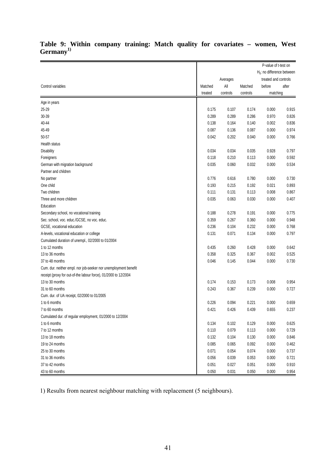|                                                                 |         |          |          | P-value of t-test on          |       |
|-----------------------------------------------------------------|---------|----------|----------|-------------------------------|-------|
|                                                                 |         |          |          | $H_0$ : no difference between |       |
|                                                                 |         | Averages |          | treated and controls          |       |
| Control variables                                               | Matched | All      | Matched  | before                        | after |
|                                                                 | treated | controls | controls | matching                      |       |
| Age in years                                                    |         |          |          |                               |       |
| 25-29                                                           | 0.175   | 0.107    | 0.174    | 0.000                         | 0.915 |
| 30-39                                                           | 0.289   | 0.289    | 0.286    | 0.970                         | 0.826 |
| 40-44                                                           | 0.138   | 0.164    | 0.140    | 0.002                         | 0.836 |
| 45-49                                                           | 0.087   | 0.136    | 0.087    | 0.000                         | 0.974 |
| 50-57                                                           | 0.042   | 0.202    | 0.040    | 0.000                         | 0.766 |
| Health status                                                   |         |          |          |                               |       |
| <b>Disability</b>                                               | 0.034   | 0.034    | 0.035    | 0.928                         | 0.797 |
| Foreigners                                                      | 0.118   | 0.210    | 0.113    | 0.000                         | 0.592 |
| German with migration background                                | 0.035   | 0.060    | 0.032    | 0.000                         | 0.534 |
| Partner and children                                            |         |          |          |                               |       |
| No partner                                                      | 0.776   | 0.616    | 0.780    | 0.000                         | 0.730 |
| One child                                                       | 0.193   | 0.215    | 0.192    | 0.021                         | 0.893 |
| Two children                                                    | 0.111   | 0.131    | 0.113    | 0.008                         | 0.867 |
| Three and more children                                         | 0.035   | 0.063    | 0.030    | 0.000                         | 0.407 |
| Education                                                       |         |          |          |                               |       |
| Secondary school, no vocational training                        | 0.188   | 0.278    | 0.191    | 0.000                         | 0.775 |
| Sec. school, voc. educ./GCSE, no voc. educ.                     | 0.359   | 0.267    | 0.360    | 0.000                         | 0.948 |
| GCSE, vocational education                                      | 0.236   | 0.104    | 0.232    | 0.000                         | 0.768 |
| A-levels, vocational education or college                       | 0.131   | 0.071    | 0.134    | 0.000                         | 0.797 |
| Cumulated duration of unempl., 02/2000 to 01/2004               |         |          |          |                               |       |
| 1 to 12 months                                                  | 0.435   | 0.260    | 0.428    | 0.000                         | 0.642 |
| 13 to 36 months                                                 | 0.358   | 0.325    | 0.367    | 0.002                         | 0.525 |
| 37 to 48 months                                                 | 0.046   | 0.145    | 0.044    | 0.000                         | 0.730 |
| Cum. dur. neither empl. nor job-seeker nor unemployment benefit |         |          |          |                               |       |
| receipt (proxy for out-of-the labour force), 01/2000 to 12/2004 |         |          |          |                               |       |
| 13 to 30 months                                                 | 0.174   | 0.153    | 0.173    | 0.008                         | 0.954 |
| 31 to 60 months                                                 | 0.243   | 0.367    | 0.239    | 0.000                         | 0.727 |
| Cum. dur. of UA receipt, 02/2000 to 01/2005                     |         |          |          |                               |       |
| 1 to 6 months                                                   | 0.226   | 0.094    | 0.221    | 0.000                         | 0.659 |
| 7 to 60 months                                                  | 0.421   | 0.426    | 0.439    | 0.655                         | 0.237 |
| Cumulated dur. of regular employment, 01/2000 to 12/2004        |         |          |          |                               |       |
| 1 to 6 months                                                   | 0.134   | 0.102    | 0.129    | 0.000                         | 0.625 |
| 7 to 12 months                                                  | 0.110   | 0.079    | 0.113    | 0.000                         | 0.729 |
| 13 to 18 months                                                 | 0.132   | 0.104    | 0.130    | 0.000                         | 0.846 |
| 19 to 24 months                                                 | 0.085   | 0.065    | 0.092    | 0.000                         | 0.462 |
| 25 to 30 months                                                 | 0.071   | 0.054    | 0.074    | 0.000                         | 0.737 |
| 31 to 36 months                                                 | 0.056   | 0.039    | 0.053    | 0.000                         | 0.721 |
| 37 to 42 months                                                 | 0.051   | 0.027    | 0.051    | 0.000                         | 0.910 |
| 43 to 60 months                                                 | 0.050   | 0.031    | 0.050    | 0.000                         | 0.954 |

## <span id="page-40-0"></span>**Table 9: Within company training: Match quality for covariates – women, West Germany1)**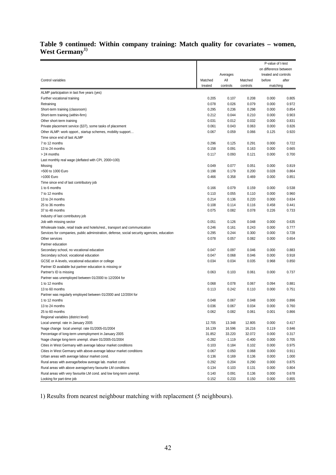### **[Table 9](#page-40-0) continued: Within company training: Match quality for covariates – women,**  West Germany<sup>1)</sup>

| on difference between<br>Averages<br>treated and controls<br>Control variables<br>All<br>Matched<br>Matched<br>before<br>after<br>treated<br>controls<br>controls<br>matching<br>ALMP participation in last five years (yes)<br>0.205<br>0.208<br>0.000<br>Further vocational training<br>0.107<br>0.805<br>0.078<br>0.026<br>0.079<br>0.000<br>0.972<br>Retraining<br>0.295<br>0.236<br>0.298<br>0.000<br>0.854<br>Short-term training (classroom)<br>0.212<br>0.044<br>0.210<br>0.000<br>0.903<br>Short-term training (within-firm)<br>0.031<br>0.032<br>0.000<br>0.831<br>Other short-term training<br>0.012<br>0.061<br>0.000<br>0.826<br>Private placement service (§37), some tasks of placement<br>0.043<br>0.063<br>0.067<br>0.059<br>0.066<br>0.920<br>Other ALMP: work opport., startup schemes, mobility support<br>0.125<br>Time since end of last ALMP<br>7 to 12 months<br>0.296<br>0.722<br>0.125<br>0.291<br>0.000<br>13 to 24 months<br>0.158<br>0.091<br>0.163<br>0.000<br>0.665<br>0.117<br>0.000<br>0.700<br>> 24 months<br>0.093<br>0.121<br>Last monthly real wage (deflated with CPI, 2000=100)<br>0.049<br>0.077<br>0.051<br>0.000<br>0.819<br>Missing<br>>500 to 1000 Euro<br>0.198<br>0.179<br>0.200<br>0.028<br>0.864<br>>1000 Euro<br>0.466<br>0.000<br>0.851<br>0.358<br>0.469<br>Time since end of last contributory job<br>0.166<br>1 to 6 months<br>0.079<br>0.159<br>0.000<br>0.538<br>0.000<br>0.960<br>7 to 12 months<br>0.110<br>0.055<br>0.110<br>0.214<br>0.220<br>0.000<br>0.634<br>13 to 24 months<br>0.136<br>0.108<br>0.458<br>0.441<br>25 to 36 months<br>0.114<br>0.116<br>37 to 48 months<br>0.075<br>0.078<br>0.226<br>0.733<br>0.082<br>Industry of last contributory job<br>Job with missing sector<br>0.051<br>0.126<br>0.048<br>0.000<br>0.635<br>0.243<br>0.000<br>0.777<br>Wholesale trade, retail trade and hotels/rest., transport and communication<br>0.246<br>0.161<br>Services for companies, public adminstration, defense, social security agencies, education<br>0.295<br>0.244<br>0.300<br>0.000<br>0.728<br>0.078<br>0.082<br>0.000<br>0.654<br>Other services<br>0.057<br>Partner education<br>0.000<br>0.883<br>Secondary school, no vocational education<br>0.047<br>0.097<br>0.046<br>0.047<br>0.046<br>0.000<br>0.918<br>Secondary school, vocational education<br>0.068<br>0.034<br>0.034<br>0.035<br>0.968<br>0.850<br>GCSE or A-levels, vocational education or college<br>Partner ID available but partner education is missing or<br>0.063<br>0.061<br>0.000<br>Partner's ID is missing<br>0.103<br>0.737<br>Partner was unemployed between 01/2000 to 12/2004 for<br>1 to 12 months<br>0.068<br>0.094<br>0.078<br>0.067<br>0.881<br>13 to 60 months<br>0.113<br>0.242<br>0.000<br>0.751<br>0.110<br>Partner was regularly employed between 01/2000 and 12/2004 for<br>1 to 12 months<br>0.048<br>0.067<br>0.048<br>0.000<br>0.896<br>0.036<br>0.760<br>13 to 24 months<br>0.067<br>0.034<br>0.000<br>25 to 60 months<br>0.062<br>0.082<br>0.061<br>0.001<br>0.866<br>Regional variables (district level)<br>Local unempl. rate in January 2005<br>12.705<br>13.348<br>12.805<br>0.000<br>0.417<br>%age change local unempl. rate 01/2005-01/2004<br>16.139<br>16.596<br>16.216<br>0.119<br>0.846<br>Percentage of long-term unemployment in January 2005<br>31.852<br>33.220<br>32.072<br>0.000<br>0.317<br>%age change long-term unempl. share 01/2005-01/2004<br>$-0.282$<br>$-1.119$<br>$-0.400$<br>0.000<br>0.705<br>Cities in West Germany with average labour market conditions<br>0.103<br>0.102<br>0.000<br>0.975<br>0.184<br>Cities in West Germany with above-average labour market conditions<br>0.067<br>0.050<br>0.068<br>0.000<br>0.911<br>Urban areas with average labour market cond.<br>0.136<br>0.169<br>0.136<br>0.000<br>1.000<br>Rural areas with average/below average lab. market cond.<br>0.292<br>0.204<br>0.290<br>0.000<br>0.875<br>Rural areas with above average/very favourite LM conditions<br>0.134<br>0.103<br>0.131<br>0.000<br>0.804<br>Rural areas with very favourite LM cond. and low long-term unempl.<br>0.140<br>0.091<br>0.136<br>0.000<br>0.678<br>0.152<br>0.233<br>0.150<br>0.000<br>0.855<br>Looking for part-time job |  |  | P-value of t-test |  |
|------------------------------------------------------------------------------------------------------------------------------------------------------------------------------------------------------------------------------------------------------------------------------------------------------------------------------------------------------------------------------------------------------------------------------------------------------------------------------------------------------------------------------------------------------------------------------------------------------------------------------------------------------------------------------------------------------------------------------------------------------------------------------------------------------------------------------------------------------------------------------------------------------------------------------------------------------------------------------------------------------------------------------------------------------------------------------------------------------------------------------------------------------------------------------------------------------------------------------------------------------------------------------------------------------------------------------------------------------------------------------------------------------------------------------------------------------------------------------------------------------------------------------------------------------------------------------------------------------------------------------------------------------------------------------------------------------------------------------------------------------------------------------------------------------------------------------------------------------------------------------------------------------------------------------------------------------------------------------------------------------------------------------------------------------------------------------------------------------------------------------------------------------------------------------------------------------------------------------------------------------------------------------------------------------------------------------------------------------------------------------------------------------------------------------------------------------------------------------------------------------------------------------------------------------------------------------------------------------------------------------------------------------------------------------------------------------------------------------------------------------------------------------------------------------------------------------------------------------------------------------------------------------------------------------------------------------------------------------------------------------------------------------------------------------------------------------------------------------------------------------------------------------------------------------------------------------------------------------------------------------------------------------------------------------------------------------------------------------------------------------------------------------------------------------------------------------------------------------------------------------------------------------------------------------------------------------------------------------------------------------------------------------------------------------------------------------------------------------------------------------------------------------------------------------------------------------------------------------------------------------------------------------------------------------------------------------------------------------------------------------------------------------------------------------------------------------------------------------------------------------------------------------------------------------------------------------------------------------------------------|--|--|-------------------|--|
|                                                                                                                                                                                                                                                                                                                                                                                                                                                                                                                                                                                                                                                                                                                                                                                                                                                                                                                                                                                                                                                                                                                                                                                                                                                                                                                                                                                                                                                                                                                                                                                                                                                                                                                                                                                                                                                                                                                                                                                                                                                                                                                                                                                                                                                                                                                                                                                                                                                                                                                                                                                                                                                                                                                                                                                                                                                                                                                                                                                                                                                                                                                                                                                                                                                                                                                                                                                                                                                                                                                                                                                                                                                                                                                                                                                                                                                                                                                                                                                                                                                                                                                                                                                                                                                |  |  |                   |  |
|                                                                                                                                                                                                                                                                                                                                                                                                                                                                                                                                                                                                                                                                                                                                                                                                                                                                                                                                                                                                                                                                                                                                                                                                                                                                                                                                                                                                                                                                                                                                                                                                                                                                                                                                                                                                                                                                                                                                                                                                                                                                                                                                                                                                                                                                                                                                                                                                                                                                                                                                                                                                                                                                                                                                                                                                                                                                                                                                                                                                                                                                                                                                                                                                                                                                                                                                                                                                                                                                                                                                                                                                                                                                                                                                                                                                                                                                                                                                                                                                                                                                                                                                                                                                                                                |  |  |                   |  |
|                                                                                                                                                                                                                                                                                                                                                                                                                                                                                                                                                                                                                                                                                                                                                                                                                                                                                                                                                                                                                                                                                                                                                                                                                                                                                                                                                                                                                                                                                                                                                                                                                                                                                                                                                                                                                                                                                                                                                                                                                                                                                                                                                                                                                                                                                                                                                                                                                                                                                                                                                                                                                                                                                                                                                                                                                                                                                                                                                                                                                                                                                                                                                                                                                                                                                                                                                                                                                                                                                                                                                                                                                                                                                                                                                                                                                                                                                                                                                                                                                                                                                                                                                                                                                                                |  |  |                   |  |
|                                                                                                                                                                                                                                                                                                                                                                                                                                                                                                                                                                                                                                                                                                                                                                                                                                                                                                                                                                                                                                                                                                                                                                                                                                                                                                                                                                                                                                                                                                                                                                                                                                                                                                                                                                                                                                                                                                                                                                                                                                                                                                                                                                                                                                                                                                                                                                                                                                                                                                                                                                                                                                                                                                                                                                                                                                                                                                                                                                                                                                                                                                                                                                                                                                                                                                                                                                                                                                                                                                                                                                                                                                                                                                                                                                                                                                                                                                                                                                                                                                                                                                                                                                                                                                                |  |  |                   |  |
|                                                                                                                                                                                                                                                                                                                                                                                                                                                                                                                                                                                                                                                                                                                                                                                                                                                                                                                                                                                                                                                                                                                                                                                                                                                                                                                                                                                                                                                                                                                                                                                                                                                                                                                                                                                                                                                                                                                                                                                                                                                                                                                                                                                                                                                                                                                                                                                                                                                                                                                                                                                                                                                                                                                                                                                                                                                                                                                                                                                                                                                                                                                                                                                                                                                                                                                                                                                                                                                                                                                                                                                                                                                                                                                                                                                                                                                                                                                                                                                                                                                                                                                                                                                                                                                |  |  |                   |  |
|                                                                                                                                                                                                                                                                                                                                                                                                                                                                                                                                                                                                                                                                                                                                                                                                                                                                                                                                                                                                                                                                                                                                                                                                                                                                                                                                                                                                                                                                                                                                                                                                                                                                                                                                                                                                                                                                                                                                                                                                                                                                                                                                                                                                                                                                                                                                                                                                                                                                                                                                                                                                                                                                                                                                                                                                                                                                                                                                                                                                                                                                                                                                                                                                                                                                                                                                                                                                                                                                                                                                                                                                                                                                                                                                                                                                                                                                                                                                                                                                                                                                                                                                                                                                                                                |  |  |                   |  |
|                                                                                                                                                                                                                                                                                                                                                                                                                                                                                                                                                                                                                                                                                                                                                                                                                                                                                                                                                                                                                                                                                                                                                                                                                                                                                                                                                                                                                                                                                                                                                                                                                                                                                                                                                                                                                                                                                                                                                                                                                                                                                                                                                                                                                                                                                                                                                                                                                                                                                                                                                                                                                                                                                                                                                                                                                                                                                                                                                                                                                                                                                                                                                                                                                                                                                                                                                                                                                                                                                                                                                                                                                                                                                                                                                                                                                                                                                                                                                                                                                                                                                                                                                                                                                                                |  |  |                   |  |
|                                                                                                                                                                                                                                                                                                                                                                                                                                                                                                                                                                                                                                                                                                                                                                                                                                                                                                                                                                                                                                                                                                                                                                                                                                                                                                                                                                                                                                                                                                                                                                                                                                                                                                                                                                                                                                                                                                                                                                                                                                                                                                                                                                                                                                                                                                                                                                                                                                                                                                                                                                                                                                                                                                                                                                                                                                                                                                                                                                                                                                                                                                                                                                                                                                                                                                                                                                                                                                                                                                                                                                                                                                                                                                                                                                                                                                                                                                                                                                                                                                                                                                                                                                                                                                                |  |  |                   |  |
|                                                                                                                                                                                                                                                                                                                                                                                                                                                                                                                                                                                                                                                                                                                                                                                                                                                                                                                                                                                                                                                                                                                                                                                                                                                                                                                                                                                                                                                                                                                                                                                                                                                                                                                                                                                                                                                                                                                                                                                                                                                                                                                                                                                                                                                                                                                                                                                                                                                                                                                                                                                                                                                                                                                                                                                                                                                                                                                                                                                                                                                                                                                                                                                                                                                                                                                                                                                                                                                                                                                                                                                                                                                                                                                                                                                                                                                                                                                                                                                                                                                                                                                                                                                                                                                |  |  |                   |  |
|                                                                                                                                                                                                                                                                                                                                                                                                                                                                                                                                                                                                                                                                                                                                                                                                                                                                                                                                                                                                                                                                                                                                                                                                                                                                                                                                                                                                                                                                                                                                                                                                                                                                                                                                                                                                                                                                                                                                                                                                                                                                                                                                                                                                                                                                                                                                                                                                                                                                                                                                                                                                                                                                                                                                                                                                                                                                                                                                                                                                                                                                                                                                                                                                                                                                                                                                                                                                                                                                                                                                                                                                                                                                                                                                                                                                                                                                                                                                                                                                                                                                                                                                                                                                                                                |  |  |                   |  |
|                                                                                                                                                                                                                                                                                                                                                                                                                                                                                                                                                                                                                                                                                                                                                                                                                                                                                                                                                                                                                                                                                                                                                                                                                                                                                                                                                                                                                                                                                                                                                                                                                                                                                                                                                                                                                                                                                                                                                                                                                                                                                                                                                                                                                                                                                                                                                                                                                                                                                                                                                                                                                                                                                                                                                                                                                                                                                                                                                                                                                                                                                                                                                                                                                                                                                                                                                                                                                                                                                                                                                                                                                                                                                                                                                                                                                                                                                                                                                                                                                                                                                                                                                                                                                                                |  |  |                   |  |
|                                                                                                                                                                                                                                                                                                                                                                                                                                                                                                                                                                                                                                                                                                                                                                                                                                                                                                                                                                                                                                                                                                                                                                                                                                                                                                                                                                                                                                                                                                                                                                                                                                                                                                                                                                                                                                                                                                                                                                                                                                                                                                                                                                                                                                                                                                                                                                                                                                                                                                                                                                                                                                                                                                                                                                                                                                                                                                                                                                                                                                                                                                                                                                                                                                                                                                                                                                                                                                                                                                                                                                                                                                                                                                                                                                                                                                                                                                                                                                                                                                                                                                                                                                                                                                                |  |  |                   |  |
|                                                                                                                                                                                                                                                                                                                                                                                                                                                                                                                                                                                                                                                                                                                                                                                                                                                                                                                                                                                                                                                                                                                                                                                                                                                                                                                                                                                                                                                                                                                                                                                                                                                                                                                                                                                                                                                                                                                                                                                                                                                                                                                                                                                                                                                                                                                                                                                                                                                                                                                                                                                                                                                                                                                                                                                                                                                                                                                                                                                                                                                                                                                                                                                                                                                                                                                                                                                                                                                                                                                                                                                                                                                                                                                                                                                                                                                                                                                                                                                                                                                                                                                                                                                                                                                |  |  |                   |  |
|                                                                                                                                                                                                                                                                                                                                                                                                                                                                                                                                                                                                                                                                                                                                                                                                                                                                                                                                                                                                                                                                                                                                                                                                                                                                                                                                                                                                                                                                                                                                                                                                                                                                                                                                                                                                                                                                                                                                                                                                                                                                                                                                                                                                                                                                                                                                                                                                                                                                                                                                                                                                                                                                                                                                                                                                                                                                                                                                                                                                                                                                                                                                                                                                                                                                                                                                                                                                                                                                                                                                                                                                                                                                                                                                                                                                                                                                                                                                                                                                                                                                                                                                                                                                                                                |  |  |                   |  |
|                                                                                                                                                                                                                                                                                                                                                                                                                                                                                                                                                                                                                                                                                                                                                                                                                                                                                                                                                                                                                                                                                                                                                                                                                                                                                                                                                                                                                                                                                                                                                                                                                                                                                                                                                                                                                                                                                                                                                                                                                                                                                                                                                                                                                                                                                                                                                                                                                                                                                                                                                                                                                                                                                                                                                                                                                                                                                                                                                                                                                                                                                                                                                                                                                                                                                                                                                                                                                                                                                                                                                                                                                                                                                                                                                                                                                                                                                                                                                                                                                                                                                                                                                                                                                                                |  |  |                   |  |
|                                                                                                                                                                                                                                                                                                                                                                                                                                                                                                                                                                                                                                                                                                                                                                                                                                                                                                                                                                                                                                                                                                                                                                                                                                                                                                                                                                                                                                                                                                                                                                                                                                                                                                                                                                                                                                                                                                                                                                                                                                                                                                                                                                                                                                                                                                                                                                                                                                                                                                                                                                                                                                                                                                                                                                                                                                                                                                                                                                                                                                                                                                                                                                                                                                                                                                                                                                                                                                                                                                                                                                                                                                                                                                                                                                                                                                                                                                                                                                                                                                                                                                                                                                                                                                                |  |  |                   |  |
|                                                                                                                                                                                                                                                                                                                                                                                                                                                                                                                                                                                                                                                                                                                                                                                                                                                                                                                                                                                                                                                                                                                                                                                                                                                                                                                                                                                                                                                                                                                                                                                                                                                                                                                                                                                                                                                                                                                                                                                                                                                                                                                                                                                                                                                                                                                                                                                                                                                                                                                                                                                                                                                                                                                                                                                                                                                                                                                                                                                                                                                                                                                                                                                                                                                                                                                                                                                                                                                                                                                                                                                                                                                                                                                                                                                                                                                                                                                                                                                                                                                                                                                                                                                                                                                |  |  |                   |  |
|                                                                                                                                                                                                                                                                                                                                                                                                                                                                                                                                                                                                                                                                                                                                                                                                                                                                                                                                                                                                                                                                                                                                                                                                                                                                                                                                                                                                                                                                                                                                                                                                                                                                                                                                                                                                                                                                                                                                                                                                                                                                                                                                                                                                                                                                                                                                                                                                                                                                                                                                                                                                                                                                                                                                                                                                                                                                                                                                                                                                                                                                                                                                                                                                                                                                                                                                                                                                                                                                                                                                                                                                                                                                                                                                                                                                                                                                                                                                                                                                                                                                                                                                                                                                                                                |  |  |                   |  |
|                                                                                                                                                                                                                                                                                                                                                                                                                                                                                                                                                                                                                                                                                                                                                                                                                                                                                                                                                                                                                                                                                                                                                                                                                                                                                                                                                                                                                                                                                                                                                                                                                                                                                                                                                                                                                                                                                                                                                                                                                                                                                                                                                                                                                                                                                                                                                                                                                                                                                                                                                                                                                                                                                                                                                                                                                                                                                                                                                                                                                                                                                                                                                                                                                                                                                                                                                                                                                                                                                                                                                                                                                                                                                                                                                                                                                                                                                                                                                                                                                                                                                                                                                                                                                                                |  |  |                   |  |
|                                                                                                                                                                                                                                                                                                                                                                                                                                                                                                                                                                                                                                                                                                                                                                                                                                                                                                                                                                                                                                                                                                                                                                                                                                                                                                                                                                                                                                                                                                                                                                                                                                                                                                                                                                                                                                                                                                                                                                                                                                                                                                                                                                                                                                                                                                                                                                                                                                                                                                                                                                                                                                                                                                                                                                                                                                                                                                                                                                                                                                                                                                                                                                                                                                                                                                                                                                                                                                                                                                                                                                                                                                                                                                                                                                                                                                                                                                                                                                                                                                                                                                                                                                                                                                                |  |  |                   |  |
|                                                                                                                                                                                                                                                                                                                                                                                                                                                                                                                                                                                                                                                                                                                                                                                                                                                                                                                                                                                                                                                                                                                                                                                                                                                                                                                                                                                                                                                                                                                                                                                                                                                                                                                                                                                                                                                                                                                                                                                                                                                                                                                                                                                                                                                                                                                                                                                                                                                                                                                                                                                                                                                                                                                                                                                                                                                                                                                                                                                                                                                                                                                                                                                                                                                                                                                                                                                                                                                                                                                                                                                                                                                                                                                                                                                                                                                                                                                                                                                                                                                                                                                                                                                                                                                |  |  |                   |  |
|                                                                                                                                                                                                                                                                                                                                                                                                                                                                                                                                                                                                                                                                                                                                                                                                                                                                                                                                                                                                                                                                                                                                                                                                                                                                                                                                                                                                                                                                                                                                                                                                                                                                                                                                                                                                                                                                                                                                                                                                                                                                                                                                                                                                                                                                                                                                                                                                                                                                                                                                                                                                                                                                                                                                                                                                                                                                                                                                                                                                                                                                                                                                                                                                                                                                                                                                                                                                                                                                                                                                                                                                                                                                                                                                                                                                                                                                                                                                                                                                                                                                                                                                                                                                                                                |  |  |                   |  |
|                                                                                                                                                                                                                                                                                                                                                                                                                                                                                                                                                                                                                                                                                                                                                                                                                                                                                                                                                                                                                                                                                                                                                                                                                                                                                                                                                                                                                                                                                                                                                                                                                                                                                                                                                                                                                                                                                                                                                                                                                                                                                                                                                                                                                                                                                                                                                                                                                                                                                                                                                                                                                                                                                                                                                                                                                                                                                                                                                                                                                                                                                                                                                                                                                                                                                                                                                                                                                                                                                                                                                                                                                                                                                                                                                                                                                                                                                                                                                                                                                                                                                                                                                                                                                                                |  |  |                   |  |
|                                                                                                                                                                                                                                                                                                                                                                                                                                                                                                                                                                                                                                                                                                                                                                                                                                                                                                                                                                                                                                                                                                                                                                                                                                                                                                                                                                                                                                                                                                                                                                                                                                                                                                                                                                                                                                                                                                                                                                                                                                                                                                                                                                                                                                                                                                                                                                                                                                                                                                                                                                                                                                                                                                                                                                                                                                                                                                                                                                                                                                                                                                                                                                                                                                                                                                                                                                                                                                                                                                                                                                                                                                                                                                                                                                                                                                                                                                                                                                                                                                                                                                                                                                                                                                                |  |  |                   |  |
|                                                                                                                                                                                                                                                                                                                                                                                                                                                                                                                                                                                                                                                                                                                                                                                                                                                                                                                                                                                                                                                                                                                                                                                                                                                                                                                                                                                                                                                                                                                                                                                                                                                                                                                                                                                                                                                                                                                                                                                                                                                                                                                                                                                                                                                                                                                                                                                                                                                                                                                                                                                                                                                                                                                                                                                                                                                                                                                                                                                                                                                                                                                                                                                                                                                                                                                                                                                                                                                                                                                                                                                                                                                                                                                                                                                                                                                                                                                                                                                                                                                                                                                                                                                                                                                |  |  |                   |  |
|                                                                                                                                                                                                                                                                                                                                                                                                                                                                                                                                                                                                                                                                                                                                                                                                                                                                                                                                                                                                                                                                                                                                                                                                                                                                                                                                                                                                                                                                                                                                                                                                                                                                                                                                                                                                                                                                                                                                                                                                                                                                                                                                                                                                                                                                                                                                                                                                                                                                                                                                                                                                                                                                                                                                                                                                                                                                                                                                                                                                                                                                                                                                                                                                                                                                                                                                                                                                                                                                                                                                                                                                                                                                                                                                                                                                                                                                                                                                                                                                                                                                                                                                                                                                                                                |  |  |                   |  |
|                                                                                                                                                                                                                                                                                                                                                                                                                                                                                                                                                                                                                                                                                                                                                                                                                                                                                                                                                                                                                                                                                                                                                                                                                                                                                                                                                                                                                                                                                                                                                                                                                                                                                                                                                                                                                                                                                                                                                                                                                                                                                                                                                                                                                                                                                                                                                                                                                                                                                                                                                                                                                                                                                                                                                                                                                                                                                                                                                                                                                                                                                                                                                                                                                                                                                                                                                                                                                                                                                                                                                                                                                                                                                                                                                                                                                                                                                                                                                                                                                                                                                                                                                                                                                                                |  |  |                   |  |
|                                                                                                                                                                                                                                                                                                                                                                                                                                                                                                                                                                                                                                                                                                                                                                                                                                                                                                                                                                                                                                                                                                                                                                                                                                                                                                                                                                                                                                                                                                                                                                                                                                                                                                                                                                                                                                                                                                                                                                                                                                                                                                                                                                                                                                                                                                                                                                                                                                                                                                                                                                                                                                                                                                                                                                                                                                                                                                                                                                                                                                                                                                                                                                                                                                                                                                                                                                                                                                                                                                                                                                                                                                                                                                                                                                                                                                                                                                                                                                                                                                                                                                                                                                                                                                                |  |  |                   |  |
|                                                                                                                                                                                                                                                                                                                                                                                                                                                                                                                                                                                                                                                                                                                                                                                                                                                                                                                                                                                                                                                                                                                                                                                                                                                                                                                                                                                                                                                                                                                                                                                                                                                                                                                                                                                                                                                                                                                                                                                                                                                                                                                                                                                                                                                                                                                                                                                                                                                                                                                                                                                                                                                                                                                                                                                                                                                                                                                                                                                                                                                                                                                                                                                                                                                                                                                                                                                                                                                                                                                                                                                                                                                                                                                                                                                                                                                                                                                                                                                                                                                                                                                                                                                                                                                |  |  |                   |  |
|                                                                                                                                                                                                                                                                                                                                                                                                                                                                                                                                                                                                                                                                                                                                                                                                                                                                                                                                                                                                                                                                                                                                                                                                                                                                                                                                                                                                                                                                                                                                                                                                                                                                                                                                                                                                                                                                                                                                                                                                                                                                                                                                                                                                                                                                                                                                                                                                                                                                                                                                                                                                                                                                                                                                                                                                                                                                                                                                                                                                                                                                                                                                                                                                                                                                                                                                                                                                                                                                                                                                                                                                                                                                                                                                                                                                                                                                                                                                                                                                                                                                                                                                                                                                                                                |  |  |                   |  |
|                                                                                                                                                                                                                                                                                                                                                                                                                                                                                                                                                                                                                                                                                                                                                                                                                                                                                                                                                                                                                                                                                                                                                                                                                                                                                                                                                                                                                                                                                                                                                                                                                                                                                                                                                                                                                                                                                                                                                                                                                                                                                                                                                                                                                                                                                                                                                                                                                                                                                                                                                                                                                                                                                                                                                                                                                                                                                                                                                                                                                                                                                                                                                                                                                                                                                                                                                                                                                                                                                                                                                                                                                                                                                                                                                                                                                                                                                                                                                                                                                                                                                                                                                                                                                                                |  |  |                   |  |
|                                                                                                                                                                                                                                                                                                                                                                                                                                                                                                                                                                                                                                                                                                                                                                                                                                                                                                                                                                                                                                                                                                                                                                                                                                                                                                                                                                                                                                                                                                                                                                                                                                                                                                                                                                                                                                                                                                                                                                                                                                                                                                                                                                                                                                                                                                                                                                                                                                                                                                                                                                                                                                                                                                                                                                                                                                                                                                                                                                                                                                                                                                                                                                                                                                                                                                                                                                                                                                                                                                                                                                                                                                                                                                                                                                                                                                                                                                                                                                                                                                                                                                                                                                                                                                                |  |  |                   |  |
|                                                                                                                                                                                                                                                                                                                                                                                                                                                                                                                                                                                                                                                                                                                                                                                                                                                                                                                                                                                                                                                                                                                                                                                                                                                                                                                                                                                                                                                                                                                                                                                                                                                                                                                                                                                                                                                                                                                                                                                                                                                                                                                                                                                                                                                                                                                                                                                                                                                                                                                                                                                                                                                                                                                                                                                                                                                                                                                                                                                                                                                                                                                                                                                                                                                                                                                                                                                                                                                                                                                                                                                                                                                                                                                                                                                                                                                                                                                                                                                                                                                                                                                                                                                                                                                |  |  |                   |  |
|                                                                                                                                                                                                                                                                                                                                                                                                                                                                                                                                                                                                                                                                                                                                                                                                                                                                                                                                                                                                                                                                                                                                                                                                                                                                                                                                                                                                                                                                                                                                                                                                                                                                                                                                                                                                                                                                                                                                                                                                                                                                                                                                                                                                                                                                                                                                                                                                                                                                                                                                                                                                                                                                                                                                                                                                                                                                                                                                                                                                                                                                                                                                                                                                                                                                                                                                                                                                                                                                                                                                                                                                                                                                                                                                                                                                                                                                                                                                                                                                                                                                                                                                                                                                                                                |  |  |                   |  |
|                                                                                                                                                                                                                                                                                                                                                                                                                                                                                                                                                                                                                                                                                                                                                                                                                                                                                                                                                                                                                                                                                                                                                                                                                                                                                                                                                                                                                                                                                                                                                                                                                                                                                                                                                                                                                                                                                                                                                                                                                                                                                                                                                                                                                                                                                                                                                                                                                                                                                                                                                                                                                                                                                                                                                                                                                                                                                                                                                                                                                                                                                                                                                                                                                                                                                                                                                                                                                                                                                                                                                                                                                                                                                                                                                                                                                                                                                                                                                                                                                                                                                                                                                                                                                                                |  |  |                   |  |
|                                                                                                                                                                                                                                                                                                                                                                                                                                                                                                                                                                                                                                                                                                                                                                                                                                                                                                                                                                                                                                                                                                                                                                                                                                                                                                                                                                                                                                                                                                                                                                                                                                                                                                                                                                                                                                                                                                                                                                                                                                                                                                                                                                                                                                                                                                                                                                                                                                                                                                                                                                                                                                                                                                                                                                                                                                                                                                                                                                                                                                                                                                                                                                                                                                                                                                                                                                                                                                                                                                                                                                                                                                                                                                                                                                                                                                                                                                                                                                                                                                                                                                                                                                                                                                                |  |  |                   |  |
|                                                                                                                                                                                                                                                                                                                                                                                                                                                                                                                                                                                                                                                                                                                                                                                                                                                                                                                                                                                                                                                                                                                                                                                                                                                                                                                                                                                                                                                                                                                                                                                                                                                                                                                                                                                                                                                                                                                                                                                                                                                                                                                                                                                                                                                                                                                                                                                                                                                                                                                                                                                                                                                                                                                                                                                                                                                                                                                                                                                                                                                                                                                                                                                                                                                                                                                                                                                                                                                                                                                                                                                                                                                                                                                                                                                                                                                                                                                                                                                                                                                                                                                                                                                                                                                |  |  |                   |  |
|                                                                                                                                                                                                                                                                                                                                                                                                                                                                                                                                                                                                                                                                                                                                                                                                                                                                                                                                                                                                                                                                                                                                                                                                                                                                                                                                                                                                                                                                                                                                                                                                                                                                                                                                                                                                                                                                                                                                                                                                                                                                                                                                                                                                                                                                                                                                                                                                                                                                                                                                                                                                                                                                                                                                                                                                                                                                                                                                                                                                                                                                                                                                                                                                                                                                                                                                                                                                                                                                                                                                                                                                                                                                                                                                                                                                                                                                                                                                                                                                                                                                                                                                                                                                                                                |  |  |                   |  |
|                                                                                                                                                                                                                                                                                                                                                                                                                                                                                                                                                                                                                                                                                                                                                                                                                                                                                                                                                                                                                                                                                                                                                                                                                                                                                                                                                                                                                                                                                                                                                                                                                                                                                                                                                                                                                                                                                                                                                                                                                                                                                                                                                                                                                                                                                                                                                                                                                                                                                                                                                                                                                                                                                                                                                                                                                                                                                                                                                                                                                                                                                                                                                                                                                                                                                                                                                                                                                                                                                                                                                                                                                                                                                                                                                                                                                                                                                                                                                                                                                                                                                                                                                                                                                                                |  |  |                   |  |
|                                                                                                                                                                                                                                                                                                                                                                                                                                                                                                                                                                                                                                                                                                                                                                                                                                                                                                                                                                                                                                                                                                                                                                                                                                                                                                                                                                                                                                                                                                                                                                                                                                                                                                                                                                                                                                                                                                                                                                                                                                                                                                                                                                                                                                                                                                                                                                                                                                                                                                                                                                                                                                                                                                                                                                                                                                                                                                                                                                                                                                                                                                                                                                                                                                                                                                                                                                                                                                                                                                                                                                                                                                                                                                                                                                                                                                                                                                                                                                                                                                                                                                                                                                                                                                                |  |  |                   |  |
|                                                                                                                                                                                                                                                                                                                                                                                                                                                                                                                                                                                                                                                                                                                                                                                                                                                                                                                                                                                                                                                                                                                                                                                                                                                                                                                                                                                                                                                                                                                                                                                                                                                                                                                                                                                                                                                                                                                                                                                                                                                                                                                                                                                                                                                                                                                                                                                                                                                                                                                                                                                                                                                                                                                                                                                                                                                                                                                                                                                                                                                                                                                                                                                                                                                                                                                                                                                                                                                                                                                                                                                                                                                                                                                                                                                                                                                                                                                                                                                                                                                                                                                                                                                                                                                |  |  |                   |  |
|                                                                                                                                                                                                                                                                                                                                                                                                                                                                                                                                                                                                                                                                                                                                                                                                                                                                                                                                                                                                                                                                                                                                                                                                                                                                                                                                                                                                                                                                                                                                                                                                                                                                                                                                                                                                                                                                                                                                                                                                                                                                                                                                                                                                                                                                                                                                                                                                                                                                                                                                                                                                                                                                                                                                                                                                                                                                                                                                                                                                                                                                                                                                                                                                                                                                                                                                                                                                                                                                                                                                                                                                                                                                                                                                                                                                                                                                                                                                                                                                                                                                                                                                                                                                                                                |  |  |                   |  |
|                                                                                                                                                                                                                                                                                                                                                                                                                                                                                                                                                                                                                                                                                                                                                                                                                                                                                                                                                                                                                                                                                                                                                                                                                                                                                                                                                                                                                                                                                                                                                                                                                                                                                                                                                                                                                                                                                                                                                                                                                                                                                                                                                                                                                                                                                                                                                                                                                                                                                                                                                                                                                                                                                                                                                                                                                                                                                                                                                                                                                                                                                                                                                                                                                                                                                                                                                                                                                                                                                                                                                                                                                                                                                                                                                                                                                                                                                                                                                                                                                                                                                                                                                                                                                                                |  |  |                   |  |
|                                                                                                                                                                                                                                                                                                                                                                                                                                                                                                                                                                                                                                                                                                                                                                                                                                                                                                                                                                                                                                                                                                                                                                                                                                                                                                                                                                                                                                                                                                                                                                                                                                                                                                                                                                                                                                                                                                                                                                                                                                                                                                                                                                                                                                                                                                                                                                                                                                                                                                                                                                                                                                                                                                                                                                                                                                                                                                                                                                                                                                                                                                                                                                                                                                                                                                                                                                                                                                                                                                                                                                                                                                                                                                                                                                                                                                                                                                                                                                                                                                                                                                                                                                                                                                                |  |  |                   |  |
|                                                                                                                                                                                                                                                                                                                                                                                                                                                                                                                                                                                                                                                                                                                                                                                                                                                                                                                                                                                                                                                                                                                                                                                                                                                                                                                                                                                                                                                                                                                                                                                                                                                                                                                                                                                                                                                                                                                                                                                                                                                                                                                                                                                                                                                                                                                                                                                                                                                                                                                                                                                                                                                                                                                                                                                                                                                                                                                                                                                                                                                                                                                                                                                                                                                                                                                                                                                                                                                                                                                                                                                                                                                                                                                                                                                                                                                                                                                                                                                                                                                                                                                                                                                                                                                |  |  |                   |  |
|                                                                                                                                                                                                                                                                                                                                                                                                                                                                                                                                                                                                                                                                                                                                                                                                                                                                                                                                                                                                                                                                                                                                                                                                                                                                                                                                                                                                                                                                                                                                                                                                                                                                                                                                                                                                                                                                                                                                                                                                                                                                                                                                                                                                                                                                                                                                                                                                                                                                                                                                                                                                                                                                                                                                                                                                                                                                                                                                                                                                                                                                                                                                                                                                                                                                                                                                                                                                                                                                                                                                                                                                                                                                                                                                                                                                                                                                                                                                                                                                                                                                                                                                                                                                                                                |  |  |                   |  |
|                                                                                                                                                                                                                                                                                                                                                                                                                                                                                                                                                                                                                                                                                                                                                                                                                                                                                                                                                                                                                                                                                                                                                                                                                                                                                                                                                                                                                                                                                                                                                                                                                                                                                                                                                                                                                                                                                                                                                                                                                                                                                                                                                                                                                                                                                                                                                                                                                                                                                                                                                                                                                                                                                                                                                                                                                                                                                                                                                                                                                                                                                                                                                                                                                                                                                                                                                                                                                                                                                                                                                                                                                                                                                                                                                                                                                                                                                                                                                                                                                                                                                                                                                                                                                                                |  |  |                   |  |
|                                                                                                                                                                                                                                                                                                                                                                                                                                                                                                                                                                                                                                                                                                                                                                                                                                                                                                                                                                                                                                                                                                                                                                                                                                                                                                                                                                                                                                                                                                                                                                                                                                                                                                                                                                                                                                                                                                                                                                                                                                                                                                                                                                                                                                                                                                                                                                                                                                                                                                                                                                                                                                                                                                                                                                                                                                                                                                                                                                                                                                                                                                                                                                                                                                                                                                                                                                                                                                                                                                                                                                                                                                                                                                                                                                                                                                                                                                                                                                                                                                                                                                                                                                                                                                                |  |  |                   |  |
|                                                                                                                                                                                                                                                                                                                                                                                                                                                                                                                                                                                                                                                                                                                                                                                                                                                                                                                                                                                                                                                                                                                                                                                                                                                                                                                                                                                                                                                                                                                                                                                                                                                                                                                                                                                                                                                                                                                                                                                                                                                                                                                                                                                                                                                                                                                                                                                                                                                                                                                                                                                                                                                                                                                                                                                                                                                                                                                                                                                                                                                                                                                                                                                                                                                                                                                                                                                                                                                                                                                                                                                                                                                                                                                                                                                                                                                                                                                                                                                                                                                                                                                                                                                                                                                |  |  |                   |  |
|                                                                                                                                                                                                                                                                                                                                                                                                                                                                                                                                                                                                                                                                                                                                                                                                                                                                                                                                                                                                                                                                                                                                                                                                                                                                                                                                                                                                                                                                                                                                                                                                                                                                                                                                                                                                                                                                                                                                                                                                                                                                                                                                                                                                                                                                                                                                                                                                                                                                                                                                                                                                                                                                                                                                                                                                                                                                                                                                                                                                                                                                                                                                                                                                                                                                                                                                                                                                                                                                                                                                                                                                                                                                                                                                                                                                                                                                                                                                                                                                                                                                                                                                                                                                                                                |  |  |                   |  |
|                                                                                                                                                                                                                                                                                                                                                                                                                                                                                                                                                                                                                                                                                                                                                                                                                                                                                                                                                                                                                                                                                                                                                                                                                                                                                                                                                                                                                                                                                                                                                                                                                                                                                                                                                                                                                                                                                                                                                                                                                                                                                                                                                                                                                                                                                                                                                                                                                                                                                                                                                                                                                                                                                                                                                                                                                                                                                                                                                                                                                                                                                                                                                                                                                                                                                                                                                                                                                                                                                                                                                                                                                                                                                                                                                                                                                                                                                                                                                                                                                                                                                                                                                                                                                                                |  |  |                   |  |
|                                                                                                                                                                                                                                                                                                                                                                                                                                                                                                                                                                                                                                                                                                                                                                                                                                                                                                                                                                                                                                                                                                                                                                                                                                                                                                                                                                                                                                                                                                                                                                                                                                                                                                                                                                                                                                                                                                                                                                                                                                                                                                                                                                                                                                                                                                                                                                                                                                                                                                                                                                                                                                                                                                                                                                                                                                                                                                                                                                                                                                                                                                                                                                                                                                                                                                                                                                                                                                                                                                                                                                                                                                                                                                                                                                                                                                                                                                                                                                                                                                                                                                                                                                                                                                                |  |  |                   |  |
|                                                                                                                                                                                                                                                                                                                                                                                                                                                                                                                                                                                                                                                                                                                                                                                                                                                                                                                                                                                                                                                                                                                                                                                                                                                                                                                                                                                                                                                                                                                                                                                                                                                                                                                                                                                                                                                                                                                                                                                                                                                                                                                                                                                                                                                                                                                                                                                                                                                                                                                                                                                                                                                                                                                                                                                                                                                                                                                                                                                                                                                                                                                                                                                                                                                                                                                                                                                                                                                                                                                                                                                                                                                                                                                                                                                                                                                                                                                                                                                                                                                                                                                                                                                                                                                |  |  |                   |  |
|                                                                                                                                                                                                                                                                                                                                                                                                                                                                                                                                                                                                                                                                                                                                                                                                                                                                                                                                                                                                                                                                                                                                                                                                                                                                                                                                                                                                                                                                                                                                                                                                                                                                                                                                                                                                                                                                                                                                                                                                                                                                                                                                                                                                                                                                                                                                                                                                                                                                                                                                                                                                                                                                                                                                                                                                                                                                                                                                                                                                                                                                                                                                                                                                                                                                                                                                                                                                                                                                                                                                                                                                                                                                                                                                                                                                                                                                                                                                                                                                                                                                                                                                                                                                                                                |  |  |                   |  |
|                                                                                                                                                                                                                                                                                                                                                                                                                                                                                                                                                                                                                                                                                                                                                                                                                                                                                                                                                                                                                                                                                                                                                                                                                                                                                                                                                                                                                                                                                                                                                                                                                                                                                                                                                                                                                                                                                                                                                                                                                                                                                                                                                                                                                                                                                                                                                                                                                                                                                                                                                                                                                                                                                                                                                                                                                                                                                                                                                                                                                                                                                                                                                                                                                                                                                                                                                                                                                                                                                                                                                                                                                                                                                                                                                                                                                                                                                                                                                                                                                                                                                                                                                                                                                                                |  |  |                   |  |
|                                                                                                                                                                                                                                                                                                                                                                                                                                                                                                                                                                                                                                                                                                                                                                                                                                                                                                                                                                                                                                                                                                                                                                                                                                                                                                                                                                                                                                                                                                                                                                                                                                                                                                                                                                                                                                                                                                                                                                                                                                                                                                                                                                                                                                                                                                                                                                                                                                                                                                                                                                                                                                                                                                                                                                                                                                                                                                                                                                                                                                                                                                                                                                                                                                                                                                                                                                                                                                                                                                                                                                                                                                                                                                                                                                                                                                                                                                                                                                                                                                                                                                                                                                                                                                                |  |  |                   |  |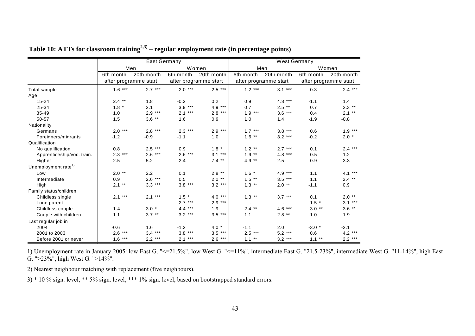|                                 |           | <b>East Germany</b>   |           |                       |                       | <b>West Germany</b> |           |                       |
|---------------------------------|-----------|-----------------------|-----------|-----------------------|-----------------------|---------------------|-----------|-----------------------|
|                                 |           | Men                   | Women     |                       | Men                   |                     |           | Women                 |
|                                 | 6th month | 20th month            | 6th month | 20th month            | 6th month             | 20th month          | 6th month | 20th month            |
|                                 |           | after programme start |           | after programme start | after programme start |                     |           | after programme start |
| Total sample                    | $1.6***$  | $2.7***$              | $2.0***$  | $2.5***$              | $1.2***$              | $3.1***$            | 0.3       | $2.4***$              |
| Age                             |           |                       |           |                       |                       |                     |           |                       |
| $15 - 24$                       | $2.4***$  | 1.8                   | $-0.2$    | 0.2                   | 0.9                   | $4.8***$            | $-1.1$    | 1.4                   |
| 25-34                           | $1.8 *$   | 2.1                   | $3.9***$  | $4.9***$              | 0.7                   | $2.5$ **            | 0.7       | $2.3$ **              |
| $35 - 49$                       | 1.0       | $2.9***$              | $2.1***$  | $2.8***$              | $1.9***$              | $3.6***$            | 0.4       | $2.1***$              |
| 50-57                           | 1.5       | $3.6$ **              | 1.6       | 0.9                   | 1.0                   | 1.4                 | $-1.9$    | $-0.8$                |
| Nationality                     |           |                       |           |                       |                       |                     |           |                       |
| Germans                         | $2.0***$  | $2.8***$              | $2.3***$  | $2.9***$              | $1.7***$              | $3.8***$            | 0.6       | $1.9***$              |
| Foreigners/migrants             | $-1.2$    | $-0.9$                | $-1.1$    | 1.0                   | $1.6$ **              | $3.2***$            | $-0.2$    | $2.0*$                |
| Qualification                   |           |                       |           |                       |                       |                     |           |                       |
| No qualification                | 0.8       | $2.5***$              | 0.9       | $1.8 *$               | $1.2***$              | $2.7***$            | 0.1       | $2.4***$              |
| Apprenticeship/voc. train.      | $2.3***$  | $2.6***$              | $2.6***$  | $3.1***$              | $1.9***$              | $4.8***$            | 0.5       | 1.2                   |
| Higher                          | 2.5       | 5.2                   | 2.4       | $7.4$ **              | 4.9 $**$              | 2.5                 | 0.9       | 3.3                   |
| Unemployment rate <sup>1)</sup> |           |                       |           |                       |                       |                     |           |                       |
| Low                             | $2.0$ **  | 2.2                   | 0.1       | $2.8$ **              | $1.6 *$               | $4.9***$            | 1.1       | $4.1***$              |
| Intermediate                    | 0.9       | $2.6***$              | 0.5       | $2.0$ **              | $1.5$ **              | $3.5***$            | 1.1       | $2.4$ **              |
| High                            | $2.1***$  | $3.3***$              | $3.8***$  | $3.2***$              | $1.3$ **              | $2.0**$             | $-1.1$    | 0.9                   |
| Family status/children          |           |                       |           |                       |                       |                     |           |                       |
| Childless single                | $2.1***$  | $2.1***$              | $1.5$ *   | $4.0***$              | $1.3$ **              | $3.7***$            | 0.1       | $2.0$ **              |
| Lone parent                     |           |                       | $2.7***$  | $2.9***$              |                       |                     | $1.5 *$   | $3.1***$              |
| Childless couple                | 1.4       | $3.0*$                | $4.4***$  | 1.9                   | $2.4***$              | $4.6***$            | $3.0**$   | $3.6$ **              |
| Couple with children            | 1.1       | $3.7$ **              | $3.2***$  | $3.5***$              | 1.1                   | $2.8$ **            | $-1.0$    | 1.9                   |
| Last regular job in             |           |                       |           |                       |                       |                     |           |                       |
| 2004                            | $-0.6$    | 1.6                   | $-1.2$    | $4.0*$                | $-1.1$                | 2.0                 | $-3.0*$   | $-2.1$                |
| 2001 to 2003                    | $2.6***$  | $3.4***$              | $3.8***$  | $3.5***$              | $2.5***$              | $5.2***$            | 0.6       | $4.2***$              |
| Before 2001 or never            | $1.6***$  | $2.2***$              | $2.1***$  | $2.6***$              | $1.1***$              | $3.2***$            | $1.1***$  | $2.2***$              |

| Table 10: ATTs for classroom training <sup>2,3)</sup> – regular employment rate (in percentage points) |  |  |
|--------------------------------------------------------------------------------------------------------|--|--|

1) Unemployment rate in January 2005: low East G. "<=21.5%", low West G. "<=11%", intermediate East G. "21.5-23%", intermediate West G. "11-14%", high East G. ">23%", high West G. ">14%".

2) Nearest neighbour matching with replacement (five neighbours).

<span id="page-42-0"></span>3) \* 10 % sign. level, \*\* 5% sign. level, \*\*\* 1% sign. level, based on bootstrapped standard errors.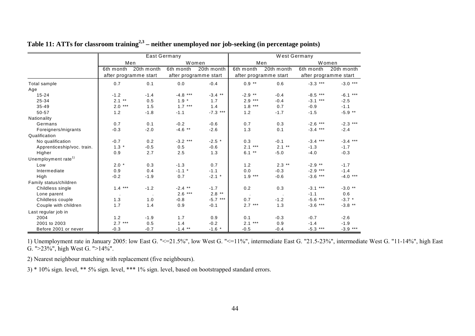|                                 |                       |            | <b>East Germany</b> |                       |              | West Germany          |            |                       |
|---------------------------------|-----------------------|------------|---------------------|-----------------------|--------------|-----------------------|------------|-----------------------|
|                                 | Men                   |            |                     | Women                 |              | Men                   |            | Women                 |
|                                 | 6th month             | 20th month | 6th month           | 20th month            | 6th month    | 20th month            | 6th month  | 20th month            |
|                                 | after programme start |            |                     | after programme start |              | after programme start |            | after programme start |
| Total sample                    | 0.7                   | 0.1        | 0.0                 | $-0.4$                | $0.9***$     | 0.6                   | $-3.3$ *** | $-3.0***$             |
| Age                             |                       |            |                     |                       |              |                       |            |                       |
| $15 - 24$                       | $-1.2$                | $-1.4$     | $-4.8$ ***          | $-3.4$ **             | $-2.9$ **    | $-0.4$                | $-8.5***$  | $-6.1***$             |
| 25-34                           | $2.1***$              | 0.5        | $1.9 *$             | 1.7                   | $2.9***$     | $-0.4$                | $-3.1***$  | $-2.5$                |
| $35 - 49$                       | $2.0***$              | 1.5        | $1.7***$            | 1.4                   | 1.8<br>$***$ | 0.7                   | $-0.9$     | $-1.1$                |
| 50-57                           | 1.2                   | $-1.8$     | $-1.1$              | $-7.3$ ***            | 1.2          | $-1.7$                | $-1.5$     | $-5.9$ **             |
| Nationality                     |                       |            |                     |                       |              |                       |            |                       |
| Germans                         | 0.7                   | 0.1        | $-0.2$              | $-0.6$                | 0.7          | 0.3                   | $-2.6$ *** | $-2.3$ ***            |
| Foreigners/migrants             | $-0.3$                | $-2.0$     | $-4.6$ **           | $-2.6$                | 1.3          | 0.1                   | $-3.4***$  | $-2.4$                |
| Qualification                   |                       |            |                     |                       |              |                       |            |                       |
| No qualification                | $-0.7$                | 0.2        | $-3.2***$           | $-2.5$ *              | 0.3          | $-0.1$                | $-3.4***$  | $-3.4***$             |
| Apprenticeship/voc. train.      | $1.3 *$               | $-0.5$     | 0.5                 | $-0.6$                | $2.1***$     | $2.1***$              | $-1.3$     | $-1.7$                |
| Higher                          | 0.9                   | 2.7        | 2.5                 | 1.3                   | $6.1***$     | $-5.0$                | $-4.0$     | $-0.3$                |
| Unemployment rate <sup>1)</sup> |                       |            |                     |                       |              |                       |            |                       |
| Low                             | $2.0*$                | 0.3        | $-1.3$              | 0.7                   | 1.2          | $2.3$ **              | $-2.9$ **  | $-1.7$                |
| Intermediate                    | 0.9                   | 0.4        | $-1.1$ *            | $-1.1$                | 0.0          | $-0.3$                | $-2.9***$  | $-1.4$                |
| High                            | $-0.2$                | $-1.9$     | 0.7                 | $-2.1$ *              | $1.9***$     | $-0.6$                | $-3.6***$  | $-4.0***$             |
| Family status/children          |                       |            |                     |                       |              |                       |            |                       |
| Childless single                | $1.4***$              | $-1.2$     | $-2.4$ **           | $-1.7$                | 0.2          | 0.3                   | $-3.1***$  | $-3.0$ **             |
| Lone parent                     |                       |            | $2.6***$            | $2.8$ **              |              |                       | $-1.1$     | 0.6                   |
| Childless couple                | 1.3                   | 1.0        | $-0.8$              | $-5.7***$             | 0.7          | $-1.2$                | $-5.6***$  | $-3.7$ *              |
| Couple with children            | 1.7                   | 1.4        | 0.9                 | $-0.1$                | $2.7***$     | 1.3                   | $-3.6$ *** | $-3.8$ **             |
| Last regular job in             |                       |            |                     |                       |              |                       |            |                       |
| 2004                            | 1.2                   | $-1.9$     | 1.7                 | 0.9                   | 0.1          | $-0.3$                | $-0.7$     | $-2.6$                |
| 2001 to 2003                    | $2.7***$              | 0.5        | 1.4                 | $-0.2$                | $2.1***$     | 0.9                   | $-1.4$     | $-1.9$                |
| Before 2001 or never            | $-0.3$                | $-0.7$     | $-1.4$ **           | $-1.6$ *              | $-0.5$       | $-0.4$                | $-5.3$ *** | $-3.9***$             |

**Table 11: ATTs for classroom training2,3 – neither unemployed nor job-seeking (in percentage points)** 

1) Unemployment rate in January 2005: low East G. "<=21.5%", low West G. "<=11%", intermediate East G. "21.5-23%", intermediate West G. "11-14%", high East G. ">23%", high West G. ">14%".

2) Nearest neighbour matching with replacement (five neighbours).

<span id="page-43-0"></span>3) \* 10% sign. level, \*\* 5% sign. level, \*\*\* 1% sign. level, based on bootstrapped standard errors.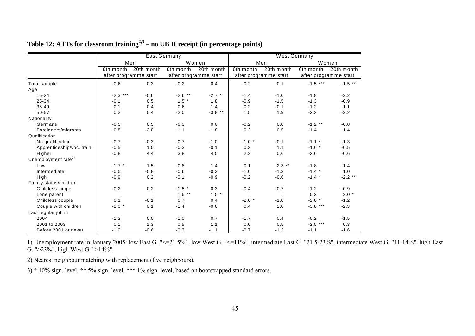|                                 |                       |            | <b>East Germany</b> |                       |           | West Germany          |            |                       |
|---------------------------------|-----------------------|------------|---------------------|-----------------------|-----------|-----------------------|------------|-----------------------|
|                                 | Men                   |            |                     | Women                 |           | Men                   |            | Women                 |
|                                 | 6th month             | 20th month | 6th month           | 20th month            | 6th month | 20th month            | 6th month  | 20th month            |
|                                 | after programme start |            |                     | after programme start |           | after programme start |            | after programme start |
| Total sample                    | $-0.6$                | 0.3        | $-0.2$              | 0.4                   | $-0.2$    | 0.1                   | $-1.5$ *** | $-1.5$ **             |
| Age                             |                       |            |                     |                       |           |                       |            |                       |
| $15 - 24$                       | $-2.3$ ***            | $-0.6$     | $-2.6$ **           | $-2.7$ *              | $-1.4$    | $-1.0$                | $-1.8$     | $-2.2$                |
| 25-34                           | $-0.1$                | 0.5        | $1.5$ *             | 1.8                   | $-0.9$    | $-1.5$                | $-1.3$     | $-0.9$                |
| $35 - 49$                       | 0.1                   | 0.4        | 0.6                 | 1.4                   | $-0.2$    | $-0.1$                | $-1.2$     | $-1.1$                |
| 50-57                           | 0.2                   | 0.4        | $-2.0$              | $-3.8$ **             | 1.5       | 1.9                   | $-2.2$     | $-2.2$                |
| Nationality                     |                       |            |                     |                       |           |                       |            |                       |
| Germans                         | $-0.5$                | 0.5        | $-0.3$              | 0.0                   | $-0.2$    | 0.0                   | $-1.2$ **  | $-0.8$                |
| Foreigners/migrants             | $-0.8$                | $-3.0$     | $-1.1$              | $-1.8$                | $-0.2$    | 0.5                   | $-1.4$     | $-1.4$                |
| Qualification                   |                       |            |                     |                       |           |                       |            |                       |
| No qualification                | $-0.7$                | $-0.3$     | $-0.7$              | $-1.0$                | $-1.0$ *  | $-0.1$                | $-1.1$ *   | $-1.3$                |
| Apprenticeship/voc. train.      | $-0.5$                | 1.0        | $-0.3$              | $-0.1$                | 0.3       | 1.1                   | $-1.6$ *   | $-0.5$                |
| Higher                          | $-0.8$                | 4.4        | 3.8                 | 4.5                   | 2.2       | 0.6                   | $-2.6$     | $-0.6$                |
| Unemployment rate <sup>1)</sup> |                       |            |                     |                       |           |                       |            |                       |
| Low                             | $-1.7$ *              | 1.5        | $-0.8$              | 1.4                   | 0.1       | $2.3$ **              | $-1.8$     | $-1.4$                |
| Intermediate                    | $-0.5$                | $-0.8$     | $-0.6$              | $-0.3$                | $-1.0$    | $-1.3$                | $-1.4$ *   | 1.0                   |
| High                            | $-0.9$                | 0.2        | $-0.1$              | $-0.9$                | $-0.2$    | $-0.6$                | $-1.4$ *   | $-2.2$ **             |
| Family status/children          |                       |            |                     |                       |           |                       |            |                       |
| Childless single                | $-0.2$                | 0.2        | $-1.5$ *            | 0.3                   | $-0.4$    | $-0.7$                | $-1.2$     | $-0.9$                |
| Lone parent                     |                       |            | $1.6***$            | $1.5 *$               |           |                       | 0.2        | $2.0*$                |
| Childless couple                | 0.1                   | $-0.1$     | 0.7                 | 0.4                   | $-2.0$ *  | $-1.0$                | $-2.0$ *   | $-1.2$                |
| Couple with children            | $-2.0$ *              | 0.1        | $-1.4$              | $-0.6$                | 0.4       | 2.0                   | $-3.8$ *** | $-2.3$                |
| Last regular job in             |                       |            |                     |                       |           |                       |            |                       |
| 2004                            | $-1.3$                | 0.0        | $-1.0$              | 0.7                   | $-1.7$    | 0.4                   | $-0.2$     | $-1.5$                |
| 2001 to 2003                    | 0.1                   | 1.3        | 0.5                 | 1.1                   | 0.6       | 0.5                   | $-2.5$ *** | 0.3                   |
| Before 2001 or never            | $-1.0$                | $-0.6$     | $-0.3$              | $-1.1$                | $-0.7$    | $-1.2$                | $-1.1$     | $-1.6$                |

# **Table 12: ATTs for classroom training2,3 – no UB II receipt (in percentage points)**

1) Unemployment rate in January 2005: low East G. "<=21.5%", low West G. "<=11%", intermediate East G. "21.5-23%", intermediate West G. "11-14%", high East G. ">23%", high West G. ">14%".

2) Nearest neighbour matching with replacement (five neighbours).

<span id="page-44-0"></span>3) \* 10% sign. level, \*\* 5% sign. level, \*\*\* 1% sign. level, based on bootstrapped standard errors.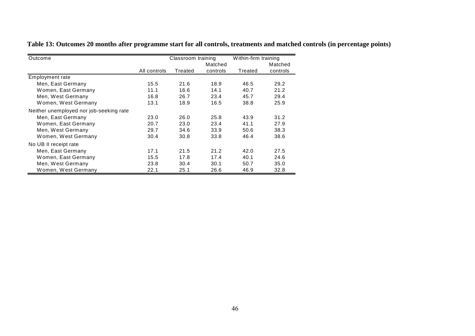**Table 13: Outcomes 20 months after programme start for all controls, treatments and matched controls (in percentage points)** 

<span id="page-45-0"></span>

| Outcome                                 |              | Classroom training |          | Within-firm training |          |  |
|-----------------------------------------|--------------|--------------------|----------|----------------------|----------|--|
|                                         |              |                    | Matched  |                      | Matched  |  |
|                                         | All controls | Treated            | controls | Treated              | controls |  |
| Employment rate                         |              |                    |          |                      |          |  |
| Men, East Germany                       | 15.5         | 21.6               | 18.9     | 46.5                 | 29.2     |  |
| Women, East Germany                     | 11.1         | 16.6               | 14.1     | 40.7                 | 21.2     |  |
| Men, West Germany                       | 16.8         | 26.7               | 23.4     | 45.7                 | 29.4     |  |
| Women, West Germany                     | 13.1         | 18.9               | 16.5     | 38.8                 | 25.9     |  |
| Neither unemployed nor job-seeking rate |              |                    |          |                      |          |  |
| Men, East Germany                       | 23.0         | 26.0               | 25.8     | 43.9                 | 31.2     |  |
| Women, East Germany                     | 20.7         | 23.0               | 23.4     | 41.1                 | 27.9     |  |
| Men, West Germany                       | 29.7         | 34.6               | 33.9     | 50.6                 | 38.3     |  |
| Women, West Germany                     | 30.4         | 30.8               | 33.8     | 46.4                 | 38.6     |  |
| No UB II receipt rate                   |              |                    |          |                      |          |  |
| Men, East Germany                       | 17.1         | 21.5               | 21.2     | 42.0                 | 27.5     |  |
| Women, East Germany                     | 15.5         | 17.8               | 17.4     | 40.1                 | 24.6     |  |
| Men, West Germany                       | 23.8         | 30.4               | 30.1     | 50.7                 | 35.0     |  |
| Women, West Germany                     | 22.1         | 25.1               | 26.6     | 46.9                 | 32.8     |  |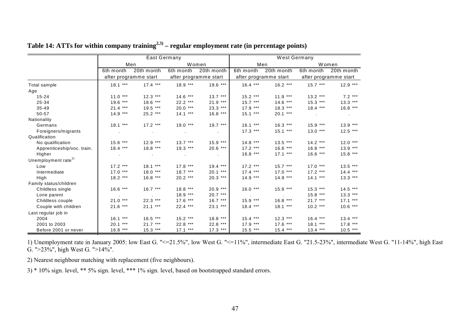|                                 | East Germany |                       |                 |                       | West Germany |                       |           |                       |
|---------------------------------|--------------|-----------------------|-----------------|-----------------------|--------------|-----------------------|-----------|-----------------------|
|                                 | Men          |                       | Women           |                       | Men          |                       | Women     |                       |
|                                 | 6th month    | 20th month            | 6th month       | 20th month            | 6th month    | 20th month            | 6th month | 20th month            |
|                                 |              | after programme start |                 | after programme start |              | after programme start |           | after programme start |
| Total sample                    | $18.1***$    | $17.4***$             | $18.9***$       | $19.6***$             | $16.4***$    | $16.2***$             | $15.7***$ | $12.9***$             |
| Age                             |              |                       |                 |                       |              |                       |           |                       |
| $15 - 24$                       | $11.0***$    | $12.3***$             | $14.6***$       | $13.7***$             | $15.2***$    | $11.9***$             | $13.2***$ | $7.2***$              |
| 25-34                           | $19.6***$    | $18.6***$             | $22.2***$       | $21.9***$             | $15.7***$    | $14.6***$             | $15.3***$ | $13.3***$             |
| $35 - 49$                       | $21.4***$    | $19.5***$             | $20.0***$       | $23.3***$             | $17.9***$    | $18.3***$             | $18.4***$ | $16.8***$             |
| 50-57                           | $14.9***$    | $25.2***$             | $14.1***$       | $16.8***$             | $15.1***$    | $20.1***$             |           |                       |
| Nationality                     |              |                       |                 |                       |              |                       |           |                       |
| Germans                         | $18.1***$    | $17.2***$             | $19.0***$       | $19.7***$             | $16.1***$    | $16.3***$             | $15.9***$ | $13.9***$             |
| Foreigners/migrants             |              |                       |                 | $\sim$                | $17.3***$    | $15.1***$             | $13.0***$ | $12.5***$             |
| Qualification                   |              |                       |                 |                       |              |                       |           |                       |
| No qualification                | $15.6***$    | $12.9***$             | $13.7***$       | $15.9***$             | $14.8***$    | $13.5***$             | $14.2***$ | $12.0***$             |
| Apprenticeship/voc. train.      | $18.4***$    | $18.8***$             | $19.3***$       | $20.6***$             | $17.2***$    | $16.6***$             | $16.8***$ | $13.9***$             |
| Higher                          |              |                       | <b>Contract</b> | $\sim$                | $16.8***$    | $17.1***$             | $16.6***$ | $15.8***$             |
| Unemployment rate <sup>1)</sup> |              |                       |                 |                       |              |                       |           |                       |
| Low                             | $17.2***$    | $18.1***$             | $17.8***$       | $19.4***$             | $17.2***$    | $15.7***$             | $17.0***$ | $13.5***$             |
| Intermediate                    | $17.0***$    | $18.0***$             | $18.7***$       | $20.1***$             | $17.4***$    | $17.0***$             | $17.2***$ | $14.4***$             |
| High                            | $18.2***$    | $16.8***$             | $20.2***$       | $20.3***$             | $14.9***$    | $14.9***$             | $14.1***$ | $13.3***$             |
| Family status/children          |              |                       |                 |                       |              |                       |           |                       |
| Childless single                | $16.6***$    | $16.7***$             | $18.8***$       | $20.9***$             | $16.0***$    | $15.9***$             | $15.3***$ | $14.5***$             |
| Lone parent                     |              |                       | $18.9***$       | $20.7***$             |              |                       | $15.8***$ | $13.3***$             |
| Childless couple                | $21.0***$    | $22.3***$             | $17.6***$       | $16.7***$             | $15.9***$    | $16.8***$             | $21.7***$ | $17.1***$             |
| Couple with children            | $21.6***$    | $21.1***$             | $22.4***$       | $23.1***$             | $18.4***$    | $18.1***$             | $10.2***$ | $10.6***$             |
| Last regular job in             |              |                       |                 |                       |              |                       |           |                       |
| 2004                            | $16.1***$    | $16.5***$             | $15.2***$       | $18.8***$             | $15.4***$    | $12.3***$             | $16.4***$ | $13.4***$             |
| 2001 to 2003                    | $20.1***$    | $21.7***$             | $22.8***$       | $22.8***$             | $17.9***$    | $17.6***$             | $18.1***$ | $17.8***$             |
| Before 2001 or never            | $16.8***$    | $15.3***$             | $17.1***$       | $17.3***$             | $15.5***$    | $15.4***$             | $13.4***$ | $10.5***$             |

# **Table 14: ATTs for within company training2,3) – regular employment rate (in percentage points)**

1) Unemployment rate in January 2005: low East G. "<=21.5%", low West G. "<=11%", intermediate East G. "21.5-23%", intermediate West G. "11-14%", high East G. ">23%", high West G. ">14%".

2) Nearest neighbour matching with replacement (five neighbours).

<span id="page-46-0"></span>3) \* 10% sign. level, \*\* 5% sign. level, \*\*\* 1% sign. level, based on bootstrapped standard errors.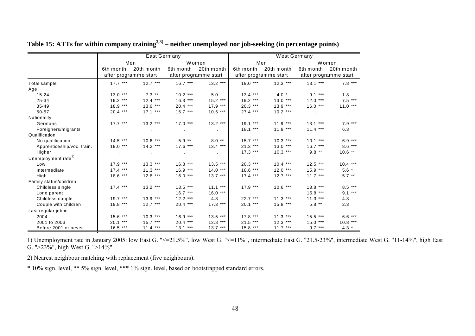|                                 | <b>East Germany</b>   |            |           |                       | West Germany |                       |           |                       |
|---------------------------------|-----------------------|------------|-----------|-----------------------|--------------|-----------------------|-----------|-----------------------|
|                                 | Men                   |            | Women     |                       | Men          |                       | Women     |                       |
|                                 | 6th month             | 20th month | 6th month | 20th month            | 6th month    | 20th month            | 6th month | 20th month            |
|                                 | after programme start |            |           | after programme start |              | after programme start |           | after programme start |
| Total sample                    | $17.7***$             | $12.7***$  | $16.7***$ | $13.2***$             | $19.0***$    | $12.3***$             | $13.1***$ | $7.8***$              |
| Age                             |                       |            |           |                       |              |                       |           |                       |
| $15 - 24$                       | $13.0***$             | $7.3$ **   | $10.2***$ | 5.0                   | $13.4***$    | $4.0*$                | $9.1***$  | 1.8                   |
| 25-34                           | $19.2***$             | $12.4***$  | $16.3***$ | $15.2***$             | $19.2***$    | $13.0***$             | $12.0***$ | $7.5***$              |
| $35 - 49$                       | $18.9***$             | $13.6***$  | $20.4***$ | $17.9***$             | $20.3***$    | $13.9***$             | $16.0***$ | $11.0***$             |
| 50-57                           | $20.4***$             | $17.1***$  | $15.7***$ | $10.5***$             | $27.4***$    | $10.2***$             |           |                       |
| Nationality                     |                       |            |           |                       |              |                       |           |                       |
| Germans                         | $17.7***$             | $13.2***$  | $17.0***$ | $13.2***$             | $19.1***$    | $11.9***$             | $13.1***$ | $7.9***$              |
| Foreigners/migrants             |                       | $\sim 10$  |           | $\sim$                | $18.1***$    | $11.8***$             | $11.4***$ | 6.3                   |
| Qualification                   |                       |            |           |                       |              |                       |           |                       |
| No qualification                | $14.5***$             | $10.6***$  | $5.9**$   | $8.0**$               | $15.7***$    | $10.3***$             | $10.1***$ | $6.9***$              |
| Apprenticeship/voc. train.      | $19.0***$             | $14.2***$  | $17.6***$ | $13.4***$             | $21.3***$    | $13.0***$             | $16.7***$ | $8.6***$              |
| Higher                          |                       |            |           | <b>Contract</b>       | $17.3***$    | $10.3***$             | $9.8***$  | $10.6$ **             |
| Unemployment rate <sup>1)</sup> |                       |            |           |                       |              |                       |           |                       |
| Low                             | $17.9***$             | $13.3***$  | $16.8***$ | $13.5***$             | $20.3***$    | $10.4***$             | $12.5***$ | $10.4***$             |
| Intermediate                    | $17.4***$             | $11.3***$  | $16.9***$ | $14.0***$             | $18.6***$    | $12.0***$             | $15.9***$ | $5.6*$                |
| High                            | $18.6***$             | $12.8***$  | $16.0***$ | $13.7***$             | $17.4***$    | $12.7***$             | $11.7***$ | $5.7***$              |
| Family status/children          |                       |            |           |                       |              |                       |           |                       |
| Childless single                | $17.4***$             | $13.2***$  | $13.5***$ | $11.1***$             | $17.9***$    | $10.6***$             | $13.8***$ | $8.5***$              |
| Lone parent                     |                       |            | $16.7***$ | $16.0***$             |              |                       | $15.8***$ | $9.1***$              |
| Childless couple                | $19.7***$             | $13.9***$  | $12.2***$ | 4.8                   | $22.7***$    | $11.3***$             | $11.3***$ | 4.8                   |
| Couple with children            | $19.8***$             | $12.7***$  | $20.4***$ | $17.3***$             | $20.1***$    | $15.8***$             | $5.8***$  | 2.3                   |
| Last regular job in             |                       |            |           |                       |              |                       |           |                       |
| 2004                            | $15.6***$             | $10.3***$  | $16.9***$ | $13.5***$             | $17.8***$    | $11.3***$             | $15.5***$ | $6.6***$              |
| 2001 to 2003                    | $20.1***$             | $15.7***$  | $20.4***$ | $12.8***$             | $21.5***$    | $12.3***$             | $15.0***$ | $10.8***$             |
| Before 2001 or never            | $16.5***$             | $11.4***$  | $13.1***$ | $13.7***$             | $15.8***$    | $11.7***$             | $9.7***$  | $4.3 *$               |

**Table 15: ATTs for within company training2,3) – neither unemployed nor job-seeking (in percentage points)** 

1) Unemployment rate in January 2005: low East G. "<=21.5%", low West G. "<=11%", intermediate East G. "21.5-23%", intermediate West G. "11-14%", high East G. ">23%", high West G. ">14%".

2) Nearest neighbour matching with replacement (five neighbours).

<span id="page-47-0"></span>\* 10% sign. level, \*\* 5% sign. level, \*\*\* 1% sign. level, based on bootstrapped standard errors.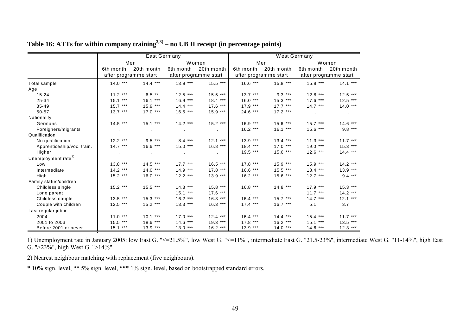|                                | <b>East Germany</b> |                       |            |                       | West Germany |                       |           |                       |
|--------------------------------|---------------------|-----------------------|------------|-----------------------|--------------|-----------------------|-----------|-----------------------|
|                                | Men                 |                       | Women      |                       | Men          |                       | Women     |                       |
|                                | 6th month           | 20th month            | 6th month  | 20th month            | 6th month    | 20th month            | 6th month | 20th month            |
|                                |                     | after programme start |            | after programme start |              | after programme start |           | after programme start |
| Total sample                   | $14.0***$           | $14.4***$             | $13.9***$  | $15.5***$             | $16.6***$    | $15.8***$             | $15.8***$ | $14.1***$             |
| Age                            |                     |                       |            |                       |              |                       |           |                       |
| $15 - 24$                      | $11.2***$           | $6.5***$              | $12.5***$  | $15.5***$             | $13.7***$    | $9.3***$              | $12.8***$ | $12.5$ ***            |
| 25-34                          | $15.1***$           | $16.1***$             | $16.9***$  | $18.4***$             | $16.0***$    | $15.3***$             | $17.6***$ | $12.5***$             |
| $35 - 49$                      | $15.7***$           | $15.9***$             | $14.4***$  | $17.6***$             | $17.9***$    | $17.7***$             | $14.7***$ | $14.0***$             |
| 50-57                          | $13.7***$           | $17.0***$             | $16.5$ *** | $15.9***$             | $24.6***$    | $17.2***$             |           |                       |
| Nationality                    |                     |                       |            |                       |              |                       |           |                       |
| Germans                        | $14.5***$           | $15.1***$             | $14.2***$  | $15.2***$             | $16.9***$    | $15.6***$             | $15.7***$ | $14.6***$             |
| Foreigners/migrants            |                     |                       |            | $\sim$ 100 $\mu$      | $16.2***$    | $16.1***$             | $15.6***$ | $9.8***$              |
| Qualification                  |                     |                       |            |                       |              |                       |           |                       |
| No qualification               | $12.2***$           | $9.5***$              | $8.4***$   | $12.1***$             | $13.9***$    | $13.4***$             | $11.3***$ | $11.7***$             |
| Apprenticeship/voc. train.     | $14.7***$           | $16.6***$             | $15.0***$  | $16.8***$             | $18.4***$    | $17.0***$             | $19.0***$ | $15.3***$             |
| Higher                         |                     |                       |            | $\sim 100$            | $19.5***$    | $15.6***$             | $12.6***$ | $14.4***$             |
| Unemployment rate <sup>1</sup> |                     |                       |            |                       |              |                       |           |                       |
| Low                            | $13.8***$           | $14.5***$             | $17.7***$  | $16.5***$             | $17.8***$    | $15.9***$             | $15.9***$ | $14.2***$             |
| Intermediate                   | $14.2***$           | $14.0***$             | $14.9***$  | $17.8***$             | $16.6***$    | $15.5***$             | $18.4***$ | $13.9***$             |
| High                           | $15.2***$           | $16.0***$             | $12.2***$  | $13.9***$             | $16.2***$    | $15.6***$             | $12.7***$ | $9.4***$              |
| Family status/children         |                     |                       |            |                       |              |                       |           |                       |
| Childless single               | $15.2***$           | $15.5***$             | $14.3***$  | $15.8***$             | $16.8***$    | $14.8***$             | $17.9***$ | $15.3***$             |
| Lone parent                    |                     |                       | $15.1***$  | $17.6***$             |              |                       | $11.7***$ | $14.2***$             |
| Childless couple               | $13.5***$           | $15.3***$             | $16.2***$  | $16.3***$             | $16.4***$    | $15.7***$             | $14.7***$ | $12.1***$             |
| Couple with children           | $12.5***$           | $15.2***$             | $13.3***$  | $16.3***$             | $17.4***$    | $16.7***$             | 5.1       | 3.7                   |
| Last regular job in            |                     |                       |            |                       |              |                       |           |                       |
| 2004                           | $11.0***$           | $10.1***$             | $17.0***$  | $12.4***$             | $16.4***$    | $14.4***$             | $15.4***$ | $11.7***$             |
| 2001 to 2003                   | $15.5***$           | $18.6***$             | $14.6***$  | $19.3***$             | $17.8***$    | $16.2***$             | $15.1***$ | $13.5***$             |
| Before 2001 or never           | $15.1***$           | $13.9***$             | $13.0***$  | $16.2***$             | $13.9***$    | $14.0***$             | $14.6***$ | $12.3***$             |

# **Table 16: ATTs for within company training2,3) – no UB II receipt (in percentage points)**

1) Unemployment rate in January 2005: low East G. "<=21.5%", low West G. "<=11%", intermediate East G. "21.5-23%", intermediate West G. "11-14%", high East G. ">23%", high West G. ">14%".

2) Nearest neighbour matching with replacement (five neighbours).

<span id="page-48-0"></span>\* 10% sign. level, \*\* 5% sign. level, \*\*\* 1% sign. level, based on bootstrapped standard errors.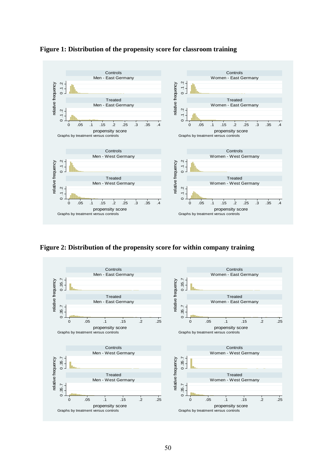<span id="page-49-0"></span>

#### **Figure 1: Distribution of the propensity score for classroom training**

**Figure 2: Distribution of the propensity score for within company training** 

<span id="page-49-1"></span>